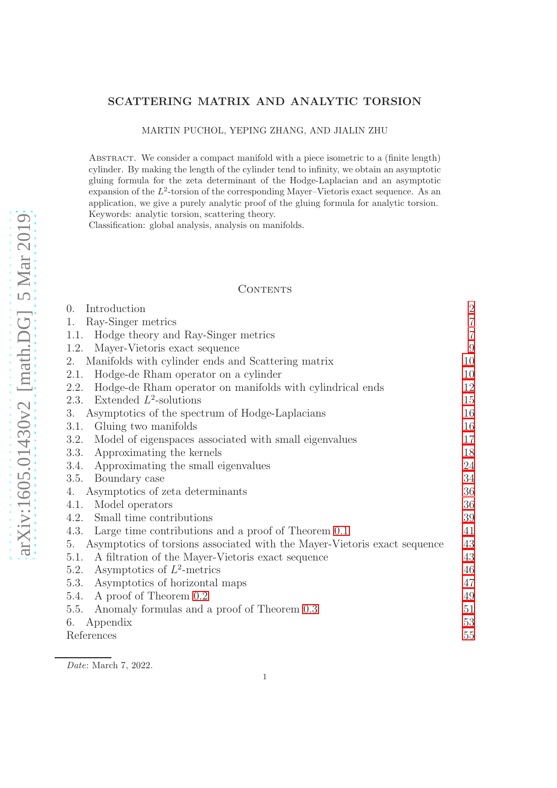# arXiv:1605.01430v2 [math.DG] 5 Mar 2019 [arXiv:1605.01430v2 \[math.DG\] 5 Mar 2019](http://arxiv.org/abs/1605.01430v2)

# SCATTERING MATRIX AND ANALYTIC TORSION

MARTIN PUCHOL, YEPING ZHANG, AND JIALIN ZHU

ABSTRACT. We consider a compact manifold with a piece isometric to a (finite length) cylinder. By making the length of the cylinder tend to infinity, we obtain an asymptotic gluing formula for the zeta determinant of the Hodge-Laplacian and an asymptotic  $\alpha$  expansion of the  $L^2$ -torsion of the corresponding Mayer–Vietoris exact sequence. As an application, we give a purely analytic proof of the gluing formula for analytic torsion. Keywords: analytic torsion, scattering theory.

Classification: global analysis, analysis on manifolds.

### CONTENTS

| $\theta$ .<br>Introduction                                                      | $\overline{2}$ |
|---------------------------------------------------------------------------------|----------------|
| Ray-Singer metrics<br>1.                                                        | $\overline{7}$ |
| Hodge theory and Ray-Singer metrics<br>1.1.                                     | $\overline{7}$ |
| Mayer-Vietoris exact sequence<br>1.2.                                           | 9              |
| Manifolds with cylinder ends and Scattering matrix<br>2.                        | 10             |
| Hodge-de Rham operator on a cylinder<br>2.1.                                    | 10             |
| Hodge-de Rham operator on manifolds with cylindrical ends<br>2.2.               | 12             |
| Extended $L^2$ -solutions<br>2.3.                                               | 15             |
| Asymptotics of the spectrum of Hodge-Laplacians<br>3.                           | 16             |
| Gluing two manifolds<br>3.1.                                                    | 16             |
| Model of eigenspaces associated with small eigenvalues<br>3.2.                  | 17             |
| Approximating the kernels<br>3.3.                                               | 18             |
| Approximating the small eigenvalues<br>3.4.                                     | 24             |
| Boundary case<br>3.5.                                                           | 34             |
| Asymptotics of zeta determinants<br>4.                                          | 36             |
| Model operators<br>4.1.                                                         | 36             |
| Small time contributions<br>4.2.                                                | 39             |
| Large time contributions and a proof of Theorem 0.1<br>4.3.                     | 41             |
| Asymptotics of torsions associated with the Mayer-Vietoris exact sequence<br>5. | 43             |
| A filtration of the Mayer-Vietoris exact sequence<br>5.1.                       | 43             |
| Asymptotics of $L^2$ -metrics<br>5.2.                                           | 46             |
| Asymptotics of horizontal maps<br>5.3.                                          | 47             |
| A proof of Theorem 0.2<br>5.4.                                                  | 49             |
| Anomaly formulas and a proof of Theorem 0.3<br>5.5.                             | 51             |
| Appendix<br>6.                                                                  | 53             |
| References                                                                      | 55             |

Date: March 7, 2022.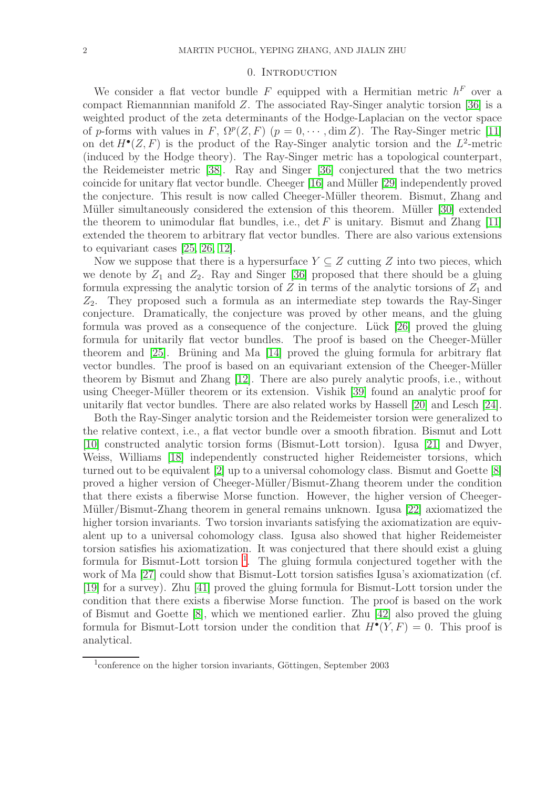### 0. INTRODUCTION

<span id="page-1-0"></span>We consider a flat vector bundle F equipped with a Hermitian metric  $h^F$  over a compact Riemannnian manifold Z. The associated Ray-Singer analytic torsion [\[36\]](#page-55-0) is a weighted product of the zeta determinants of the Hodge-Laplacian on the vector space of p-forms with values in F,  $\Omega^p(Z, F)$  ( $p = 0, \cdots, \dim Z$ ). The Ray-Singer metric [\[11\]](#page-54-1) on det  $H^{\bullet}(Z, F)$  is the product of the Ray-Singer analytic torsion and the  $L^2$ -metric (induced by the Hodge theory). The Ray-Singer metric has a topological counterpart, the Reidemeister metric [\[38\]](#page-55-1). Ray and Singer [\[36\]](#page-55-0) conjectured that the two metrics coincide for unitary flat vector bundle. Cheeger  $[16]$  and Müller  $[29]$  independently proved the conjecture. This result is now called Cheeger-Müller theorem. Bismut, Zhang and Müller simultaneously considered the extension of this theorem. Müller [\[30\]](#page-55-3) extended the theorem to unimodular flat bundles, i.e.,  $\det F$  is unitary. Bismut and Zhang [\[11\]](#page-54-1) extended the theorem to arbitrary flat vector bundles. There are also various extensions to equivariant cases [\[25,](#page-54-3) [26,](#page-54-4) [12\]](#page-54-5).

Now we suppose that there is a hypersurface  $Y \subseteq Z$  cutting Z into two pieces, which we denote by  $Z_1$  and  $Z_2$ . Ray and Singer [\[36\]](#page-55-0) proposed that there should be a gluing formula expressing the analytic torsion of  $Z$  in terms of the analytic torsions of  $Z_1$  and  $Z_2$ . They proposed such a formula as an intermediate step towards the Ray-Singer conjecture. Dramatically, the conjecture was proved by other means, and the gluing formula was proved as a consequence of the conjecture. Lück  $[26]$  proved the gluing formula for unitarily flat vector bundles. The proof is based on the Cheeger-Müller theorem and  $[25]$ . Brüning and Ma  $[14]$  proved the gluing formula for arbitrary flat vector bundles. The proof is based on an equivariant extension of the Cheeger-Müller theorem by Bismut and Zhang [\[12\]](#page-54-5). There are also purely analytic proofs, i.e., without using Cheeger-Müller theorem or its extension. Vishik [\[39\]](#page-55-4) found an analytic proof for unitarily flat vector bundles. There are also related works by Hassell [\[20\]](#page-54-7) and Lesch [\[24\]](#page-54-8).

Both the Ray-Singer analytic torsion and the Reidemeister torsion were generalized to the relative context, i.e., a flat vector bundle over a smooth fibration. Bismut and Lott [\[10\]](#page-54-9) constructed analytic torsion forms (Bismut-Lott torsion). Igusa [\[21\]](#page-54-10) and Dwyer, Weiss, Williams [\[18\]](#page-54-11) independently constructed higher Reidemeister torsions, which turned out to be equivalent [\[2\]](#page-54-12) up to a universal cohomology class. Bismut and Goette [\[8\]](#page-54-13) proved a higher version of Cheeger-M¨uller/Bismut-Zhang theorem under the condition that there exists a fiberwise Morse function. However, the higher version of Cheeger-Müller/Bismut-Zhang theorem in general remains unknown. Igusa [\[22\]](#page-54-14) axiomatized the higher torsion invariants. Two torsion invariants satisfying the axiomatization are equivalent up to a universal cohomology class. Igusa also showed that higher Reidemeister torsion satisfies his axiomatization. It was conjectured that there should exist a gluing formula for Bismut-Lott torsion<sup>[1](#page-1-1)</sup>. The gluing formula conjectured together with the work of Ma [\[27\]](#page-54-15) could show that Bismut-Lott torsion satisfies Igusa's axiomatization (cf. [\[19\]](#page-54-16) for a survey). Zhu [\[41\]](#page-55-5) proved the gluing formula for Bismut-Lott torsion under the condition that there exists a fiberwise Morse function. The proof is based on the work of Bismut and Goette [\[8\]](#page-54-13), which we mentioned earlier. Zhu [\[42\]](#page-55-6) also proved the gluing formula for Bismut-Lott torsion under the condition that  $H^{\bullet}(Y, F) = 0$ . This proof is analytical.

<span id="page-1-1"></span> $1$ conference on the higher torsion invariants, Göttingen, September 2003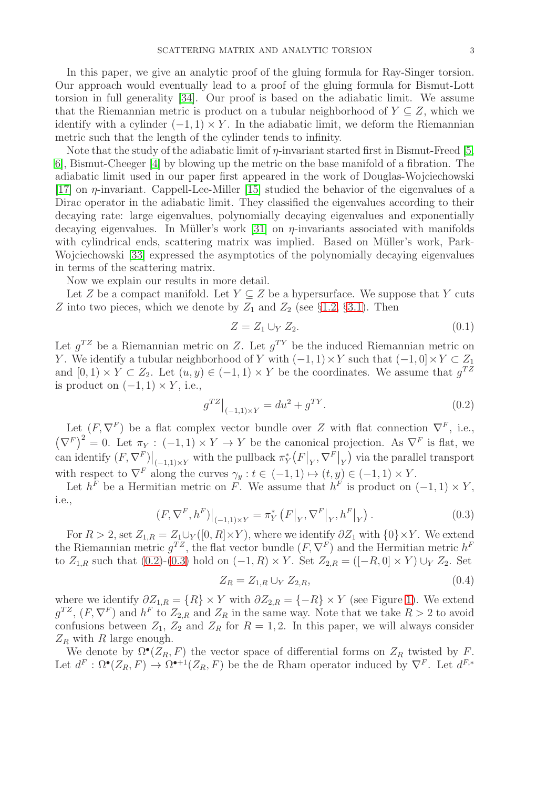In this paper, we give an analytic proof of the gluing formula for Ray-Singer torsion. Our approach would eventually lead to a proof of the gluing formula for Bismut-Lott torsion in full generality [\[34\]](#page-55-7). Our proof is based on the adiabatic limit. We assume that the Riemannian metric is product on a tubular neighborhood of  $Y \subseteq Z$ , which we identify with a cylinder  $(-1, 1) \times Y$ . In the adiabatic limit, we deform the Riemannian metric such that the length of the cylinder tends to infinity.

Note that the study of the adiabatic limit of  $\eta$ -invariant started first in Bismut-Freed [\[5,](#page-54-17) [6\]](#page-54-18), Bismut-Cheeger [\[4\]](#page-54-19) by blowing up the metric on the base manifold of a fibration. The adiabatic limit used in our paper first appeared in the work of Douglas-Wojciechowski [\[17\]](#page-54-20) on η-invariant. Cappell-Lee-Miller [\[15\]](#page-54-21) studied the behavior of the eigenvalues of a Dirac operator in the adiabatic limit. They classified the eigenvalues according to their decaying rate: large eigenvalues, polynomially decaying eigenvalues and exponentially decaying eigenvalues. In Müller's work [\[31\]](#page-55-8) on  $\eta$ -invariants associated with manifolds with cylindrical ends, scattering matrix was implied. Based on Müller's work, Park-Wojciechowski [\[33\]](#page-55-9) expressed the asymptotics of the polynomially decaying eigenvalues in terms of the scattering matrix.

Now we explain our results in more detail.

Let Z be a compact manifold. Let  $Y \subseteq Z$  be a hypersurface. We suppose that Y cuts Z into two pieces, which we denote by  $Z_1$  and  $Z_2$  (see §[1.2,](#page-8-0) §[3.1\)](#page-15-1). Then

$$
Z = Z_1 \cup_Y Z_2. \tag{0.1}
$$

Let  $g^{TZ}$  be a Riemannian metric on Z. Let  $g^{TY}$  be the induced Riemannian metric on Y. We identify a tubular neighborhood of Y with  $(-1, 1) \times Y$  such that  $(-1, 0] \times Y \subset Z_1$ and  $[0,1) \times Y \subset Z_2$ . Let  $(u, y) \in (-1,1) \times Y$  be the coordinates. We assume that  $g^{TZ}$ is product on  $(-1, 1) \times Y$ , i.e.,

<span id="page-2-0"></span>
$$
g^{TZ}|_{(-1,1)\times Y} = du^2 + g^{TY}.
$$
\n(0.2)

Let  $(F, \nabla^F)$  be a flat complex vector bundle over Z with flat connection  $\nabla^F$ , i.e.,  $(\nabla^F)^2 = 0$ . Let  $\pi_Y : (-1,1) \times Y \to Y$  be the canonical projection. As  $\nabla^F$  is flat, we can identify  $(F, \nabla^F)|_{(-1,1)\times Y}$  with the pullback  $\pi_Y^*[F|_Y, \nabla^F|_Y)$  via the parallel transport with respect to  $\nabla^F$  along the curves  $\gamma_y : t \in (-1,1) \mapsto (t,y) \in (-1,1) \times Y$ .

Let  $h^F$  be a Hermitian metric on F. We assume that  $h^F$  is product on  $(-1, 1) \times Y$ , i.e.,

<span id="page-2-1"></span>
$$
(F, \nabla^{F}, h^{F})|_{(-1,1)\times Y} = \pi_{Y}^{*} (F|_{Y}, \nabla^{F}|_{Y}, h^{F}|_{Y}).
$$
\n(0.3)

For  $R > 2$ , set  $Z_{1,R} = Z_1 \cup_Y ([0,R] \times Y)$ , where we identify  $\partial Z_1$  with  $\{0\} \times Y$ . We extend the Riemannian metric  $g^{TZ}$ , the flat vector bundle  $(F, \nabla^F)$  and the Hermitian metric  $h^F$ to  $Z_{1,R}$  such that  $(0.2)-(0.3)$  $(0.2)-(0.3)$  hold on  $(-1, R) \times Y$ . Set  $Z_{2,R} = ([-R, 0] \times Y) \cup_{Y} Z_{2}$ . Set

$$
Z_R = Z_{1,R} \cup_Y Z_{2,R}, \tag{0.4}
$$

where we identify  $\partial Z_{1,R} = \{R\} \times Y$  with  $\partial Z_{2,R} = \{-R\} \times Y$  (see Figure [1\)](#page-3-0). We extend  $g^{TZ}$ ,  $(F, \nabla^F)$  and  $h^F$  to  $Z_{2,R}$  and  $Z_R$  in the same way. Note that we take  $R > 2$  to avoid confusions between  $Z_1$ ,  $Z_2$  and  $Z_R$  for  $R = 1, 2$ . In this paper, we will always consider  $Z_R$  with R large enough.

We denote by  $\Omega^{\bullet}(Z_R, F)$  the vector space of differential forms on  $Z_R$  twisted by F. Let  $d^F: \Omega^{\bullet}(Z_R, F) \to \Omega^{\bullet+1}(Z_R, F)$  be the de Rham operator induced by  $\nabla^F$ . Let  $d^{F,*}$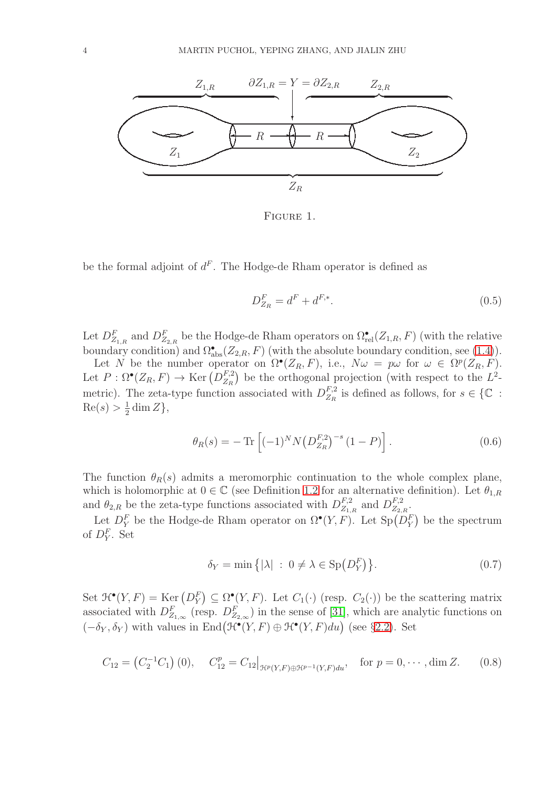

<span id="page-3-0"></span>FIGURE 1.

be the formal adjoint of  $d^F$ . The Hodge-de Rham operator is defined as

$$
D_{Z_R}^F = d^F + d^{F,*}.\tag{0.5}
$$

Let  $D_{Z_{1,R}}^F$  and  $D_{Z_{2,R}}^F$  be the Hodge-de Rham operators on  $\Omega_{rel}^{\bullet}(Z_{1,R},F)$  (with the relative boundary condition) and  $\Omega_{\text{abs}}^{\bullet}(Z_{2,R}, F)$  (with the absolute boundary condition, see [\(1.4\)](#page-7-0)).

Let N be the number operator on  $\Omega^{\bullet}(Z_R, F)$ , i.e.,  $N\omega = p\omega$  for  $\omega \in \Omega^p(Z_R, F)$ . Let  $P: \Omega^{\bullet}(Z_R, F) \to \text{Ker}(D_{Z_R}^{F,2})$  $Z_R^{F,2}$ ) be the orthogonal projection (with respect to the  $L^2$ metric). The zeta-type function associated with  $D_{Z_R}^{F,2}$  $Z_R^{F,2}$  is defined as follows, for  $s \in \{ \mathbb{C} :$  $Re(s) > \frac{1}{2}$  $\frac{1}{2}$  dim Z },

<span id="page-3-1"></span>
$$
\theta_R(s) = -\operatorname{Tr}\left[(-1)^N N \left(D_{Z_R}^{F,2}\right)^{-s} (1-P)\right].\tag{0.6}
$$

The function  $\theta_R(s)$  admits a meromorphic continuation to the whole complex plane, which is holomorphic at  $0 \in \mathbb{C}$  (see Definition [1.2](#page-8-1) for an alternative definition). Let  $\theta_{1,R}$ and  $\theta_{2,R}$  be the zeta-type functions associated with  $D_{Z_1}^{F,2}$  $E_{Z_{1,R}}^{F,2}$  and  $D_{Z_{2,R}}^{F,2}$  $^{F,2}_{Z_{2,R}}.$ 

Let  $D_Y^F$  be the Hodge-de Rham operator on  $\Omega^{\bullet}(Y, F)$ . Let  $\text{Sp}(D_Y^F)$  be the spectrum of  $D_Y^F$ . Set

$$
\delta_Y = \min\left\{ |\lambda| \; : \; 0 \neq \lambda \in \text{Sp}\left(D_Y^F\right) \right\}. \tag{0.7}
$$

Set  $\mathcal{H}^{\bullet}(Y, F) = \text{Ker} (D_Y^F) \subseteq \Omega^{\bullet}(Y, F)$ . Let  $C_1(\cdot)$  (resp.  $C_2(\cdot)$ ) be the scattering matrix associated with  $D_{Z_{1,\infty}}^F$  (resp.  $D_{Z_{2,\infty}}^F$ ) in the sense of [\[31\]](#page-55-8), which are analytic functions on  $(-\delta_Y, \delta_Y)$  with values in End $(\mathcal{H}^{\bullet}(Y, F) \oplus \mathcal{H}^{\bullet}(Y, F) du)$  (see §[2.2\)](#page-11-0). Set

$$
C_{12} = (C_2^{-1}C_1)(0), \quad C_{12}^p = C_{12}|_{\mathcal{H}^p(Y,F) \oplus \mathcal{H}^{p-1}(Y,F)du}, \quad \text{for } p = 0, \cdots, \dim Z. \tag{0.8}
$$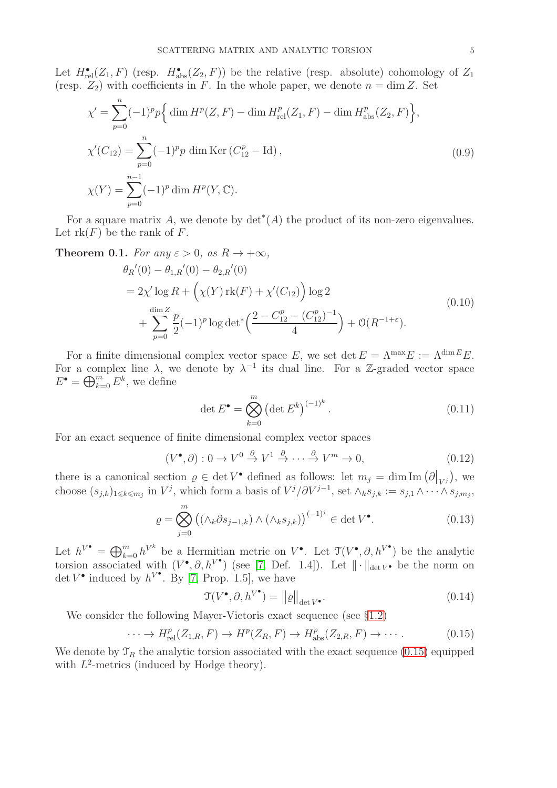Let  $H_{rel}^{\bullet}(Z_1, F)$  (resp.  $H_{abs}^{\bullet}(Z_2, F)$ ) be the relative (resp. absolute) cohomology of  $Z_1$ (resp.  $Z_2$ ) with coefficients in F. In the whole paper, we denote  $n = \dim Z$ . Set

$$
\chi' = \sum_{p=0}^{n} (-1)^p p \Big\{ \dim H^p(Z, F) - \dim H^p_{\text{rel}}(Z_1, F) - \dim H^p_{\text{abs}}(Z_2, F) \Big\},
$$
  
\n
$$
\chi'(C_{12}) = \sum_{p=0}^{n} (-1)^p p \dim \text{Ker}(C_{12}^p - \text{Id}),
$$
  
\n
$$
\chi(Y) = \sum_{p=0}^{n-1} (-1)^p \dim H^p(Y, \mathbb{C}).
$$
\n(0.9)

For a square matrix A, we denote by  $\det^*(A)$  the product of its non-zero eigenvalues. Let  $rk(F)$  be the rank of F.

<span id="page-4-0"></span>**Theorem 0.1.** For any  $\varepsilon > 0$ , as  $R \to +\infty$ ,

<span id="page-4-4"></span>
$$
\theta_R'(0) - \theta_{1,R}'(0) - \theta_{2,R}'(0)
$$
  
=  $2\chi' \log R + \left(\chi(Y) \operatorname{rk}(F) + \chi'(C_{12})\right) \log 2$   
+  $\sum_{p=0}^{\dim Z} \frac{p}{2} (-1)^p \log \det^* \left(\frac{2 - C_{12}^p - (C_{12}^p)^{-1}}{4}\right) + \mathcal{O}(R^{-1+\epsilon}).$  (0.10)

For a finite dimensional complex vector space E, we set det  $E = \Lambda^{\max} E := \Lambda^{\dim E} E$ . For a complex line  $\lambda$ , we denote by  $\lambda^{-1}$  its dual line. For a Z-graded vector space  $E^{\bullet} = \bigoplus_{k=0}^{m} E^{k}$ , we define

<span id="page-4-3"></span>
$$
\det E^{\bullet} = \bigotimes_{k=0}^{m} \left( \det E^{k} \right)^{(-1)^{k}}.
$$
 (0.11)

For an exact sequence of finite dimensional complex vector spaces

$$
(V^{\bullet}, \partial) : 0 \to V^{0} \stackrel{\partial}{\to} V^{1} \stackrel{\partial}{\to} \cdots \stackrel{\partial}{\to} V^{m} \to 0,
$$
\n
$$
(0.12)
$$

there is a canonical section  $\rho \in \det V^{\bullet}$  defined as follows: let  $m_j = \dim \mathrm{Im}(\partial|_{V^j})$ , we choose  $(s_{j,k})_{1\leqslant k\leqslant m_j}$  in  $V^j$ , which form a basis of  $V^j/\partial V^{j-1}$ , set  $\wedge_k s_{j,k} := s_{j,1} \wedge \cdots \wedge s_{j,m_j}$ ,

<span id="page-4-2"></span>
$$
\varrho = \bigotimes_{j=0}^{m} \left( \left( \wedge_k \partial s_{j-1,k} \right) \wedge \left( \wedge_k s_{j,k} \right) \right)^{(-1)^j} \in \det V^{\bullet}.
$$
 (0.13)

Let  $h^{V^{\bullet}} = \bigoplus_{k=0}^{m} h^{V^k}$  be a Hermitian metric on  $V^{\bullet}$ . Let  $\mathfrak{T}(V^{\bullet}, \partial, h^{V^{\bullet}})$  be the analytic torsion associated with  $(V^{\bullet}, \partial, h^{V^{\bullet}})$  (see [\[7,](#page-54-22) Def. 1.4]). Let  $\|\cdot\|_{\det V^{\bullet}}$  be the norm on det  $V^{\bullet}$  induced by  $h^{V^{\bullet}}$ . By [\[7,](#page-54-22) Prop. 1.5], we have

$$
\mathcal{T}(V^{\bullet}, \partial, h^{V^{\bullet}}) = ||\varrho||_{\det V^{\bullet}}.
$$
\n(0.14)

We consider the following Mayer-Vietoris exact sequence (see  $\S1.2$ )

<span id="page-4-1"></span>
$$
\cdots \to H_{\mathrm{rel}}^p(Z_{1,R}, F) \to H^p(Z_R, F) \to H_{\mathrm{abs}}^p(Z_{2,R}, F) \to \cdots. \tag{0.15}
$$

We denote by  $\mathcal{T}_R$  the analytic torsion associated with the exact sequence [\(0.15\)](#page-4-1) equipped with  $L^2$ -metrics (induced by Hodge theory).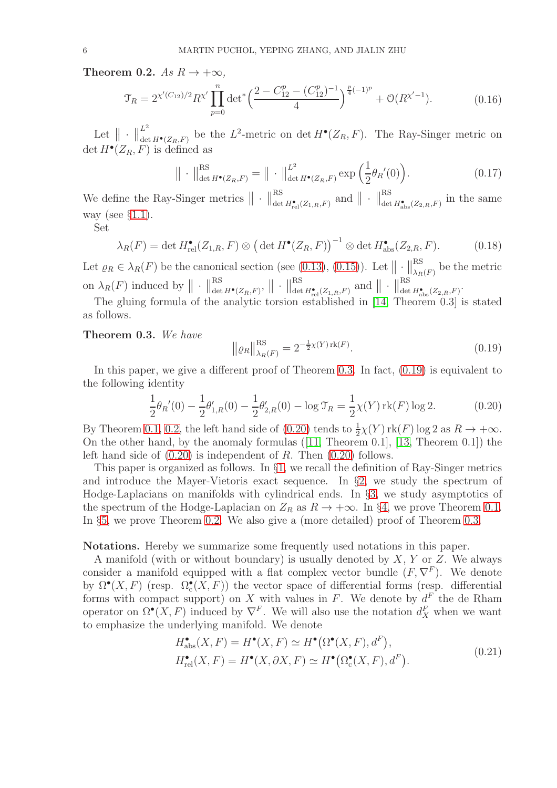<span id="page-5-0"></span>Theorem 0.2.  $As R \to +\infty$ ,

$$
\mathfrak{T}_R = 2^{\chi'(C_{12})/2} R^{\chi'} \prod_{p=0}^n \det^* \left( \frac{2 - C_{12}^p - (C_{12}^p)^{-1}}{4} \right)^{\frac{p}{4}(-1)^p} + \mathcal{O}(R^{\chi'-1}).\tag{0.16}
$$

Let  $\|\cdot\|$  $L^2$  $\lim_{\det H^{\bullet}(Z_R, F)}$  be the  $L^2$ -metric on det  $H^{\bullet}(Z_R, F)$ . The Ray-Singer metric on  $\det H^{\bullet}(Z_R, F)$  is defined as

<span id="page-5-5"></span>
$$
\|\cdot\|_{\det H^{\bullet}(Z_R, F)}^{\text{RS}} = \|\cdot\|_{\det H^{\bullet}(Z_R, F)}^{L^2} \exp\left(\frac{1}{2}\theta_R'(0)\right). \tag{0.17}
$$

We define the Ray-Singer metrics  $\|\cdot\|_{\det}^{RS}$  $\operatorname*{Res}_{\det H^{\bullet}_{\mathrm{rel}}(Z_{1,R},F)} \ \text{and} \ \big\| \ \cdot \ \big\|_{\det}^{\mathrm{RS}}$  $\lim_{\text{det } H_{\text{abs}}^{\bullet}(Z_{2,R},F)}$  in the same way (see  $\S1.1$ ).

Set

$$
\lambda_R(F) = \det H_{\text{rel}}^{\bullet}(Z_{1,R}, F) \otimes \left(\det H^{\bullet}(Z_R, F)\right)^{-1} \otimes \det H_{\text{abs}}^{\bullet}(Z_{2,R}, F). \tag{0.18}
$$

Let  $\varrho_R \in \lambda_R(F)$  be the canonical section (see [\(0.13\)](#page-4-2), [\(0.15\)](#page-4-1)). Let  $\|\cdot\|_{\lambda_R}^{RS}$  $\frac{dS}{dt\lambda_R(F)}$  be the metric on  $\lambda_R(F)$  induced by  $\|\cdot\|_{\text{det}}^{\text{RS}}$  $\frac{\text{RS}}{\det H^\bullet(Z_R, F)}, \ \big\|\ \cdot \ \big\|_\text{det}^\text{RS}$  $\operatorname*{Res}_{\det H^\bullet_{\mathrm{rel}}(Z_{1,R},F)} \text{ and } \left\| \ \cdot \ \right\|_{\det}^{\mathrm{RS}}$ det  $H_{\text{abs}}^{\bullet}(Z_{2,R},F)$ .

The gluing formula of the analytic torsion established in [\[14,](#page-54-6) Theorem 0.3] is stated as follows.

## <span id="page-5-1"></span>Theorem 0.3. *We have*

<span id="page-5-2"></span>
$$
\|\varrho_R\|_{\lambda_R(F)}^{\text{RS}} = 2^{-\frac{1}{2}\chi(Y)\,\text{rk}(F)}.\tag{0.19}
$$

In this paper, we give a different proof of Theorem [0.3.](#page-5-1) In fact,  $(0.19)$  is equivalent to the following identity

<span id="page-5-3"></span>
$$
\frac{1}{2}\theta_R'(0) - \frac{1}{2}\theta'_{1,R}(0) - \frac{1}{2}\theta'_{2,R}(0) - \log \mathcal{T}_R = \frac{1}{2}\chi(Y)\,\mathrm{rk}(F)\log 2. \tag{0.20}
$$

By Theorem [0.1,](#page-4-0) [0.2,](#page-5-0) the left hand side of  $(0.20)$  tends to  $\frac{1}{2}\chi(Y)$  rk(F) log 2 as  $R \to +\infty$ . On the other hand, by the anomaly formulas([\[11,](#page-54-1) Theorem 0.1], [\[13,](#page-54-23) Theorem 0.1]) the left hand side of  $(0.20)$  is independent of R. Then  $(0.20)$  follows.

This paper is organized as follows. In §[1,](#page-6-0) we recall the definition of Ray-Singer metrics and introduce the Mayer-Vietoris exact sequence. In  $\S$ [2,](#page-9-0) we study the spectrum of Hodge-Laplacians on manifolds with cylindrical ends. In §[3,](#page-15-0) we study asymptotics of the spectrum of the Hodge-Laplacian on  $Z_R$  as  $R \to +\infty$ . In §[4,](#page-35-0) we prove Theorem [0.1.](#page-4-0) In §[5,](#page-42-0) we prove Theorem [0.2.](#page-5-0) We also give a (more detailed) proof of Theorem [0.3.](#page-5-1)

### Notations. Hereby we summarize some frequently used notations in this paper.

A manifold (with or without boundary) is usually denoted by  $X, Y$  or  $Z$ . We always consider a manifold equipped with a flat complex vector bundle  $(F, \nabla^F)$ . We denote by  $\Omega^{\bullet}(X,F)$  (resp.  $\Omega^{\bullet}_{c}(X,F)$ ) the vector space of differential forms (resp. differential forms with compact support) on X with values in F. We denote by  $d^F$  the de Rham operator on  $\Omega^{\bullet}(X, F)$  induced by  $\nabla^F$ . We will also use the notation  $d_X^F$  when we want to emphasize the underlying manifold. We denote

<span id="page-5-4"></span>
$$
H_{\text{abs}}^{\bullet}(X, F) = H^{\bullet}(X, F) \simeq H^{\bullet}(\Omega^{\bullet}(X, F), d^{F}),
$$
  
\n
$$
H_{\text{rel}}^{\bullet}(X, F) = H^{\bullet}(X, \partial X, F) \simeq H^{\bullet}(\Omega_{\text{c}}^{\bullet}(X, F), d^{F}).
$$
\n(0.21)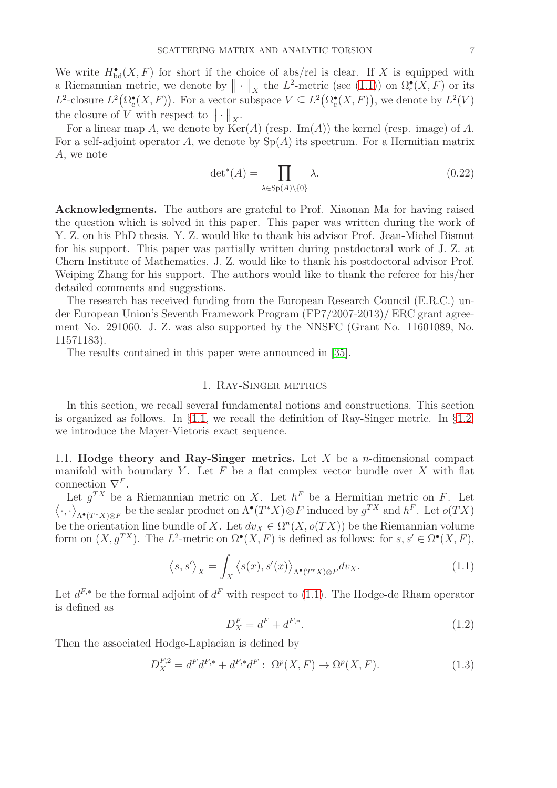We write  $H_{\text{bd}}^{\bullet}(X, F)$  for short if the choice of abs/rel is clear. If X is equipped with a Riemannian metric, we denote by  $\|\cdot\|_X$  the  $L^2$ -metric (see [\(1.1\)](#page-6-2)) on  $\Omega_c^{\bullet}(X,F)$  or its  $L^2$ -closure  $L^2(\Omega_c^{\bullet}(X, F))$ . For a vector subspace  $V \subseteq L^2(\Omega_c^{\bullet}(X, F))$ , we denote by  $L^2(V)$ the closure of V with respect to  $\|\cdot\|_X$ .

For a linear map A, we denote by  $\text{Ker}(A)$  (resp. Im(A)) the kernel (resp. image) of A. For a self-adjoint operator A, we denote by  $Sp(A)$  its spectrum. For a Hermitian matrix A, we note

$$
\det^*(A) = \prod_{\lambda \in \text{Sp}(A) \setminus \{0\}} \lambda. \tag{0.22}
$$

Acknowledgments. The authors are grateful to Prof. Xiaonan Ma for having raised the question which is solved in this paper. This paper was written during the work of Y. Z. on his PhD thesis. Y. Z. would like to thank his advisor Prof. Jean-Michel Bismut for his support. This paper was partially written during postdoctoral work of J. Z. at Chern Institute of Mathematics. J. Z. would like to thank his postdoctoral advisor Prof. Weiping Zhang for his support. The authors would like to thank the referee for his/her detailed comments and suggestions.

The research has received funding from the European Research Council (E.R.C.) under European Union's Seventh Framework Program (FP7/2007-2013)/ ERC grant agreement No. 291060. J. Z. was also supported by the NNSFC (Grant No. 11601089, No. 11571183).

<span id="page-6-0"></span>The results contained in this paper were announced in [\[35\]](#page-55-10).

### 1. Ray-Singer metrics

In this section, we recall several fundamental notions and constructions. This section is organized as follows. In §[1.1,](#page-6-1) we recall the definition of Ray-Singer metric. In §[1.2,](#page-8-0) we introduce the Mayer-Vietoris exact sequence.

<span id="page-6-1"></span>1.1. Hodge theory and Ray-Singer metrics. Let  $X$  be a *n*-dimensional compact manifold with boundary Y. Let  $F$  be a flat complex vector bundle over  $X$  with flat connection  $\nabla^F$ .

Let  $g^{TX}$  be a Riemannian metric on X. Let  $h^F$  be a Hermitian metric on F. Let  $\left\langle \cdot,\cdot\right\rangle$  $\Lambda^{\bullet}(T^*X)\otimes F$  be the scalar product on  $\Lambda^{\bullet}(T^*X)\otimes F$  induced by  $g^{TX}$  and  $h^F$ . Let  $o(TX)$ be the orientation line bundle of X. Let  $dv_X \in \Omega^n(X, o(TX))$  be the Riemannian volume form on  $(X, g^{TX})$ . The  $L^2$ -metric on  $\Omega^{\bullet}(X, F)$  is defined as follows: for  $s, s' \in \Omega^{\bullet}(X, F)$ ,

<span id="page-6-2"></span>
$$
\langle s, s' \rangle_X = \int_X \langle s(x), s'(x) \rangle_{\Lambda^{\bullet}(T^*X) \otimes F} dv_X. \tag{1.1}
$$

Let  $d^{F,*}$  be the formal adjoint of  $d^F$  with respect to [\(1.1\)](#page-6-2). The Hodge-de Rham operator is defined as

<span id="page-6-3"></span>
$$
D_X^F = d^F + d^{F,*}.\t\t(1.2)
$$

Then the associated Hodge-Laplacian is defined by

<span id="page-6-4"></span>
$$
D_X^{F,2} = d^F d^{F,*} + d^{F,*} d^F : \ \Omega^p(X, F) \to \Omega^p(X, F). \tag{1.3}
$$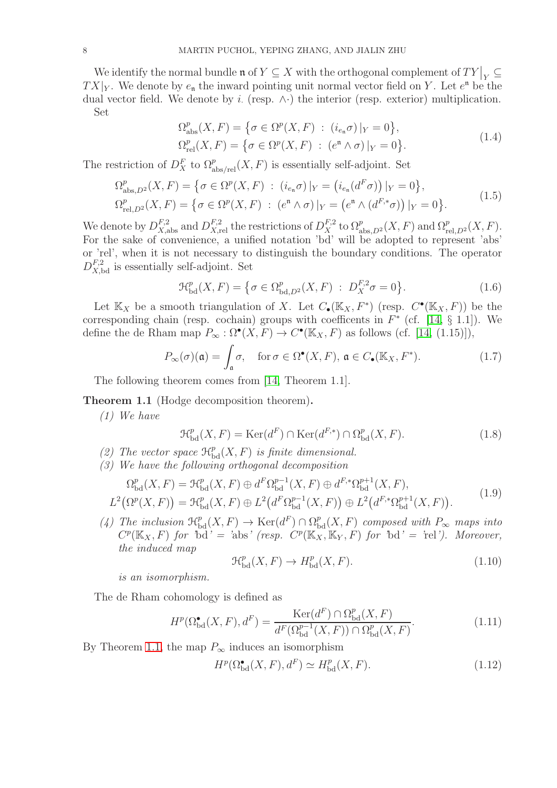We identify the normal bundle  $\mathfrak{n}$  of  $Y \subseteq X$  with the orthogonal complement of  $TY|_Y \subseteq Y$  $TX|_Y$ . We denote by  $e_n$  the inward pointing unit normal vector field on Y. Let  $e^n$  be the dual vector field. We denote by i. (resp.  $\wedge \cdot$ ) the interior (resp. exterior) multiplication. Set

<span id="page-7-4"></span><span id="page-7-0"></span>
$$
\Omega_{\text{abs}}^p(X, F) = \{ \sigma \in \Omega^p(X, F) : (i_{e_n} \sigma)|_Y = 0 \},
$$
  
\n
$$
\Omega_{\text{rel}}^p(X, F) = \{ \sigma \in \Omega^p(X, F) : (e^n \wedge \sigma)|_Y = 0 \}.
$$
\n(1.4)

The restriction of  $D_X^F$  to  $\Omega_{\text{abs/rel}}^p(X, F)$  is essentially self-adjoint. Set

$$
\Omega_{\text{abs},D^2}^p(X,F) = \left\{ \sigma \in \Omega^p(X,F) \; : \; (i_{e_n}\sigma)|_Y = (i_{e_n}(d^F\sigma))|_Y = 0 \right\},
$$
\n
$$
\Omega_{\text{rel},D^2}^p(X,F) = \left\{ \sigma \in \Omega^p(X,F) \; : \; (e^n \wedge \sigma)|_Y = (e^n \wedge (d^{F,*}\sigma))|_Y = 0 \right\}.
$$
\n
$$
(1.5)
$$

We denote by  $D_{X,\text{abs}}^{F,2}$  and  $D_{X,\text{rel}}^{F,2}$  the restrictions of  $D_X^{F,2}$  to  $\Omega_{\text{abs},D^2}^p(X,F)$  and  $\Omega_{\text{rel},D^2}^p(X,F)$ . For the sake of convenience, a unified notation 'bd' will be adopted to represent 'abs' or 'rel', when it is not necessary to distinguish the boundary conditions. The operator  $D_{X,\text{bd}}^{F,2}$  is essentially self-adjoint. Set

$$
\mathcal{H}_{\text{bd}}^{p}(X, F) = \{ \sigma \in \Omega_{\text{bd}, D^{2}}^{p}(X, F) : D_{X}^{F,2} \sigma = 0 \}.
$$
 (1.6)

Let  $\mathbb{K}_X$  be a smooth triangulation of X. Let  $C_{\bullet}(\mathbb{K}_X, F^*)$  (resp.  $C^{\bullet}(\mathbb{K}_X, F)$ ) be the corresponding chain (resp. cochain) groups with coefficents in  $F^*$  (cf. [\[14,](#page-54-6) § 1.1]). We define the de Rham map  $P_{\infty} : \Omega^{\bullet}(X, F) \to C^{\bullet}(\mathbb{K}_X, F)$  as follows (cf. [\[14,](#page-54-6) (1.15)]),

$$
P_{\infty}(\sigma)(\mathfrak{a}) = \int_{\mathfrak{a}} \sigma, \quad \text{for } \sigma \in \Omega^{\bullet}(X, F), \, \mathfrak{a} \in C_{\bullet}(\mathbb{K}_X, F^*). \tag{1.7}
$$

The following theorem comes from [\[14,](#page-54-6) Theorem 1.1].

<span id="page-7-1"></span>Theorem 1.1 (Hodge decomposition theorem).

*(1) We have*

$$
\mathcal{H}^p_{\text{bd}}(X, F) = \text{Ker}(d^F) \cap \text{Ker}(d^{F,*}) \cap \Omega^p_{\text{bd}}(X, F). \tag{1.8}
$$

- (2) The vector space  $\mathcal{H}_{\mathrm{bd}}^p(X, F)$  is finite dimensional.
- *(3) We have the following orthogonal decomposition*

$$
\Omega_{\text{bd}}^p(X, F) = \mathcal{H}_{\text{bd}}^p(X, F) \oplus d^F \Omega_{\text{bd}}^{p-1}(X, F) \oplus d^{F,*} \Omega_{\text{bd}}^{p+1}(X, F),
$$
  

$$
L^2(\Omega^p(X, F)) = \mathcal{H}_{\text{bd}}^p(X, F) \oplus L^2(d^F \Omega_{\text{bd}}^{p-1}(X, F)) \oplus L^2(d^{F,*} \Omega_{\text{bd}}^{p+1}(X, F)).
$$
\n(1.9)

(4) The inclusion  $\mathfrak{R}_{\mathrm{bd}}^p(X,F) \to \mathrm{Ker}(d^F) \cap \Omega_{\mathrm{bd}}^p(X,F)$  composed with  $P_{\infty}$  maps into  $C^p(\mathbb{K}_X, F)$  *for* 'bd' = 'abs' (resp.  $C^p(\mathbb{K}_X, \mathbb{K}_Y, F)$  *for* 'bd' = 'rel'). Moreover, *the induced map*

<span id="page-7-2"></span>
$$
\mathcal{H}_{\text{bd}}^p(X, F) \to H_{\text{bd}}^p(X, F). \tag{1.10}
$$

*is an isomorphism.*

The de Rham cohomology is defined as

$$
H^p(\Omega_{\text{bd}}^{\bullet}(X,F),d^F) = \frac{\text{Ker}(d^F) \cap \Omega_{\text{bd}}^p(X,F)}{d^F(\Omega_{\text{bd}}^{p-1}(X,F)) \cap \Omega_{\text{bd}}^p(X,F)}.
$$
\n(1.11)

By Theorem [1.1,](#page-7-1) the map  $P_{\infty}$  induces an isomorphism

<span id="page-7-3"></span>
$$
H^p(\Omega_{\text{bd}}^{\bullet}(X,F),d^F) \simeq H^p_{\text{bd}}(X,F). \tag{1.12}
$$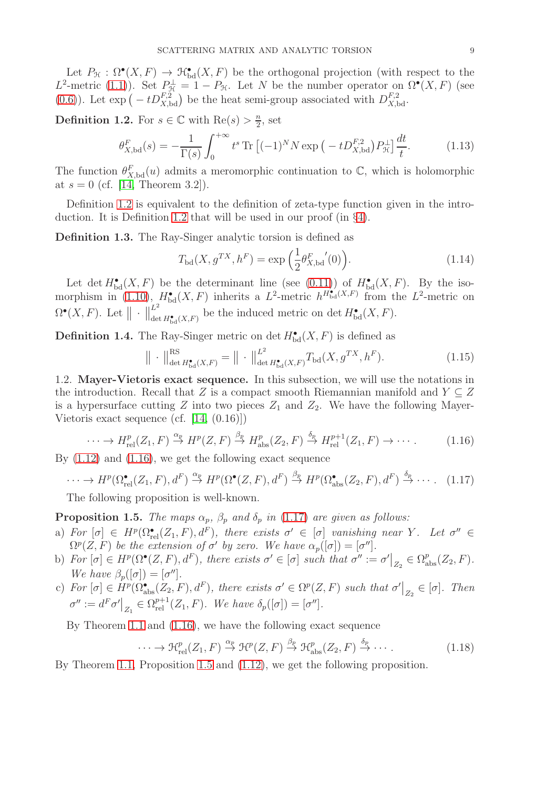Let  $P_{\mathcal{H}} : \Omega^{\bullet}(X, F) \to \mathcal{H}^{\bullet}_{\mathrm{bd}}(X, F)$  be the orthogonal projection (with respect to the L<sup>2</sup>-metric [\(1.1\)](#page-6-2)). Set  $P_{\mathcal{H}}^{\perp} = 1 - P_{\mathcal{H}}$ . Let N be the number operator on  $\Omega^{\bullet}(X, F)$  (see [\(0.6\)](#page-3-1)). Let  $\exp(-tD_{X,\text{bd}}^{F,2})$  be the heat semi-group associated with  $D_{X,\text{bd}}^{F,2}$ .

<span id="page-8-1"></span>**Definition 1.2.** For  $s \in \mathbb{C}$  with  $\text{Re}(s) > \frac{n}{2}$  $\frac{n}{2}$ , set

$$
\theta_{X,\text{bd}}^F(s) = -\frac{1}{\Gamma(s)} \int_0^{+\infty} t^s \text{Tr} \left[ (-1)^N N \exp\left( -t D_{X,\text{bd}}^{F,2} \right) P_{\mathcal{H}}^{\perp} \right] \frac{dt}{t}.
$$
 (1.13)

The function  $\theta_{X,\text{bd}}^F(u)$  admits a meromorphic continuation to  $\mathbb{C}$ , which is holomorphic at  $s = 0$  (cf. [\[14,](#page-54-6) Theorem 3.2]).

Definition [1.2](#page-8-1) is equivalent to the definition of zeta-type function given in the introduction. It is Definition [1.2](#page-8-1) that will be used in our proof (in §[4\)](#page-35-0).

Definition 1.3. The Ray-Singer analytic torsion is defined as

$$
T_{\text{bd}}(X, g^{TX}, h^{F}) = \exp\left(\frac{1}{2}\theta_{X,\text{bd}}^{F}(0)\right).
$$
 (1.14)

Let det  $H_{\mathrm{bd}}^{\bullet}(X,F)$  be the determinant line (see [\(0.11\)](#page-4-3)) of  $H_{\mathrm{bd}}^{\bullet}(X,F)$ . By the iso-morphism in [\(1.10\)](#page-7-2),  $H_{\text{bd}}^{\bullet}(X, F)$  inherits a  $L^2$ -metric  $h^{H_{\text{bd}}^{\bullet}(X, F)}$  from the  $L^2$ -metric on  $\Omega^{\bullet}(X,F)$ . Let  $\|\cdot\|_{\text{de}}^{L^2}$  $\mathcal{L}_{\det H_{\mathrm{bd}}^{\bullet}(X,F)}$  be the induced metric on det  $H_{\mathrm{bd}}^{\bullet}(X,F)$ .

<span id="page-8-5"></span>**Definition 1.4.** The Ray-Singer metric on det  $H_{\mathrm{bd}}^{\bullet}(X, F)$  is defined as

$$
\| \cdot \|_{\det H^{\bullet}_{\mathrm{bd}}(X,F)}^{\mathrm{RS}} = \| \cdot \|_{\det H^{\bullet}_{\mathrm{bd}}(X,F)}^{\mathrm{L}^2} T_{\mathrm{bd}}(X,g^{TX},h^F). \tag{1.15}
$$

<span id="page-8-0"></span>1.2. Mayer-Vietoris exact sequence. In this subsection, we will use the notations in the introduction. Recall that Z is a compact smooth Riemannian manifold and  $Y \subseteq Z$ is a hypersurface cutting Z into two pieces  $Z_1$  and  $Z_2$ . We have the following Mayer-Vietoris exact sequence (cf. [\[14,](#page-54-6) (0.16)])

<span id="page-8-2"></span>
$$
\cdots \to H_{\mathrm{rel}}^p(Z_1, F) \xrightarrow{\alpha_p} H^p(Z, F) \xrightarrow{\beta_p} H_{\mathrm{abs}}^p(Z_2, F) \xrightarrow{\delta_p} H_{\mathrm{rel}}^{p+1}(Z_1, F) \to \cdots. \tag{1.16}
$$

By [\(1.12\)](#page-7-3) and [\(1.16\)](#page-8-2), we get the following exact sequence

<span id="page-8-3"></span>
$$
\cdots \to H^p(\Omega_{\text{rel}}^{\bullet}(Z_1, F), d^F) \stackrel{\alpha_p}{\to} H^p(\Omega^{\bullet}(Z, F), d^F) \stackrel{\beta_p}{\to} H^p(\Omega_{\text{abs}}^{\bullet}(Z_2, F), d^F) \stackrel{\delta_p}{\to} \cdots. \tag{1.17}
$$

The following proposition is well-known.

<span id="page-8-4"></span>**Proposition 1.5.** *The maps*  $\alpha_p$ ,  $\beta_p$  *and*  $\delta_p$  *in* [\(1.17\)](#page-8-3) *are given as follows:* 

- a)  $For \ [\sigma] \in H^p(\Omega_{rel}^{\bullet}(Z_1, F), d^F),$  there exists  $\sigma' \in [\sigma]$  vanishing near Y. Let  $\sigma'' \in$  $\Omega^p(Z, F)$  *be the extension of*  $\sigma'$  *by zero. We have*  $\alpha_p([\sigma]) = [\sigma'']$ *.*
- b)  $For \ [\sigma] \in H^p(\Omega^{\bullet}(Z, F), d^F), there exists \ \sigma' \in [\sigma] \ such \ that \ \sigma'' := \sigma' \big|_{Z_2} \in \Omega^p_{\text{abs}}(Z_2, F).$ *We have*  $\beta_p([\sigma]) = [\sigma'']$ *.*
- c) For  $[\sigma] \in H^p(\Omega_{\text{abs}}^{\bullet}(Z_2, F), d^F)$ , there exists  $\sigma' \in \Omega^p(Z, F)$  such that  $\sigma' \big|_{Z_2} \in [\sigma]$ . Then  $\sigma'':=d^F\sigma'\big|_{Z_1}\in \Omega^{p+1}_{\mathrm{rel}}(Z_1,F).$  We have  $\delta_p([\sigma])=[\sigma''].$

By Theorem [1.1](#page-7-1) and [\(1.16\)](#page-8-2), we have the following exact sequence

$$
\cdots \to \mathcal{H}^p_{\text{rel}}(Z_1, F) \xrightarrow{\alpha_p} \mathcal{H}^p(Z, F) \xrightarrow{\beta_p} \mathcal{H}^p_{\text{abs}}(Z_2, F) \xrightarrow{\delta_p} \cdots
$$
 (1.18)

By Theorem [1.1,](#page-7-1) Proposition [1.5](#page-8-4) and [\(1.12\)](#page-7-3), we get the following proposition.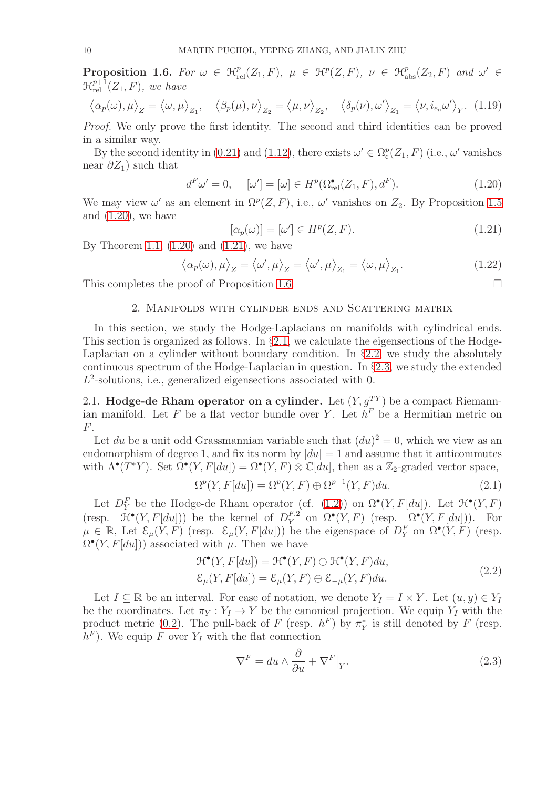<span id="page-9-4"></span>**Proposition 1.6.** For  $\omega \in \mathcal{H}_{rel}^p(Z_1, F)$ ,  $\mu \in \mathcal{H}^p(Z, F)$ ,  $\nu \in \mathcal{H}_{abs}^p(Z_2, F)$  and  $\omega' \in$  $\mathfrak{R}^{p+1}_{\mathrm{rel}}(Z_1,F)$ *, we have* 

$$
\left\langle \alpha_p(\omega), \mu \right\rangle_Z = \left\langle \omega, \mu \right\rangle_{Z_1}, \quad \left\langle \beta_p(\mu), \nu \right\rangle_{Z_2} = \left\langle \mu, \nu \right\rangle_{Z_2}, \quad \left\langle \delta_p(\nu), \omega' \right\rangle_{Z_1} = \left\langle \nu, i_{e_n} \omega' \right\rangle_{Y}. (1.19)
$$

*Proof.* We only prove the first identity. The second and third identities can be proved in a similar way.

By the second identity in [\(0.21\)](#page-5-4) and [\(1.12\)](#page-7-3), there exists  $\omega' \in \Omega_c^p(Z_1, F)$  (i.e.,  $\omega'$  vanishes near  $\partial Z_1$ ) such that

<span id="page-9-2"></span>
$$
d^F \omega' = 0, \quad [\omega'] = [\omega] \in H^p(\Omega_{\text{rel}}^{\bullet}(Z_1, F), d^F). \tag{1.20}
$$

We may view  $\omega'$  as an element in  $\Omega^p(Z, F)$ , i.e.,  $\omega'$  vanishes on  $Z_2$ . By Proposition [1.5](#page-8-4) and  $(1.20)$ , we have

<span id="page-9-3"></span>
$$
[\alpha_p(\omega)] = [\omega'] \in H^p(Z, F). \tag{1.21}
$$

By Theorem [1.1,](#page-7-1)  $(1.20)$  and  $(1.21)$ , we have

$$
\langle \alpha_p(\omega), \mu \rangle_Z = \langle \omega', \mu \rangle_Z = \langle \omega', \mu \rangle_{Z_1} = \langle \omega, \mu \rangle_{Z_1}.
$$
 (1.22)

<span id="page-9-0"></span>This completes the proof of Proposition [1.6.](#page-9-4)  $\Box$ 

### 2. Manifolds with cylinder ends and Scattering matrix

In this section, we study the Hodge-Laplacians on manifolds with cylindrical ends. This section is organized as follows. In §[2.1,](#page-9-1) we calculate the eigensections of the Hodge-Laplacian on a cylinder without boundary condition. In §[2.2,](#page-11-0) we study the absolutely continuous spectrum of the Hodge-Laplacian in question. In §[2.3,](#page-14-0) we study the extended  $L^2$ -solutions, i.e., generalized eigensections associated with 0.

<span id="page-9-1"></span>2.1. **Hodge-de Rham operator on a cylinder.** Let  $(Y, g^{TY})$  be a compact Riemannian manifold. Let F be a flat vector bundle over Y. Let  $h^F$  be a Hermitian metric on  $F<sub>r</sub>$ 

Let du be a unit odd Grassmannian variable such that  $(du)^2 = 0$ , which we view as an endomorphism of degree 1, and fix its norm by  $|du| = 1$  and assume that it anticommutes with  $\Lambda^{\bullet}(T^*Y)$ . Set  $\Omega^{\bullet}(Y, F[du]) = \Omega^{\bullet}(Y, F) \otimes \mathbb{C}[du]$ , then as a  $\mathbb{Z}_2$ -graded vector space,

$$
\Omega^{p}(Y, F[du]) = \Omega^{p}(Y, F) \oplus \Omega^{p-1}(Y, F)du.
$$
\n(2.1)

Let  $D_Y^F$  be the Hodge-de Rham operator (cf. [\(1.2\)](#page-6-3)) on  $\Omega^{\bullet}(Y, F[du])$ . Let  $\mathcal{H}^{\bullet}(Y, F)$ (resp.  $\mathcal{H}^{\bullet}(Y, F[du])$ ) be the kernel of  $D_Y^{F,2}$  $Y^{F,2}$  on  $\Omega^{\bullet}(Y, F)$  (resp.  $\Omega^{\bullet}(Y, F[du])$ ). For  $\mu \in \mathbb{R}$ , Let  $\mathcal{E}_{\mu}(Y, F)$  (resp.  $\mathcal{E}_{\mu}(Y, F[du])$ ) be the eigenspace of  $D_Y^F$  on  $\Omega^{\bullet}(Y, F)$  (resp.  $\Omega^{\bullet}(Y, F[du])$  associated with  $\mu$ . Then we have

$$
\mathcal{H}^{\bullet}(Y, F[du]) = \mathcal{H}^{\bullet}(Y, F) \oplus \mathcal{H}^{\bullet}(Y, F) du,
$$
  
\n
$$
\mathcal{E}_{\mu}(Y, F[du]) = \mathcal{E}_{\mu}(Y, F) \oplus \mathcal{E}_{-\mu}(Y, F) du.
$$
\n(2.2)

Let  $I \subseteq \mathbb{R}$  be an interval. For ease of notation, we denote  $Y_I = I \times Y$ . Let  $(u, y) \in Y_I$ be the coordinates. Let  $\pi_Y : Y_I \to Y$  be the canonical projection. We equip  $Y_I$  with the product metric [\(0.2\)](#page-2-0). The pull-back of F (resp.  $h^F$ ) by  $\pi_Y^*$  is still denoted by F (resp.  $h^F$ ). We equip F over  $Y_I$  with the flat connection

$$
\nabla^{F} = du \wedge \frac{\partial}{\partial u} + \nabla^{F}|_{Y}.
$$
\n(2.3)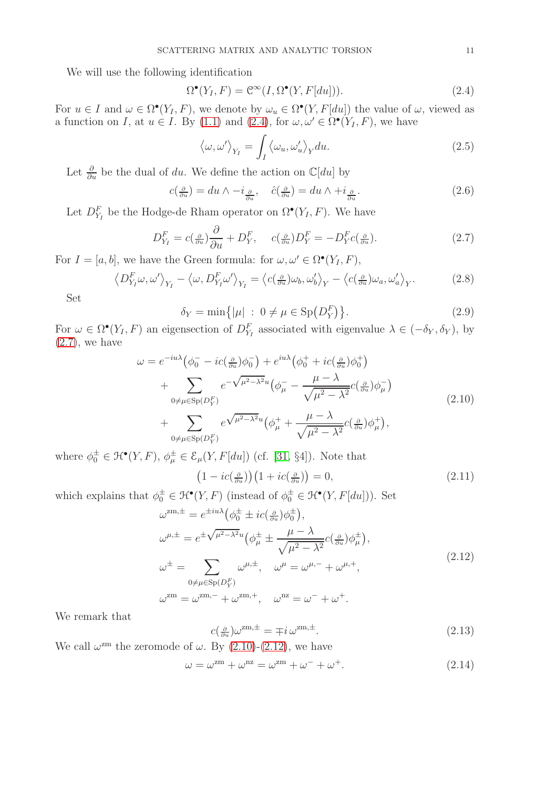We will use the following identification

<span id="page-10-0"></span>
$$
\Omega^{\bullet}(Y_I, F) = \mathcal{C}^{\infty}(I, \Omega^{\bullet}(Y, F[du])). \tag{2.4}
$$

For  $u \in I$  and  $\omega \in \Omega^{\bullet}(Y_I, F)$ , we denote by  $\omega_u \in \Omega^{\bullet}(Y, F[du])$  the value of  $\omega$ , viewed as a function on I, at  $u \in I$ . By [\(1.1\)](#page-6-2) and [\(2.4\)](#page-10-0), for  $\omega, \omega' \in \Omega^{\bullet}(Y_I, F)$ , we have

$$
\langle \omega, \omega' \rangle_{Y_I} = \int_I \langle \omega_u, \omega'_u \rangle_Y du. \tag{2.5}
$$

Let  $\frac{\partial}{\partial u}$  be the dual of du. We define the action on  $\mathbb{C}[du]$  by

$$
c\left(\frac{\partial}{\partial u}\right) = du \wedge -i_{\frac{\partial}{\partial u}}, \quad \hat{c}\left(\frac{\partial}{\partial u}\right) = du \wedge +i_{\frac{\partial}{\partial u}}.\tag{2.6}
$$

Let  $D_{Y_I}^F$  be the Hodge-de Rham operator on  $\Omega^{\bullet}(Y_I, F)$ . We have

<span id="page-10-1"></span>
$$
D_{Y_I}^F = c\left(\frac{\partial}{\partial u}\right)\frac{\partial}{\partial u} + D_Y^F, \quad c\left(\frac{\partial}{\partial u}\right)D_Y^F = -D_Y^F c\left(\frac{\partial}{\partial u}\right). \tag{2.7}
$$

For  $I = [a, b]$ , we have the Green formula: for  $\omega, \omega' \in \Omega^{\bullet}(Y_I, F)$ ,

$$
D_{Y_I}^F \omega, \omega' \rangle_{Y_I} - \langle \omega, D_{Y_I}^F \omega' \rangle_{Y_I} = \langle c(\frac{\partial}{\partial u}) \omega_b, \omega'_b \rangle_Y - \langle c(\frac{\partial}{\partial u}) \omega_a, \omega'_a \rangle_Y. \tag{2.8}
$$

Set

<span id="page-10-7"></span> $\langle$ 

<span id="page-10-5"></span>
$$
\delta_Y = \min\{|\mu| \,:\, 0 \neq \mu \in \text{Sp}(D_Y^F)\}.
$$
\n
$$
(2.9)
$$

For  $\omega \in \Omega^{\bullet}(Y_I, F)$  an eigensection of  $D_{Y_I}^F$  associated with eigenvalue  $\lambda \in (-\delta_Y, \delta_Y)$ , by  $(2.7)$ , we have

$$
\omega = e^{-iu\lambda} \left( \phi_0^- - ic(\frac{\partial}{\partial u}) \phi_0^- \right) + e^{iu\lambda} \left( \phi_0^+ + ic(\frac{\partial}{\partial u}) \phi_0^+ \right)
$$
  
+ 
$$
\sum_{0 \neq \mu \in \text{Sp}(D_Y^F)} e^{-\sqrt{\mu^2 - \lambda^2}u} \left( \phi_\mu^- - \frac{\mu - \lambda}{\sqrt{\mu^2 - \lambda^2}} c(\frac{\partial}{\partial u}) \phi_\mu^- \right)
$$
  
+ 
$$
\sum_{0 \neq \mu \in \text{Sp}(D_Y^F)} e^{\sqrt{\mu^2 - \lambda^2}u} \left( \phi_\mu^+ + \frac{\mu - \lambda}{\sqrt{\mu^2 - \lambda^2}} c(\frac{\partial}{\partial u}) \phi_\mu^+ \right),
$$
(2.10)

where  $\phi_0^{\pm} \in \mathcal{H}^{\bullet}(Y, F), \phi_{\mu}^{\pm} \in \mathcal{E}_{\mu}(Y, F[du])$  (cf. [\[31,](#page-55-8) §4]). Note that

<span id="page-10-4"></span><span id="page-10-2"></span>
$$
\left(1 - ic\left(\frac{\partial}{\partial u}\right)\right)\left(1 + ic\left(\frac{\partial}{\partial u}\right)\right) = 0,\tag{2.11}
$$

which explains that  $\phi_0^{\pm} \in \mathcal{H}^{\bullet}(Y, F)$  (instead of  $\phi_0^{\pm} \in \mathcal{H}^{\bullet}(Y, F[du])$ ). Set

$$
\omega^{\text{zm},\pm} = e^{\pm i u \lambda} \left( \phi_0^{\pm} \pm i c \left( \frac{\partial}{\partial u} \right) \phi_0^{\pm} \right),
$$
  
\n
$$
\omega^{\mu,\pm} = e^{\pm \sqrt{\mu^2 - \lambda^2} u} \left( \phi_\mu^{\pm} \pm \frac{\mu - \lambda}{\sqrt{\mu^2 - \lambda^2}} c \left( \frac{\partial}{\partial u} \right) \phi_\mu^{\pm} \right),
$$
  
\n
$$
\omega^{\pm} = \sum_{0 \neq \mu \in \text{Sp}(D_Y^F)} \omega^{\mu,\pm}, \quad \omega^{\mu} = \omega^{\mu,-} + \omega^{\mu,+},
$$
  
\n
$$
\omega^{\text{zm}} = \omega^{\text{zm},-} + \omega^{\text{zm},+}, \quad \omega^{\text{nz}} = \omega^- + \omega^+.
$$
\n(2.12)

We remark that

<span id="page-10-3"></span>
$$
c(\tfrac{\partial}{\partial u})\omega^{\text{zm},\pm} = \mp i\,\omega^{\text{zm},\pm}.\tag{2.13}
$$

We call  $\omega^{\text{zm}}$  the zeromode of  $\omega$ . By [\(2.10\)](#page-10-2)-[\(2.12\)](#page-10-3), we have

<span id="page-10-6"></span>
$$
\omega = \omega^{\text{zm}} + \omega^{\text{nz}} = \omega^{\text{zm}} + \omega^- + \omega^+.
$$
 (2.14)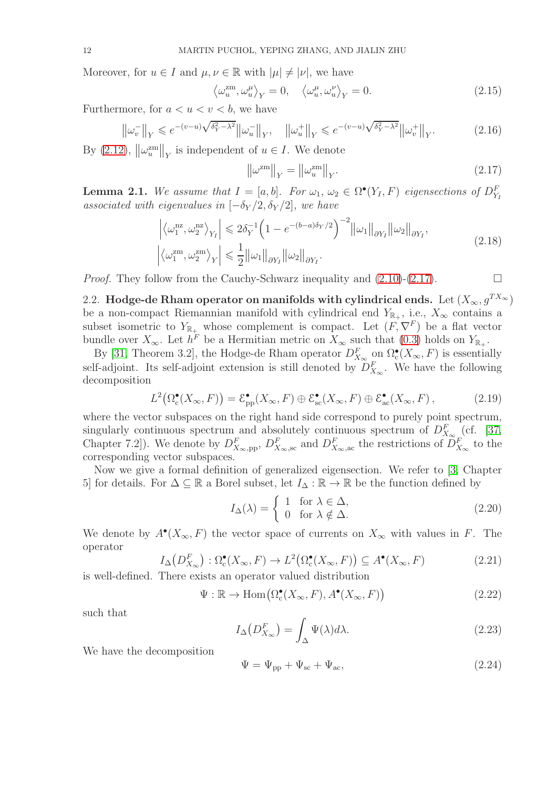Moreover, for  $u \in I$  and  $\mu, \nu \in \mathbb{R}$  with  $|\mu| \neq |\nu|$ , we have

$$
\left\langle \omega_u^{\text{zm}}, \omega_u^{\mu} \right\rangle_Y = 0, \quad \left\langle \omega_u^{\mu}, \omega_u^{\nu} \right\rangle_Y = 0. \tag{2.15}
$$

Furthermore, for  $a < u < v < b$ , we have

<span id="page-11-3"></span>
$$
\left\|\omega_v^-\right\|_Y \leqslant e^{-(v-u)\sqrt{\delta_Y^2 - \lambda^2}} \left\|\omega_u^-\right\|_Y, \quad \left\|\omega_u^+\right\|_Y \leqslant e^{-(v-u)\sqrt{\delta_Y^2 - \lambda^2}} \left\|\omega_v^+\right\|_Y. \tag{2.16}
$$

By [\(2.12\)](#page-10-3),  $\left\|\omega_u^{\text{zm}}\right\|_Y$  is independent of  $u \in I$ . We denote

<span id="page-11-1"></span>
$$
\left\|\omega^{\text{zm}}\right\|_{Y} = \left\|\omega^{\text{zm}}_{u}\right\|_{Y}.
$$
\n(2.17)

<span id="page-11-2"></span>**Lemma 2.1.** We assume that  $I = [a, b]$ . For  $\omega_1, \omega_2 \in \Omega^{\bullet}(Y_I, F)$  eigensections of  $D_{Y_I}^F$ *associated with eigenvalues in*  $[-\delta_Y/2, \delta_Y/2]$ *, we have* 

$$
\left| \left\langle \omega_1^{\text{nz}}, \omega_2^{\text{nz}} \right\rangle_{Y_I} \right| \leqslant 2\delta_Y^{-1} \left( 1 - e^{-(b-a)\delta_Y/2} \right)^{-2} \left\| \omega_1 \right\|_{\partial Y_I} \left\| \omega_2 \right\|_{\partial Y_I},
$$
\n
$$
\left| \left\langle \omega_1^{\text{zm}}, \omega_2^{\text{zm}} \right\rangle_Y \right| \leqslant \frac{1}{2} \left\| \omega_1 \right\|_{\partial Y_I} \left\| \omega_2 \right\|_{\partial Y_I}.
$$
\n(2.18)

<span id="page-11-0"></span>*Proof.* They follow from the Cauchy-Schwarz inequality and  $(2.10)-(2.17)$  $(2.10)-(2.17)$ .

2.2. Hodge-de Rham operator on manifolds with cylindrical ends. Let  $(X_\infty, g^{TX_\infty})$ be a non-compact Riemannian manifold with cylindrical end  $Y_{\mathbb{R}_+}$ , i.e.,  $X_{\infty}$  contains a subset isometric to  $Y_{\mathbb{R}_+}$  whose complement is compact. Let  $(F, \nabla^F)$  be a flat vector bundle over  $X_{\infty}$ . Let  $h^F$  be a Hermitian metric on  $X_{\infty}$  such that [\(0.3\)](#page-2-1) holds on  $Y_{\mathbb{R}_+}$ .

By [\[31,](#page-55-8) Theorem 3.2], the Hodge-de Rham operator  $D_{X_\infty}^F$  on  $\Omega_c^{\bullet}(X_\infty, F)$  is essentially self-adjoint. Its self-adjoint extension is still denoted by  $D_{X_{\infty}}^F$ . We have the following decomposition

<span id="page-11-4"></span>
$$
L^{2}\big(\Omega_{\rm c}^{\bullet}(X_{\infty},F)\big)=\mathcal{E}_{\rm pp}^{\bullet}(X_{\infty},F)\oplus\mathcal{E}_{\rm sc}^{\bullet}(X_{\infty},F)\oplus\mathcal{E}_{\rm ac}^{\bullet}(X_{\infty},F)\,,\tag{2.19}
$$

where the vector subspaces on the right hand side correspond to purely point spectrum, singularly continuous spectrum and absolutely continuous spectrum of  $D_{X_{\infty}}^F$  (cf. [\[37,](#page-55-11) Chapter 7.2]). We denote by  $D_{X_\infty,pp}^F$ ,  $D_{X_\infty,sc}^F$  and  $D_{X_\infty,ac}^F$  the restrictions of  $D_{X_\infty}^F$  to the corresponding vector subspaces.

Now we give a formal definition of generalized eigensection. We refer to [\[3,](#page-54-24) Chapter 5] for details. For  $\Delta \subseteq \mathbb{R}$  a Borel subset, let  $I_{\Delta} : \mathbb{R} \to \mathbb{R}$  be the function defined by

$$
I_{\Delta}(\lambda) = \begin{cases} 1 & \text{for } \lambda \in \Delta, \\ 0 & \text{for } \lambda \notin \Delta. \end{cases}
$$
 (2.20)

We denote by  $A^{\bullet}(X_{\infty}, F)$  the vector space of currents on  $X_{\infty}$  with values in F. The operator

$$
I_{\Delta}(D_{X_{\infty}}^{F}) : \Omega_{\mathbf{c}}^{\bullet}(X_{\infty}, F) \to L^{2}(\Omega_{\mathbf{c}}^{\bullet}(X_{\infty}, F)) \subseteq A^{\bullet}(X_{\infty}, F)
$$
\n(2.21)

is well-defined. There exists an operator valued distribution

$$
\Psi : \mathbb{R} \to \text{Hom}\big(\Omega_{\text{c}}^{\bullet}(X_{\infty}, F), A^{\bullet}(X_{\infty}, F)\big) \tag{2.22}
$$

such that

$$
I_{\Delta}\left(D_{X_{\infty}}^{F}\right) = \int_{\Delta} \Psi(\lambda) d\lambda. \tag{2.23}
$$

We have the decomposition

$$
\Psi = \Psi_{\rm pp} + \Psi_{\rm sc} + \Psi_{\rm ac},\tag{2.24}
$$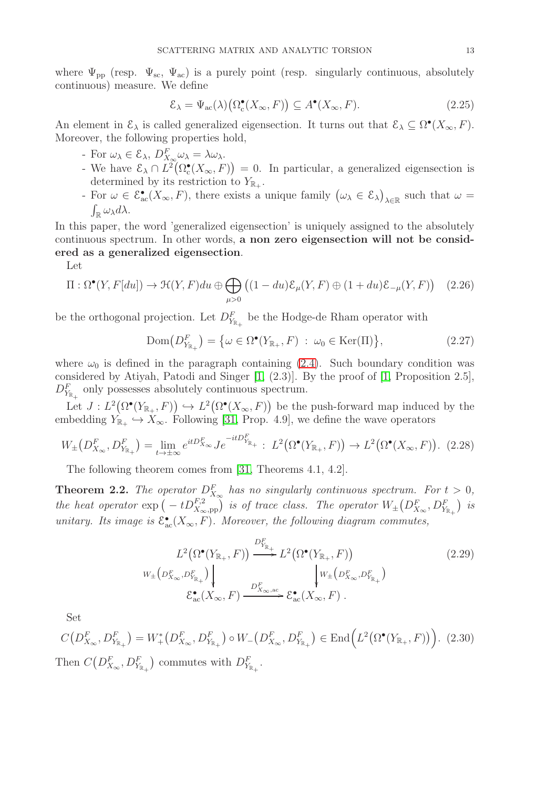where  $\Psi_{\text{pp}}$  (resp.  $\Psi_{\text{sc}}$ ,  $\Psi_{\text{ac}}$ ) is a purely point (resp. singularly continuous, absolutely continuous) measure. We define

$$
\mathcal{E}_{\lambda} = \Psi_{\text{ac}}(\lambda) \big( \Omega_{\text{c}}^{\bullet}(X_{\infty}, F) \big) \subseteq A^{\bullet}(X_{\infty}, F). \tag{2.25}
$$

An element in  $\mathcal{E}_{\lambda}$  is called generalized eigensection. It turns out that  $\mathcal{E}_{\lambda} \subseteq \Omega^{\bullet}(X_{\infty}, F)$ . Moreover, the following properties hold,

- For  $\omega_{\lambda} \in \mathcal{E}_{\lambda}, D_{X_{\infty}}^F \omega_{\lambda} = \lambda \omega_{\lambda}$ .
- We have  $\mathcal{E}_{\lambda} \cap L^2(\Omega_c^{\bullet}(X_{\infty}, F)) = 0$ . In particular, a generalized eigensection is determined by its restriction to  $Y_{\mathbb{R}_+}$ .
- For  $\omega \in \mathcal{E}_{ac}(\overline{X}_{\infty}, F)$ , there exists a unique family  $(\omega_{\lambda} \in \mathcal{E}_{\lambda})$  $\lambda \in \mathbb{R}$  such that  $\omega =$  $\int_{\mathbb{R}} \omega_{\lambda} d\lambda.$

In this paper, the word 'generalized eigensection' is uniquely assigned to the absolutely continuous spectrum. In other words, a non zero eigensection will not be considered as a generalized eigensection.

Let

$$
\Pi : \Omega^{\bullet}(Y, F[du]) \to \mathcal{H}(Y, F) du \oplus \bigoplus_{\mu > 0} \left( (1 - du) \mathcal{E}_{\mu}(Y, F) \oplus (1 + du) \mathcal{E}_{-\mu}(Y, F) \right) \quad (2.26)
$$

be the orthogonal projection. Let  $D_{Y_{\mathbb{R}_+}}^F$  be the Hodge-de Rham operator with

<span id="page-12-0"></span>
$$
Dom(D_{Y_{\mathbb{R}_+}}^F) = \{ \omega \in \Omega^{\bullet}(Y_{\mathbb{R}_+}, F) : \omega_0 \in \text{Ker}(\Pi) \},
$$
\n(2.27)

where  $\omega_0$  is defined in the paragraph containing [\(2.4\)](#page-10-0). Such boundary condition was considered by Atiyah, Patodi and Singer [\[1,](#page-54-25) (2.3)]. By the proof of [\[1,](#page-54-25) Proposition 2.5],  $D_{Y_{\mathbb{R}_+}}^F$  only possesses absolutely continuous spectrum.

Let  $J: L^2(\Omega^{\bullet}(Y_{\mathbb{R}_+}, F)) \hookrightarrow L^2(\Omega^{\bullet}(X_{\infty}, F))$  be the push-forward map induced by the embedding  $Y_{\mathbb{R}_+} \hookrightarrow X_\infty$ . Following [\[31,](#page-55-8) Prop. 4.9], we define the wave operators

$$
W_{\pm}\left(D_{X_{\infty}}^{F},D_{Y_{\mathbb{R}_{+}}^{F}}^{F}\right) = \lim_{t \to \pm \infty} e^{itD_{X_{\infty}}^{F}} J e^{-itD_{Y_{\mathbb{R}_{+}}^{F}}^{F}} : L^{2}\left(\Omega^{\bullet}(Y_{\mathbb{R}_{+}}, F)\right) \to L^{2}\left(\Omega^{\bullet}(X_{\infty}, F)\right). (2.28)
$$

The following theorem comes from [\[31,](#page-55-8) Theorems 4.1, 4.2].

**Theorem 2.2.** The operator  $D_{X_{\infty}}^F$  has no singularly continuous spectrum. For  $t > 0$ , *the heat operator*  $\exp\left(-tD_{X_{\infty},\text{pp}}^{F,2}\right)$  *is of trace class. The operator*  $W_{\pm}\left(D_{X_{\infty}}^F, D_{Y_{\mathbb{R}_+}}^F\right)$  *is unitary. Its image is*  $\mathcal{E}_{ac}^{\bullet}(X_{\infty}, F)$ *. Moreover, the following diagram commutes,* 

$$
L^{2}\left(\Omega^{\bullet}(Y_{\mathbb{R}_{+}},F)\right) \xrightarrow{D_{Y_{\mathbb{R}_{+}}}^{F}} L^{2}\left(\Omega^{\bullet}(Y_{\mathbb{R}_{+}},F)\right) \qquad (2.29)
$$
\n
$$
w_{\pm}\left(D_{X_{\infty}}^{F},D_{Y_{\mathbb{R}_{+}}}^{F}\right) \qquad \qquad \downarrow W_{\pm}\left(D_{X_{\infty}}^{F},D_{Y_{\mathbb{R}_{+}}}^{F}\right) \qquad (2.29)
$$
\n
$$
\mathcal{E}_{ac}^{\bullet}(X_{\infty},F)\xrightarrow{D_{X_{\infty,ac}}^{F}} \mathcal{E}_{ac}^{\bullet}(X_{\infty},F) .
$$

Set

$$
C(D_{X_{\infty}}^{F}, D_{Y_{\mathbb{R}_{+}}}^{F}) = W_{+}^{*}(D_{X_{\infty}}^{F}, D_{Y_{\mathbb{R}_{+}}}^{F}) \circ W_{-}(D_{X_{\infty}}^{F}, D_{Y_{\mathbb{R}_{+}}}^{F}) \in \text{End}\Big(L^{2}(\Omega^{\bullet}(Y_{\mathbb{R}_{+}}, F))\Big). \tag{2.30}
$$
  
Then  $C(D_{X_{\infty}}^{F}, D_{Y_{\mathbb{R}_{+}}}^{F})$  commutes with  $D_{Y_{\mathbb{R}_{+}}}^{F}$ .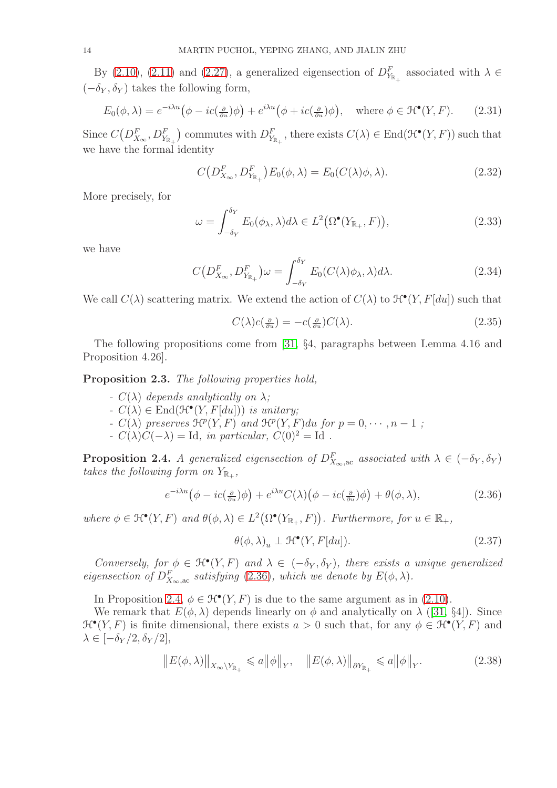By [\(2.10\)](#page-10-2), [\(2.11\)](#page-10-4) and [\(2.27\)](#page-12-0), a generalized eigensection of  $D_{Y_{\mathbb{R}_+}}^F$  associated with  $\lambda \in$  $(-\delta_Y, \delta_Y)$  takes the following form,

$$
E_0(\phi, \lambda) = e^{-i\lambda u} \left( \phi - ic(\frac{\partial}{\partial u})\phi \right) + e^{i\lambda u} \left( \phi + ic(\frac{\partial}{\partial u})\phi \right), \quad \text{where } \phi \in \mathcal{H}^\bullet(Y, F). \tag{2.31}
$$

Since  $C(D_{X_{\infty}}^F, D_{Y_{\mathbb{R}_+}}^F$ ) commutes with  $D_{Y_{\mathbb{R}_+}}^F$ , there exists  $C(\lambda) \in \text{End}(\mathcal{H}^\bullet(Y,F))$  such that we have the formal identity

<span id="page-13-2"></span>
$$
C\left(D_{X_{\infty}}^F, D_{Y_{\mathbb{R}_+}}^F\right)E_0(\phi, \lambda) = E_0(C(\lambda)\phi, \lambda). \tag{2.32}
$$

More precisely, for

$$
\omega = \int_{-\delta_Y}^{\delta_Y} E_0(\phi_\lambda, \lambda) d\lambda \in L^2(\Omega^\bullet(Y_{\mathbb{R}_+}, F)), \tag{2.33}
$$

we have

$$
C\left(D_{X_{\infty}}^F, D_{Y_{\mathbb{R}_+}}^F\right)\omega = \int_{-\delta_Y}^{\delta_Y} E_0(C(\lambda)\phi_\lambda, \lambda)d\lambda.
$$
 (2.34)

We call  $C(\lambda)$  scattering matrix. We extend the action of  $C(\lambda)$  to  $\mathcal{H}^{\bullet}(Y, F[du])$  such that

<span id="page-13-3"></span>
$$
C(\lambda)c(\tfrac{\partial}{\partial u}) = -c(\tfrac{\partial}{\partial u})C(\lambda).
$$
\n(2.35)

The following propositions come from [\[31,](#page-55-8) §4, paragraphs between Lemma 4.16 and Proposition 4.26].

<span id="page-13-4"></span>Proposition 2.3. *The following properties hold,*

- $-C(\lambda)$  *depends analytically on*  $\lambda$ *;*
- $-C(\lambda) \in \text{End}(\mathcal{H}^{\bullet}(Y, F[du]))$  *is unitary;*
- $-C(\lambda)$  preserves  $\mathcal{H}^p(Y, F)$  and  $\mathcal{H}^p(Y, F)du$  for  $p = 0, \dots, n-1$ ;
- $C(λ)C(−λ) =$ Id, *in particular*,  $C(0)<sup>2</sup> =$ Id.

<span id="page-13-1"></span>**Proposition 2.4.** *A generalized eigensection of*  $D_{X_{\infty},\text{ac}}^F$  associated with  $\lambda \in (-\delta_Y, \delta_Y)$ takes the following form on  $Y_{\mathbb{R}_+}$ ,

<span id="page-13-0"></span>
$$
e^{-i\lambda u}(\phi - ic(\tfrac{\partial}{\partial u})\phi) + e^{i\lambda u}C(\lambda)(\phi - ic(\tfrac{\partial}{\partial u})\phi) + \theta(\phi, \lambda), \qquad (2.36)
$$

where  $\phi \in \mathfrak{H}^{\bullet}(Y, F)$  and  $\theta(\phi, \lambda) \in L^{2}(\Omega^{\bullet}(Y_{\mathbb{R}_{+}}, F))$ . Furthermore, for  $u \in \mathbb{R}_{+}$ ,

<span id="page-13-5"></span>
$$
\theta(\phi,\lambda)_u \perp \mathcal{H}^\bullet(Y,F[du]). \tag{2.37}
$$

*Conversely, for*  $\phi \in \mathcal{H}^{\bullet}(Y, F)$  *and*  $\lambda \in (-\delta_Y, \delta_Y)$ *, there exists a unique generalized eigensection of*  $D_{X_{\infty},\text{ac}}^F$  *satisfying* [\(2.36\)](#page-13-0)*, which we denote by*  $E(\phi, \lambda)$ *.* 

In Proposition [2.4,](#page-13-1)  $\phi \in \mathcal{H}^{\bullet}(Y, F)$  is due to the same argument as in [\(2.10\)](#page-10-2).

We remark that  $E(\phi, \lambda)$  depends linearly on  $\phi$  and analytically on  $\lambda$  ([\[31,](#page-55-8) §4]). Since  $\mathcal{H}^{\bullet}(Y, F)$  is finite dimensional, there exists  $a > 0$  such that, for any  $\phi \in \mathcal{H}^{\bullet}(Y, F)$  and  $\lambda \in [-\delta_Y/2, \delta_Y/2],$ 

<span id="page-13-6"></span>
$$
\|E(\phi,\lambda)\|_{X_{\infty}\setminus Y_{\mathbb{R}_+}} \leqslant a \|\phi\|_{Y}, \quad \|E(\phi,\lambda)\|_{\partial Y_{\mathbb{R}_+}} \leqslant a \|\phi\|_{Y}.
$$
 (2.38)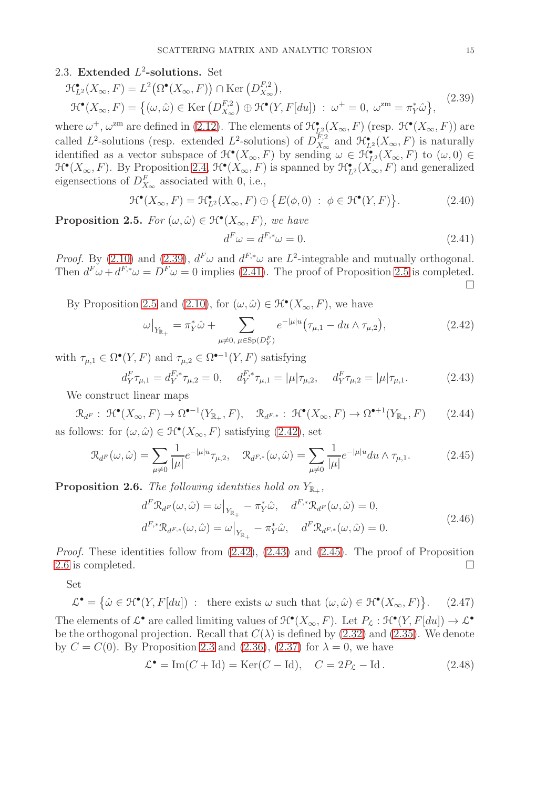# <span id="page-14-0"></span>2.3. Extended  $L^2$ -solutions. Set

$$
\mathcal{H}_{L^2}^{\bullet}(X_{\infty}, F) = L^2(\Omega^{\bullet}(X_{\infty}, F)) \cap \text{Ker}\left(D_{X_{\infty}}^{F,2}\right),
$$
  

$$
\mathcal{H}^{\bullet}(X_{\infty}, F) = \{(\omega, \hat{\omega}) \in \text{Ker}\left(D_{X_{\infty}}^{F,2}\right) \oplus \mathcal{H}^{\bullet}(Y, F[du]) : \omega^+ = 0, \ \omega^{\text{zm}} = \pi_Y^* \hat{\omega}\},
$$
(2.39)

where  $\omega^+$ ,  $\omega^{\text{zm}}$  are defined in [\(2.12\)](#page-10-3). The elements of  $\mathcal{H}_{L_1^2}^{\bullet}(X_\infty, F)$  (resp.  $\mathcal{H}^{\bullet}(X_\infty, F)$ ) are called  $L^2$ -solutions (resp. extended  $L^2$ -solutions) of  $D_{X_\infty}^{F,2}$  $\mathcal{H}_{X_\infty}^{F,2}$  and  $\mathcal{H}_{L^2}^{\bullet}(X_\infty,F)$  is naturally identified as a vector subspace of  $\mathcal{H}^{\bullet}(X_{\infty}, F)$  by sending  $\omega \in \mathcal{H}^{\bullet}_{L^2}(X_{\infty}, F)$  to  $(\omega, 0) \in$  $\mathcal{H}^{\bullet}(X_{\infty}, F)$ . By Proposition [2.4,](#page-13-1)  $\mathcal{H}^{\bullet}(X_{\infty}, F)$  is spanned by  $\mathcal{H}^{\bullet}_{L^2}(X_{\infty}, F)$  and generalized eigensections of  $D_{X_{\infty}}^F$  associated with 0, i.e.,

<span id="page-14-11"></span>
$$
\mathcal{H}^{\bullet}(X_{\infty}, F) = \mathcal{H}^{\bullet}_{L^{2}}(X_{\infty}, F) \oplus \{ E(\phi, 0) : \phi \in \mathcal{H}^{\bullet}(Y, F) \}.
$$
 (2.40)

<span id="page-14-3"></span>**Proposition 2.5.** *For*  $(\omega, \hat{\omega}) \in \mathcal{H}^{\bullet}(X_{\infty}, F)$ *, we have* 

<span id="page-14-2"></span><span id="page-14-1"></span>
$$
d^F \omega = d^{F,*} \omega = 0. \tag{2.41}
$$

*Proof.* By [\(2.10\)](#page-10-2) and [\(2.39\)](#page-14-1),  $d^F \omega$  and  $d^{F,*} \omega$  are  $L^2$ -integrable and mutually orthogonal. Then  $d^F \omega + d^{F,*} \omega = D^F \omega = 0$  implies [\(2.41\)](#page-14-2). The proof of Proposition [2.5](#page-14-3) is completed.  $\Box$ 

By Proposition [2.5](#page-14-3) and [\(2.10\)](#page-10-2), for  $(\omega, \hat{\omega}) \in \mathcal{H}^{\bullet}(X_{\infty}, F)$ , we have

<span id="page-14-4"></span>
$$
\omega|_{Y_{\mathbb{R}_+}} = \pi_Y^* \hat{\omega} + \sum_{\mu \neq 0, \ \mu \in \text{Sp}(D_Y^F)} e^{-|\mu|u} (\tau_{\mu,1} - du \wedge \tau_{\mu,2}), \tag{2.42}
$$

with  $\tau_{\mu,1} \in \Omega^{\bullet}(Y, F)$  and  $\tau_{\mu,2} \in \Omega^{\bullet-1}(Y, F)$  satisfying

<span id="page-14-5"></span>
$$
d_Y^F \tau_{\mu,1} = d_Y^{F,*} \tau_{\mu,2} = 0, \quad d_Y^{F,*} \tau_{\mu,1} = |\mu| \tau_{\mu,2}, \quad d_Y^F \tau_{\mu,2} = |\mu| \tau_{\mu,1}. \tag{2.43}
$$

<span id="page-14-10"></span>We construct linear maps

 $\mathcal{R}_{dF}: \ \mathcal{H}^{\bullet}(X_{\infty}, F) \to \Omega^{\bullet-1}(Y_{\mathbb{R}_+}, F), \quad \mathcal{R}_{d^{F,*}}: \ \mathcal{H}^{\bullet}(X_{\infty}, F) \to \Omega^{\bullet+1}(Y_{\mathbb{R}_+})$  $(2.44)$ as follows: for  $(\omega, \hat{\omega}) \in \mathcal{H}^{\bullet}(X_{\infty}, F)$  satisfying  $(2.42)$ , set

<span id="page-14-6"></span>
$$
\mathcal{R}_{d^F}(\omega,\hat{\omega}) = \sum_{\mu \neq 0} \frac{1}{|\mu|} e^{-|\mu|u} \tau_{\mu,2}, \quad \mathcal{R}_{d^{F,*}}(\omega,\hat{\omega}) = \sum_{\mu \neq 0} \frac{1}{|\mu|} e^{-|\mu|u} du \wedge \tau_{\mu,1}.
$$
 (2.45)

<span id="page-14-7"></span>**Proposition 2.6.** The following identities hold on  $Y_{\mathbb{R}_+}$ ,

$$
d^F \mathcal{R}_{d^F}(\omega, \hat{\omega}) = \omega \big|_{Y_{\mathbb{R}_+}} - \pi_Y^* \hat{\omega}, \quad d^{F,*} \mathcal{R}_{d^F}(\omega, \hat{\omega}) = 0,
$$
  

$$
d^{F,*} \mathcal{R}_{d^{F,*}}(\omega, \hat{\omega}) = \omega \big|_{Y_{\mathbb{R}_+}} - \pi_Y^* \hat{\omega}, \quad d^F \mathcal{R}_{d^{F,*}}(\omega, \hat{\omega}) = 0.
$$
 (2.46)

*Proof.* These identities follow from  $(2.42)$ ,  $(2.43)$  and  $(2.45)$ . The proof of Proposition [2.6](#page-14-7) is completed.  $\Box$ 

Set

<span id="page-14-9"></span>
$$
\mathcal{L}^{\bullet} = \{ \hat{\omega} \in \mathfrak{H}^{\bullet}(Y, F[du]) \; : \; \text{ there exists } \omega \text{ such that } (\omega, \hat{\omega}) \in \mathfrak{H}^{\bullet}(X_{\infty}, F) \}.
$$
 (2.47)  
\nThe elements of  $\mathcal{L}^{\bullet}$  are called limiting values of  $\mathfrak{H}^{\bullet}(X_{\infty}, F)$ . Let  $P_{\mathcal{L}} : \mathfrak{H}^{\bullet}(Y, F[du]) \to \mathcal{L}^{\bullet}$   
\nbe the orthogonal projection. Recall that  $C(\lambda)$  is defined by (2.32) and (2.35). We denote by  $C = C(0)$ . By Proposition 2.3 and (2.36), (2.37) for  $\lambda = 0$ , we have

<span id="page-14-8"></span>
$$
\mathcal{L}^{\bullet} = \text{Im}(C + \text{Id}) = \text{Ker}(C - \text{Id}), \quad C = 2P_{\mathcal{L}} - \text{Id}. \tag{2.48}
$$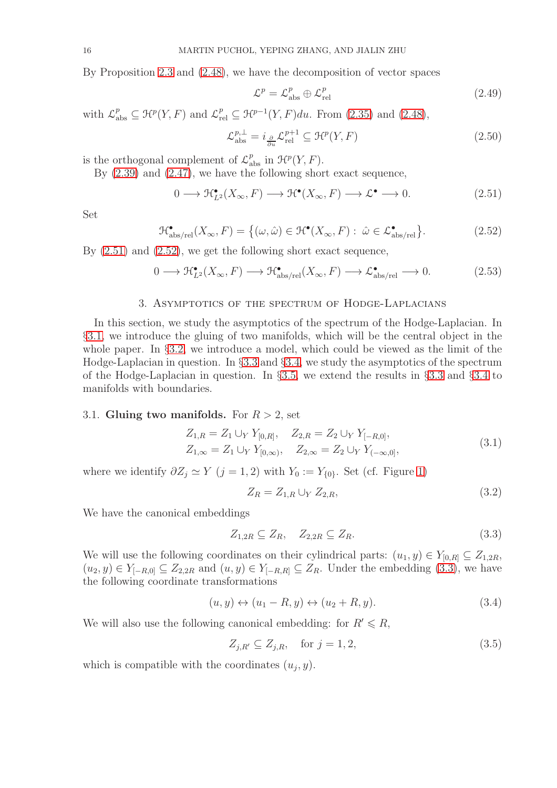By Proposition [2.3](#page-13-4) and [\(2.48\)](#page-14-8), we have the decomposition of vector spaces

<span id="page-15-6"></span>
$$
\mathcal{L}^p = \mathcal{L}^p_{\text{abs}} \oplus \mathcal{L}^p_{\text{rel}} \tag{2.49}
$$

with  $\mathcal{L}^p_{\text{abs}} \subseteq \mathcal{H}^p(Y, F)$  and  $\mathcal{L}^p_{\text{rel}} \subseteq \mathcal{H}^{p-1}(Y, F)du$ . From [\(2.35\)](#page-13-3) and [\(2.48\)](#page-14-8),

<span id="page-15-7"></span>
$$
\mathcal{L}_{\text{abs}}^{p,\perp} = i_{\frac{\partial}{\partial u}} \mathcal{L}_{\text{rel}}^{p+1} \subseteq \mathcal{H}^p(Y, F) \tag{2.50}
$$

is the orthogonal complement of  $\mathcal{L}_{\text{abs}}^p$  in  $\mathcal{H}^p(Y, F)$ .

By [\(2.39\)](#page-14-1) and [\(2.47\)](#page-14-9), we have the following short exact sequence,

<span id="page-15-2"></span>
$$
0 \longrightarrow \mathcal{H}_{L^2}^{\bullet}(X_{\infty}, F) \longrightarrow \mathcal{H}^{\bullet}(X_{\infty}, F) \longrightarrow \mathcal{L}^{\bullet} \longrightarrow 0. \tag{2.51}
$$

Set

<span id="page-15-3"></span>
$$
\mathcal{H}_{\text{abs/rel}}^{\bullet}(X_{\infty}, F) = \{ (\omega, \hat{\omega}) \in \mathcal{H}^{\bullet}(X_{\infty}, F) : \ \hat{\omega} \in \mathcal{L}_{\text{abs/rel}}^{\bullet} \}.
$$
 (2.52)

By [\(2.51\)](#page-15-2) and [\(2.52\)](#page-15-3), we get the following short exact sequence,

<span id="page-15-8"></span>
$$
0 \longrightarrow \mathcal{H}^{\bullet}_{L^{2}}(X_{\infty}, F) \longrightarrow \mathcal{H}^{\bullet}_{\text{abs/rel}}(X_{\infty}, F) \longrightarrow \mathcal{L}^{\bullet}_{\text{abs/rel}} \longrightarrow 0. \tag{2.53}
$$

### 3. Asymptotics of the spectrum of Hodge-Laplacians

<span id="page-15-0"></span>In this section, we study the asymptotics of the spectrum of the Hodge-Laplacian. In §[3.1,](#page-15-1) we introduce the gluing of two manifolds, which will be the central object in the whole paper. In §[3.2,](#page-16-0) we introduce a model, which could be viewed as the limit of the Hodge-Laplacian in question. In §[3.3](#page-17-0) and §[3.4,](#page-23-0) we study the asymptotics of the spectrum of the Hodge-Laplacian in question. In §[3.5,](#page-33-0) we extend the results in §[3.3](#page-17-0) and §[3.4](#page-23-0) to manifolds with boundaries.

### <span id="page-15-1"></span>3.1. Gluing two manifolds. For  $R > 2$ , set

$$
Z_{1,R} = Z_1 \cup_Y Y_{[0,R]}, \quad Z_{2,R} = Z_2 \cup_Y Y_{[-R,0]},
$$
  
\n
$$
Z_{1,\infty} = Z_1 \cup_Y Y_{[0,\infty)}, \quad Z_{2,\infty} = Z_2 \cup_Y Y_{(-\infty,0]},
$$
\n(3.1)

where we identify  $\partial Z_j \simeq Y$   $(j = 1, 2)$  with  $Y_0 := Y_{\{0\}}$ . Set (cf. Figure [1\)](#page-3-0)

$$
Z_R = Z_{1,R} \cup_Y Z_{2,R},\tag{3.2}
$$

We have the canonical embeddings

<span id="page-15-4"></span>
$$
Z_{1,2R} \subseteq Z_R, \quad Z_{2,2R} \subseteq Z_R. \tag{3.3}
$$

We will use the following coordinates on their cylindrical parts:  $(u_1, y) \in Y_{[0,R]} \subseteq Z_{1,2R}$ ,  $(u_2, y) \in Y_{[-R,0]} \subseteq Z_{2,2R}$  and  $(u, y) \in Y_{[-R,R]} \subseteq Z_R$ . Under the embedding [\(3.3\)](#page-15-4), we have the following coordinate transformations

<span id="page-15-5"></span>
$$
(u, y) \leftrightarrow (u_1 - R, y) \leftrightarrow (u_2 + R, y). \tag{3.4}
$$

We will also use the following canonical embedding: for  $R' \le R$ ,

$$
Z_{j,R'} \subseteq Z_{j,R}, \quad \text{for } j = 1,2,
$$
\n
$$
(3.5)
$$

which is compatible with the coordinates  $(u_j, y)$ .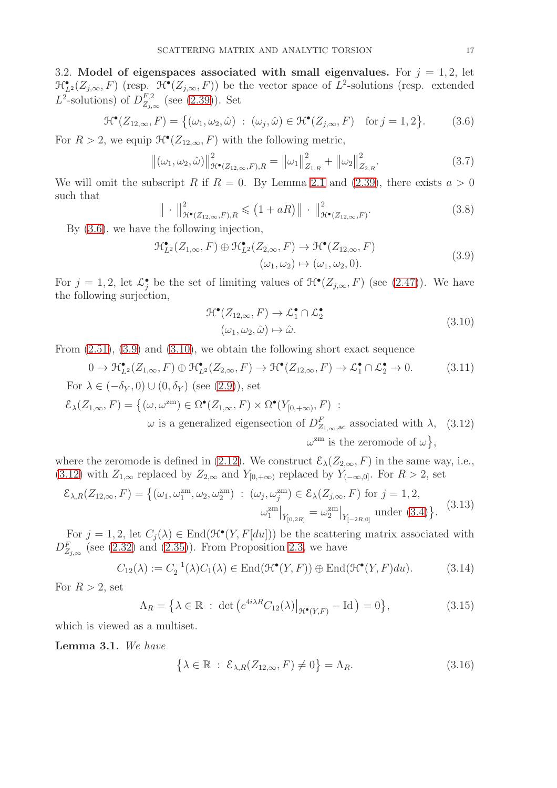<span id="page-16-0"></span>3.2. Model of eigenspaces associated with small eigenvalues. For  $j = 1, 2$ , let  $\mathcal{H}_{L^2}^{\bullet}(Z_{j,\infty},F)$  (resp.  $\mathcal{H}^{\bullet}(Z_{j,\infty},F)$ ) be the vector space of  $L^2$ -solutions (resp. extended  $L^2$ -solutions) of  $D_{Z_i}^{F,2}$  $Z_{j,\infty}^{r,2}$  (see [\(2.39\)](#page-14-1)). Set

<span id="page-16-1"></span>
$$
\mathcal{H}^{\bullet}(Z_{12,\infty}, F) = \{ (\omega_1, \omega_2, \hat{\omega}) : (\omega_j, \hat{\omega}) \in \mathcal{H}^{\bullet}(Z_{j,\infty}, F) \text{ for } j = 1, 2 \}. \tag{3.6}
$$

For  $R > 2$ , we equip  $\mathcal{H}^{\bullet}(Z_{12,\infty}, F)$  with the following metric,

<span id="page-16-8"></span>
$$
\left\| (\omega_1, \omega_2, \hat{\omega}) \right\|_{\mathcal{H}(\mathbf{Z}_{12,\infty}, F), R}^2 = \left\| \omega_1 \right\|_{Z_{1,R}}^2 + \left\| \omega_2 \right\|_{Z_{2,R}}^2. \tag{3.7}
$$

We will omit the subscript R if  $R = 0$ . By Lemma [2.1](#page-11-2) and [\(2.39\)](#page-14-1), there exists  $a > 0$ such that

$$
\|\cdot\|_{\mathcal{H}(\mathcal{Z}_{12,\infty},F),R}^2 \leqslant (1+aR)\|\cdot\|_{\mathcal{H}(\mathcal{Z}_{12,\infty},F)}^2.
$$
\n(3.8)

By [\(3.6\)](#page-16-1), we have the following injection,

$$
\mathcal{H}_{L^2}^{\bullet}(Z_{1,\infty}, F) \oplus \mathcal{H}_{L^2}^{\bullet}(Z_{2,\infty}, F) \to \mathcal{H}^{\bullet}(Z_{12,\infty}, F)
$$
  

$$
(\omega_1, \omega_2) \mapsto (\omega_1, \omega_2, 0).
$$
 (3.9)

For  $j = 1, 2$ , let  $\mathcal{L}^{\bullet}_j$  be the set of limiting values of  $\mathcal{H}^{\bullet}(Z_{j,\infty}, F)$  (see [\(2.47\)](#page-14-9)). We have the following surjection,

<span id="page-16-5"></span><span id="page-16-4"></span><span id="page-16-3"></span><span id="page-16-2"></span>
$$
\mathcal{H}^{\bullet}(Z_{12,\infty}, F) \to \mathcal{L}_1^{\bullet} \cap \mathcal{L}_2^{\bullet}
$$
  

$$
(\omega_1, \omega_2, \hat{\omega}) \mapsto \hat{\omega}.
$$
 (3.10)

From  $(2.51)$ ,  $(3.9)$  and  $(3.10)$ , we obtain the following short exact sequence

<span id="page-16-10"></span>
$$
0 \to \mathcal{H}_{L^2}^{\bullet}(Z_{1,\infty}, F) \oplus \mathcal{H}_{L^2}^{\bullet}(Z_{2,\infty}, F) \to \mathcal{H}^{\bullet}(Z_{12,\infty}, F) \to \mathcal{L}_1^{\bullet} \cap \mathcal{L}_2^{\bullet} \to 0.
$$
 (3.11)  
For  $\lambda \in (-\delta_Y, 0) \cup (0, \delta_Y)$  (see (2.9)), set

$$
\mathcal{E}_{\lambda}(Z_{1,\infty},F) = \{(\omega,\omega^{\text{zm}}) \in \Omega^{\bullet}(Z_{1,\infty},F) \times \Omega^{\bullet}(Y_{[0,+\infty)},F) : \omega \text{ is a generalized eigensection of } D_{Z_{1,\infty},\text{ac}}^{F} \text{ associated with } \lambda, (3.12)
$$

$$
\omega^{\text{zm}} \text{ is the zeromode of } \omega\},
$$

where the zeromode is defined in [\(2.12\)](#page-10-3). We construct  $\mathcal{E}_{\lambda}(Z_{2,\infty}, F)$  in the same way, i.e., [\(3.12\)](#page-16-4) with  $Z_{1,\infty}$  replaced by  $Z_{2,\infty}$  and  $Y_{[0,+\infty)}$  replaced by  $Y_{(-\infty,0]}$ . For  $R > 2$ , set

$$
\mathcal{E}_{\lambda,R}(Z_{12,\infty},F) = \{(\omega_1, \omega_1^{\text{zm}}, \omega_2, \omega_2^{\text{zm}}) : (\omega_j, \omega_j^{\text{zm}}) \in \mathcal{E}_{\lambda}(Z_{j,\infty},F) \text{ for } j = 1,2, \newline \omega_1^{\text{zm}} \big|_{Y_{[0,2R]}} = \omega_2^{\text{zm}} \big|_{Y_{[-2R,0]}} \text{ under (3.4)}\}. \tag{3.13}
$$

For  $j = 1, 2$ , let  $C_j(\lambda) \in \text{End}(\mathcal{H}^{\bullet}(Y, F[du]))$  be the scattering matrix associated with  $D_{Z_{j,\infty}}^F$  (see [\(2.32\)](#page-13-2) and [\(2.35\)](#page-13-3)). From Proposition [2.3,](#page-13-4) we have

<span id="page-16-6"></span>
$$
C_{12}(\lambda) := C_2^{-1}(\lambda)C_1(\lambda) \in \text{End}(\mathfrak{H}^{\bullet}(Y,F)) \oplus \text{End}(\mathfrak{H}^{\bullet}(Y,F)du). \tag{3.14}
$$

For  $R > 2$ , set

<span id="page-16-9"></span>
$$
\Lambda_R = \left\{ \lambda \in \mathbb{R} \; : \; \det \left( e^{4i\lambda R} C_{12}(\lambda) \big|_{\mathcal{H}^\bullet(Y,F)} - \mathrm{Id} \right) = 0 \right\},\tag{3.15}
$$

which is viewed as a multiset.

<span id="page-16-7"></span>Lemma 3.1. *We have*

$$
\left\{\lambda \in \mathbb{R} \; : \; \mathcal{E}_{\lambda,R}(Z_{12,\infty}, F) \neq 0\right\} = \Lambda_R. \tag{3.16}
$$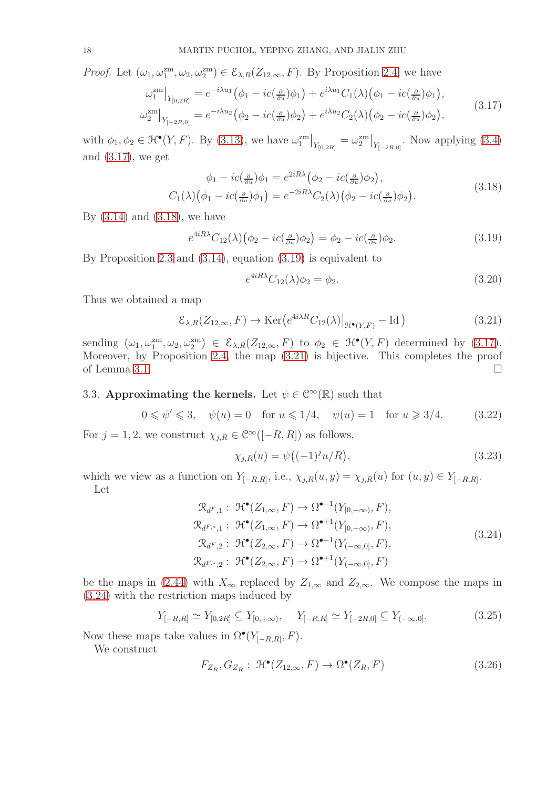*Proof.* Let  $(\omega_1, \omega_1^{\text{zm}}, \omega_2, \omega_2^{\text{zm}}) \in \mathcal{E}_{\lambda,R}(Z_{12,\infty}, F)$ . By Proposition [2.4,](#page-13-1) we have

$$
\omega_1^{\text{zm}}\big|_{Y_{[0,2R]}} = e^{-i\lambda u_1} \left(\phi_1 - ic\left(\frac{\partial}{\partial u}\right)\phi_1\right) + e^{i\lambda u_1} C_1(\lambda) \left(\phi_1 - ic\left(\frac{\partial}{\partial u}\right)\phi_1\right),
$$
  

$$
\omega_2^{\text{zm}}\big|_{Y_{[-2R,0]}} = e^{-i\lambda u_2} \left(\phi_2 - ic\left(\frac{\partial}{\partial u}\right)\phi_2\right) + e^{i\lambda u_2} C_2(\lambda) \left(\phi_2 - ic\left(\frac{\partial}{\partial u}\right)\phi_2\right),
$$
\n(3.17)

with  $\phi_1, \phi_2 \in \mathcal{H}^\bullet(Y, F)$ . By [\(3.13\)](#page-16-5), we have  $\omega_1^{zm}\big|_{Y_{[0,2R]}} = \omega_2^{zm}\big|_{Y_{[-2R,0]}}$ . Now applying [\(3.4\)](#page-15-5) and  $(3.17)$ , we get

$$
\phi_1 - ic(\tfrac{\partial}{\partial u})\phi_1 = e^{2iR\lambda}(\phi_2 - ic(\tfrac{\partial}{\partial u})\phi_2),
$$
  
\n
$$
C_1(\lambda)(\phi_1 - ic(\tfrac{\partial}{\partial u})\phi_1) = e^{-2iR\lambda}C_2(\lambda)(\phi_2 - ic(\tfrac{\partial}{\partial u})\phi_2).
$$
\n(3.18)

By  $(3.14)$  and  $(3.18)$ , we have

<span id="page-17-3"></span>
$$
e^{4iR\lambda}C_{12}(\lambda)\left(\phi_2 - ic(\tfrac{\partial}{\partial u})\phi_2\right) = \phi_2 - ic(\tfrac{\partial}{\partial u})\phi_2.
$$
\n(3.19)

By Proposition [2.3](#page-13-4) and [\(3.14\)](#page-16-6), equation [\(3.19\)](#page-17-3) is equivalent to

<span id="page-17-2"></span><span id="page-17-1"></span>
$$
e^{4iR\lambda}C_{12}(\lambda)\phi_2 = \phi_2. \tag{3.20}
$$

Thus we obtained a map

<span id="page-17-4"></span>
$$
\mathcal{E}_{\lambda,R}(Z_{12,\infty},F) \to \text{Ker}\left(e^{4i\lambda R}C_{12}(\lambda)\big|_{\mathcal{H}^\bullet(Y,F)} - \text{Id}\right) \tag{3.21}
$$

sending  $(\omega_1, \omega_1^{zm}, \omega_2, \omega_2^{zm}) \in \mathcal{E}_{\lambda,R}(Z_{12,\infty}, F)$  to  $\phi_2 \in \mathcal{H}^{\bullet}(Y, F)$  determined by [\(3.17\)](#page-17-1). Moreover, by Proposition [2.4,](#page-13-1) the map [\(3.21\)](#page-17-4) is bijective. This completes the proof of Lemma [3.1.](#page-16-7)  $\Box$ 

# <span id="page-17-0"></span>3.3. Approximating the kernels. Let  $\psi \in \mathbb{C}^{\infty}(\mathbb{R})$  such that

<span id="page-17-6"></span>
$$
0 \le \psi' \le 3
$$
,  $\psi(u) = 0$  for  $u \le 1/4$ ,  $\psi(u) = 1$  for  $u \ge 3/4$ . (3.22)

For  $j = 1, 2$ , we construct  $\chi_{j,R} \in \mathcal{C}^{\infty}([-R, R])$  as follows,

<span id="page-17-7"></span><span id="page-17-5"></span>
$$
\chi_{j,R}(u) = \psi\big((-1)^j u/R\big),\tag{3.23}
$$

which we view as a function on  $Y_{[-R,R]}$ , i.e.,  $\chi_{j,R}(u, y) = \chi_{j,R}(u)$  for  $(u, y) \in Y_{[-R,R]}$ . Let

$$
\mathcal{R}_{d^F,1}: \mathcal{H}^{\bullet}(Z_{1,\infty}, F) \to \Omega^{\bullet-1}(Y_{[0,+\infty)}, F),
$$
  
\n
$$
\mathcal{R}_{d^{F,*},1}: \mathcal{H}^{\bullet}(Z_{1,\infty}, F) \to \Omega^{\bullet+1}(Y_{[0,+\infty)}, F),
$$
  
\n
$$
\mathcal{R}_{d^F,2}: \mathcal{H}^{\bullet}(Z_{2,\infty}, F) \to \Omega^{\bullet-1}(Y_{(-\infty,0]}, F),
$$
  
\n
$$
\mathcal{R}_{d^{F,*},2}: \mathcal{H}^{\bullet}(Z_{2,\infty}, F) \to \Omega^{\bullet+1}(Y_{(-\infty,0]}, F)
$$
\n(3.24)

be the maps in [\(2.44\)](#page-14-10) with  $X_{\infty}$  replaced by  $Z_{1,\infty}$  and  $Z_{2,\infty}$ . We compose the maps in [\(3.24\)](#page-17-5) with the restriction maps induced by

<span id="page-17-8"></span>
$$
Y_{[-R,R]} \simeq Y_{[0,2R]} \subseteq Y_{[0,+\infty)}, \quad Y_{[-R,R]} \simeq Y_{[-2R,0]} \subseteq Y_{(-\infty,0]}.
$$
\n(3.25)

Now these maps take values in  $\Omega^{\bullet}(Y_{[-R,R]},F)$ .

We construct

$$
F_{Z_R}, G_{Z_R}: \mathcal{H}^\bullet(Z_{12,\infty}, F) \to \Omega^\bullet(Z_R, F) \tag{3.26}
$$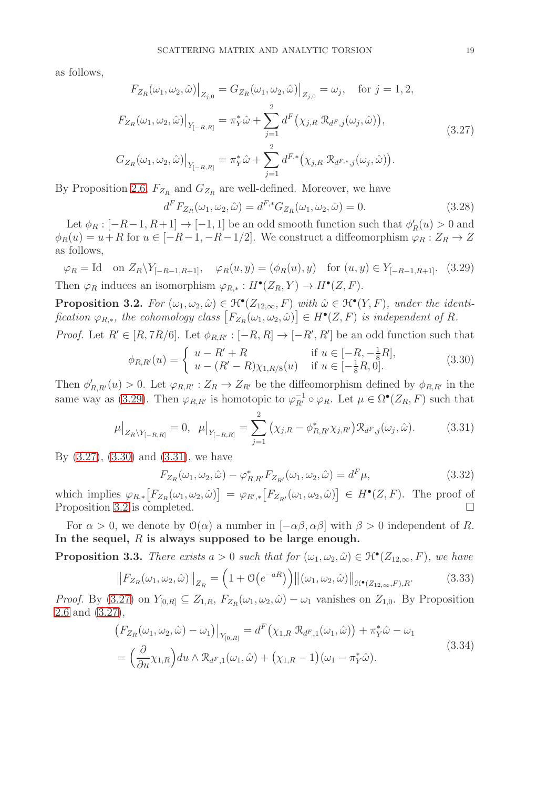as follows,

$$
F_{Z_R}(\omega_1, \omega_2, \hat{\omega})\Big|_{Z_{j,0}} = G_{Z_R}(\omega_1, \omega_2, \hat{\omega})\Big|_{Z_{j,0}} = \omega_j, \text{ for } j = 1, 2,
$$
  
\n
$$
F_{Z_R}(\omega_1, \omega_2, \hat{\omega})\Big|_{Y_{[-R,R]}} = \pi_Y^* \hat{\omega} + \sum_{j=1}^2 d^F(\chi_{j,R} \mathcal{R}_{d^F,j}(\omega_j, \hat{\omega})),
$$
  
\n
$$
G_{Z_R}(\omega_1, \omega_2, \hat{\omega})\Big|_{Y_{[-R,R]}} = \pi_Y^* \hat{\omega} + \sum_{j=1}^2 d^{F,*}(\chi_{j,R} \mathcal{R}_{d^{F,*},j}(\omega_j, \hat{\omega})).
$$
\n(3.27)

By Proposition [2.6,](#page-14-7)  $F_{Z_R}$  and  $G_{Z_R}$  are well-defined. Moreover, we have

<span id="page-18-7"></span><span id="page-18-1"></span>
$$
d^{F}F_{Z_{R}}(\omega_{1}, \omega_{2}, \hat{\omega}) = d^{F,*}G_{Z_{R}}(\omega_{1}, \omega_{2}, \hat{\omega}) = 0.
$$
\n(3.28)

Let  $\phi_R : [-R-1, R+1] \to [-1, 1]$  be an odd smooth function such that  $\phi'_R(u) > 0$  and  $\phi_R(u) = u + R$  for  $u \in [-R-1, -R-1/2]$ . We construct a diffeomorphism  $\varphi_R : Z_R \to Z$ as follows,

<span id="page-18-0"></span> $\varphi_R = \text{Id}$  on  $Z_R \backslash Y_{[-R-1,R+1]}, \quad \varphi_R(u, y) = (\phi_R(u), y)$  for  $(u, y) \in Y_{[-R-1,R+1]}$ . (3.29) Then  $\varphi_R$  induces an isomorphism  $\varphi_{R,*}: H^{\bullet}(Z_R, Y) \to H^{\bullet}(Z, F)$ .

<span id="page-18-4"></span>**Proposition 3.2.** For  $(\omega_1, \omega_2, \hat{\omega}) \in \mathcal{H}^{\bullet}(Z_{12,\infty}, F)$  with  $\hat{\omega} \in \mathcal{H}^{\bullet}(Y, F)$ , under the identi $fication \varphi_{R,*}, the cohomology class \left[F_{Z_R}(\omega_1, \omega_2, \hat{\omega})\right] \in H^{\bullet}(Z, F)$  *is independent of R.* 

*Proof.* Let  $R' \in [R, 7R/6]$ . Let  $\phi_{R,R'} : [-R, R] \to [-R', R']$  be an odd function such that

<span id="page-18-2"></span>
$$
\phi_{R,R'}(u) = \begin{cases} u - R' + R & \text{if } u \in [-R, -\frac{1}{8}R], \\ u - (R' - R)\chi_{1,R/8}(u) & \text{if } u \in [-\frac{1}{8}R, 0]. \end{cases}
$$
(3.30)

Then  $\phi'_{R,R'}(u) > 0$ . Let  $\varphi_{R,R'} : Z_R \to Z_{R'}$  be the diffeomorphism defined by  $\phi_{R,R'}$  in the same way as [\(3.29\)](#page-18-0). Then  $\varphi_{R,R'}$  is homotopic to  $\varphi_{R'}^{-1} \circ \varphi_R$ . Let  $\mu \in \Omega^{\bullet}(Z_R, F)$  such that

<span id="page-18-3"></span>
$$
\mu|_{Z_R \setminus Y_{[-R,R]}} = 0, \quad \mu|_{Y_{[-R,R]}} = \sum_{j=1}^2 (\chi_{j,R} - \phi_{R,R'}^* \chi_{j,R'}) \mathcal{R}_{d^F,j}(\omega_j, \hat{\omega}). \tag{3.31}
$$

By [\(3.27\)](#page-18-1), [\(3.30\)](#page-18-2) and [\(3.31\)](#page-18-3), we have

$$
F_{Z_R}(\omega_1, \omega_2, \hat{\omega}) - \varphi_{R,R'}^* F_{Z_{R'}}(\omega_1, \omega_2, \hat{\omega}) = d^F \mu,
$$
\n(3.32)

which implies  $\varphi_{R,*}[F_{Z_R}(\omega_1, \omega_2, \hat{\omega})] = \varphi_{R',*}[F_{Z_{R'}}(\omega_1, \omega_2, \hat{\omega})] \in H^{\bullet}(Z, F)$ . The proof of Proposition [3.2](#page-18-4) is completed.

For  $\alpha > 0$ , we denote by  $\mathcal{O}(\alpha)$  a number in  $[-\alpha\beta, \alpha\beta]$  with  $\beta > 0$  independent of R. In the sequel,  $R$  is always supposed to be large enough.

<span id="page-18-6"></span>**Proposition 3.3.** *There exists*  $a > 0$  *such that for*  $(\omega_1, \omega_2, \hat{\omega}) \in \mathcal{H}^{\bullet}(Z_{12,\infty}, F)$ *, we have* 

<span id="page-18-5"></span>
$$
\left\|F_{Z_R}(\omega_1, \omega_2, \hat{\omega})\right\|_{Z_R} = \left(1 + \mathcal{O}\left(e^{-aR}\right)\right) \left\|(\omega_1, \omega_2, \hat{\omega})\right\|_{\mathcal{H}^\bullet(Z_{12,\infty}, F), R}.\tag{3.33}
$$

*Proof.* By  $(3.27)$  on  $Y_{[0,R]} \subseteq Z_{1,R}$ ,  $F_{Z_R}(\omega_1, \omega_2, \hat{\omega}) - \omega_1$  vanishes on  $Z_{1,0}$ . By Proposition [2.6](#page-14-7) and [\(3.27\)](#page-18-1),

$$
\begin{split} &\left(F_{Z_R}(\omega_1, \omega_2, \hat{\omega}) - \omega_1\right)\big|_{Y_{[0,R]}} = d^F\left(\chi_{1,R} \mathcal{R}_{d^F,1}(\omega_1, \hat{\omega})\right) + \pi_Y^* \hat{\omega} - \omega_1 \\ &= \left(\frac{\partial}{\partial u}\chi_{1,R}\right) du \wedge \mathcal{R}_{d^F,1}(\omega_1, \hat{\omega}) + \left(\chi_{1,R} - 1\right)(\omega_1 - \pi_Y^* \hat{\omega}). \end{split} \tag{3.34}
$$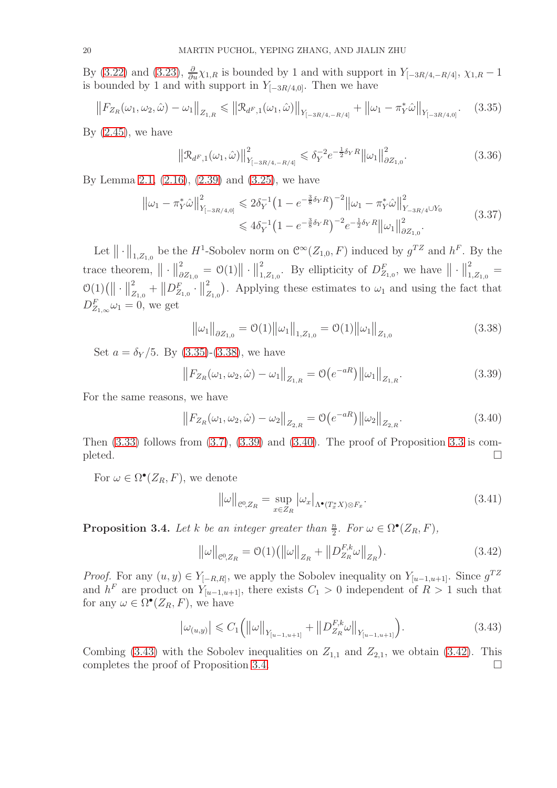By [\(3.22\)](#page-17-6) and [\(3.23\)](#page-17-7),  $\frac{\partial}{\partial u}\chi_{1,R}$  is bounded by 1 and with support in  $Y_{[-3R/4,-R/4]}, \chi_{1,R}-1$ is bounded by 1 and with support in  $Y_{[-3R/4,0]}$ . Then we have

<span id="page-19-0"></span>
$$
\left\|F_{Z_R}(\omega_1, \omega_2, \hat{\omega}) - \omega_1\right\|_{Z_{1,R}} \leq \left\|\mathcal{R}_{d^F,1}(\omega_1, \hat{\omega})\right\|_{Y_{[-3R/4, -R/4]}} + \left\|\omega_1 - \pi_Y^* \hat{\omega}\right\|_{Y_{[-3R/4, 0]}}.\tag{3.35}
$$

By  $(2.45)$ , we have

<span id="page-19-7"></span>
$$
\left\| \mathcal{R}_{d^F,1}(\omega_1,\hat{\omega}) \right\|_{Y_{[-3R/4,-R/4]}^2}^2 \leq \delta_Y^{-2} e^{-\frac{1}{2}\delta_Y R} \|\omega_1\|_{\partial Z_{1,0}}^2. \tag{3.36}
$$

By Lemma [2.1,](#page-11-2) [\(2.16\)](#page-11-3), [\(2.39\)](#page-14-1) and [\(3.25\)](#page-17-8), we have

$$
\|\omega_1 - \pi_Y^* \hat{\omega}\|_{Y_{[-3R/4,0]}}^2 \leq 2\delta_Y^{-1} \left(1 - e^{-\frac{3}{8}\delta_Y R}\right)^{-2} \|\omega_1 - \pi_Y^* \hat{\omega}\|_{Y_{-3R/4} \cup Y_0}^2
$$
  

$$
\leq 4\delta_Y^{-1} \left(1 - e^{-\frac{3}{8}\delta_Y R}\right)^{-2} e^{-\frac{1}{2}\delta_Y R} \|\omega_1\|_{\partial Z_{1,0}}^2.
$$
 (3.37)

Let  $\|\cdot\|_{1,Z_{1,0}}$  be the H<sup>1</sup>-Sobolev norm on  $\mathcal{C}^{\infty}(Z_{1,0}, F)$  induced by  $g^{TZ}$  and  $h^F$ . By the trace theorem,  $\|\cdot\|^2_{\partial}$  $\frac{2}{\partial Z_{1,0}} = \mathcal{O}(1) \big\| \cdot \big\|_1^2$  $\sum_{1,Z_{1,0}}^{2}$ . By ellipticity of  $D_{Z_{1,0}}^F$ , we have  $\|\cdot\|_1^2$  $\frac{2}{1,Z_{1,0}} =$  $\mathcal{O}(1) (|| \cdot ||_2^2)$  $\frac{2}{Z_{1,0}}+\left\|D^{F}_{Z_{1,0}}\cdot\right\|_{Z}^{2}$  $Z_{Z_{1,0}}^{2}$ . Applying these estimates to  $\omega_1$  and using the fact that  $D_{Z_{1,\infty}}^F\omega_1=0$ , we get

<span id="page-19-1"></span>
$$
\|\omega_1\|_{\partial Z_{1,0}} = \mathcal{O}(1) \|\omega_1\|_{1,Z_{1,0}} = \mathcal{O}(1) \|\omega_1\|_{Z_{1,0}} \tag{3.38}
$$

Set  $a = \delta_Y/5$ . By [\(3.35\)](#page-19-0)-[\(3.38\)](#page-19-1), we have

<span id="page-19-2"></span>
$$
\left\|F_{Z_R}(\omega_1, \omega_2, \hat{\omega}) - \omega_1\right\|_{Z_{1,R}} = \mathcal{O}\left(e^{-aR}\right) \left\|\omega_1\right\|_{Z_{1,R}}.\tag{3.39}
$$

For the same reasons, we have

<span id="page-19-3"></span>
$$
\left\|F_{Z_R}(\omega_1, \omega_2, \hat{\omega}) - \omega_2\right\|_{Z_{2,R}} = \mathcal{O}\left(e^{-aR}\right) \left\|\omega_2\right\|_{Z_{2,R}}.\tag{3.40}
$$

Then  $(3.33)$  follows from  $(3.7)$ ,  $(3.39)$  and  $(3.40)$ . The proof of Proposition [3.3](#page-18-6) is com $p$  pleted.

For  $\omega \in \Omega^{\bullet}(Z_R, F)$ , we denote

$$
\|\omega\|_{\mathcal{C}^0,Z_R} = \sup_{x \in Z_R} |\omega_x|_{\Lambda^\bullet(T^*_x X) \otimes F_x}.
$$
\n(3.41)

<span id="page-19-6"></span>**Proposition 3.4.** *Let*  $k$  *be an integer greater than*  $\frac{n}{2}$ *. For*  $\omega \in \Omega^{\bullet}(Z_R, F)$ *,* 

<span id="page-19-5"></span>
$$
\|\omega\|_{\mathcal{C}^0,Z_R} = \mathcal{O}(1) \left( \|\omega\|_{Z_R} + \|D_{Z_R}^{F,k}\omega\|_{Z_R} \right). \tag{3.42}
$$

*Proof.* For any  $(u, y) \in Y_{[-R,R]}$ , we apply the Sobolev inequality on  $Y_{[u-1,u+1]}$ . Since  $g^{TZ}$ and  $h^F$  are product on  $Y_{[u-1,u+1]}$ , there exists  $C_1 > 0$  independent of  $R > 1$  such that for any  $\omega \in \Omega^{\bullet}(Z_R, F)$ , we have

<span id="page-19-4"></span>
$$
\left|\omega_{(u,y)}\right| \leq C_1 \left( \left|\left|\omega\right|\right|_{Y_{[u-1,u+1]}} + \left|\left|D_{Z_R}^{F,k}\omega\right|\right|_{Y_{[u-1,u+1]}} \right). \tag{3.43}
$$

Combing [\(3.43\)](#page-19-4) with the Sobolev inequalities on  $Z_{1,1}$  and  $Z_{2,1}$ , we obtain [\(3.42\)](#page-19-5). This completes the proof of Proposition [3.4.](#page-19-6)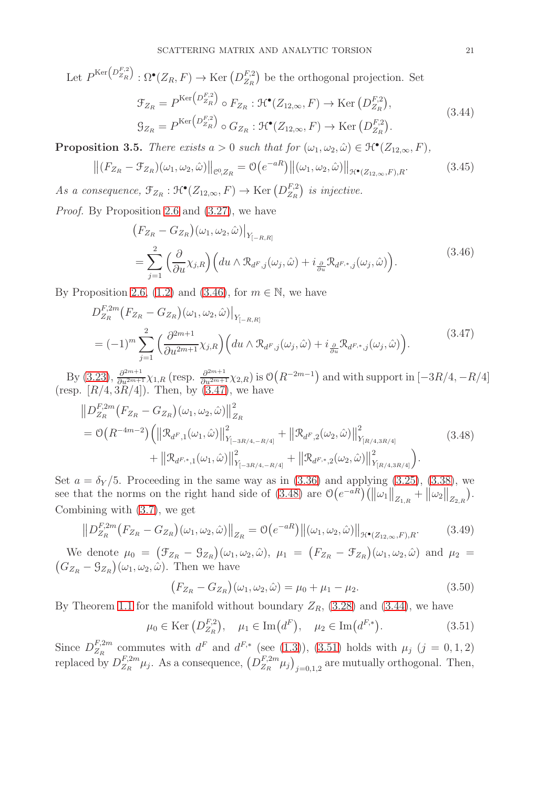Let  $P^{\text{Ker}\left(D_{Z_R}^{F,2}\right)} : \Omega^{\bullet}(Z_R, F) \to \text{Ker}\left(D_{Z_R}^{F,2}\right)$  $Z_R^{F,2}$  be the orthogonal projection. Set

<span id="page-20-3"></span>
$$
\mathcal{F}_{Z_R} = P^{\text{Ker}\left(D_{Z_R}^{F,2}\right)} \circ F_{Z_R} : \mathcal{H}^\bullet(Z_{12,\infty}, F) \to \text{Ker}\left(D_{Z_R}^{F,2}\right),
$$
\n
$$
\mathcal{G}_{Z_R} = P^{\text{Ker}\left(D_{Z_R}^{F,2}\right)} \circ G_{Z_R} : \mathcal{H}^\bullet(Z_{12,\infty}, F) \to \text{Ker}\left(D_{Z_R}^{F,2}\right). \tag{3.44}
$$

<span id="page-20-8"></span>**Proposition 3.5.** *There exists*  $a > 0$  *such that for*  $(\omega_1, \omega_2, \hat{\omega}) \in \mathcal{H}^{\bullet}(Z_{12,\infty}, F)$ *,* 

<span id="page-20-7"></span>
$$
\left\| (F_{Z_R} - \mathcal{F}_{Z_R})(\omega_1, \omega_2, \hat{\omega}) \right\|_{\mathcal{C}^0, Z_R} = \mathcal{O}\left(e^{-aR}\right) \left\| (\omega_1, \omega_2, \hat{\omega}) \right\|_{\mathcal{H}^\bullet(Z_{12,\infty}, F), R}.
$$
(3.45)

As a consequence,  $\mathcal{F}_{Z_R} : \mathcal{H}^\bullet(Z_{12,\infty}, F) \to \text{Ker}(D_{Z_R}^{F,2})$  $\binom{F,2}{Z_R}$  is injective.

*Proof.* By Proposition [2.6](#page-14-7) and [\(3.27\)](#page-18-1), we have

<span id="page-20-1"></span><span id="page-20-0"></span>
$$
\begin{split} &\left(F_{Z_R} - G_{Z_R}\right)(\omega_1, \omega_2, \hat{\omega})\Big|_{Y_{[-R,R]}}\\ &= \sum_{j=1}^2 \left(\frac{\partial}{\partial u}\chi_{j,R}\right) \left(du \wedge \mathcal{R}_{d^F,j}(\omega_j, \hat{\omega}) + i\frac{\partial}{\partial u}\mathcal{R}_{d^{F,*},j}(\omega_j, \hat{\omega})\right). \end{split} \tag{3.46}
$$

By Proposition [2.6,](#page-14-7) [\(1.2\)](#page-6-3) and [\(3.46\)](#page-20-0), for  $m \in \mathbb{N}$ , we have

$$
D_{Z_R}^{F,2m}(F_{Z_R} - G_{Z_R})(\omega_1, \omega_2, \hat{\omega})\Big|_{Y_{[-R,R]}} = (-1)^m \sum_{j=1}^2 \left(\frac{\partial^{2m+1}}{\partial u^{2m+1}} \chi_{j,R}\right) \left(du \wedge \mathcal{R}_{d^F,j}(\omega_j, \hat{\omega}) + i \frac{\partial}{\partial u} \mathcal{R}_{d^{F,*},j}(\omega_j, \hat{\omega})\right).
$$
(3.47)

By [\(3.23\)](#page-17-7),  $\frac{\partial^{2m+1}}{\partial u^{2m+1}} \chi_{1,R}$  (resp.  $\frac{\partial^{2m+1}}{\partial u^{2m+1}} \chi_{2,R}$ ) is  $\mathcal{O}(R^{-2m-1})$  and with support in  $[-3R/4, -R/4]$ (resp.  $[R/4, 3R/4]$ ). Then, by  $(3.47)$ , we have

$$
\|D_{Z_R}^{F,2m}(F_{Z_R} - G_{Z_R})(\omega_1, \omega_2, \hat{\omega})\|_{Z_R}^2 = \mathcal{O}\big(R^{-4m-2}\big) \Big( \|\mathcal{R}_{d^F,1}(\omega_1, \hat{\omega})\|_{Y_{[-3R/4, -R/4]}}^2 + \|\mathcal{R}_{d^F,2}(\omega_2, \hat{\omega})\|_{Y_{[R/4,3R/4]}}^2 + \|\mathcal{R}_{d^{F,*},1}(\omega_1, \hat{\omega})\|_{Y_{[-3R/4, -R/4]}}^2 + \|\mathcal{R}_{d^{F,*},2}(\omega_2, \hat{\omega})\|_{Y_{[R/4,3R/4]}}^2 \Big).
$$
\n(3.48)

Set  $a = \delta_Y/5$ . Proceeding in the same way as in [\(3.36\)](#page-19-7) and applying [\(3.25\)](#page-17-8), [\(3.38\)](#page-19-1), we see that the norms on the right hand side of [\(3.48\)](#page-20-2) are  $\mathcal{O}\left(e^{-aR}\right)\left(\left\|\omega_1\right\|_{Z_{1,R}}^{\prime}+\left\|\omega_2\right\|_{Z_{2,R}}^{\prime}$  . Combining with [\(3.7\)](#page-16-8), we get

<span id="page-20-5"></span>
$$
||D_{Z_R}^{F,2m}(F_{Z_R} - G_{Z_R})(\omega_1, \omega_2, \hat{\omega})||_{Z_R} = \mathcal{O}\big(e^{-aR}\big) ||(\omega_1, \omega_2, \hat{\omega})||_{\mathcal{H}^\bullet(Z_{12,\infty}, F), R}. \tag{3.49}
$$

We denote  $\mu_0 = (\mathcal{F}_{Z_R} - \mathcal{G}_{Z_R})(\omega_1, \omega_2, \hat{\omega}), \mu_1 = (F_{Z_R} - \mathcal{F}_{Z_R})(\omega_1, \omega_2, \hat{\omega})$  and  $\mu_2 = (G_{Z_R} - \mathcal{G}_{Z_R})(\omega_1, \omega_2, \hat{\omega}).$  Then we have  $G_{Z_R} - \mathcal{G}_{Z_R}$  ( $\omega_1, \omega_2, \hat{\omega}$ ). Then we have

<span id="page-20-6"></span><span id="page-20-2"></span>
$$
(F_{Z_R} - G_{Z_R})(\omega_1, \omega_2, \hat{\omega}) = \mu_0 + \mu_1 - \mu_2.
$$
 (3.50)

By Theorem [1.1](#page-7-1) for the manifold without boundary  $Z_R$ , [\(3.28\)](#page-18-7) and [\(3.44\)](#page-20-3), we have

<span id="page-20-4"></span>
$$
\mu_0 \in \text{Ker}\left(D_{Z_R}^{F,2}\right), \quad \mu_1 \in \text{Im}\left(d^F\right), \quad \mu_2 \in \text{Im}\left(d^{F,*}\right).
$$
\n(3.51)

Since  $D_{Z_R}^{F,2m}$  $Z_R^{F,2m}$  commutes with  $d^F$  and  $d^{F,*}$  (see [\(1.3\)](#page-6-4)), [\(3.51\)](#page-20-4) holds with  $\mu_j$  (j = 0, 1, 2) replaced by  $D_{Z_P}^{F,2m}$  $E_{Z_R}^{F,2m} \mu_j$ . As a consequence,  $\left(D_{Z_R}^{F,2m}\right)$  $\left( \frac{F,2m}{Z_R} \mu_j \right)_{j=0,1,2}$  are mutually orthogonal. Then,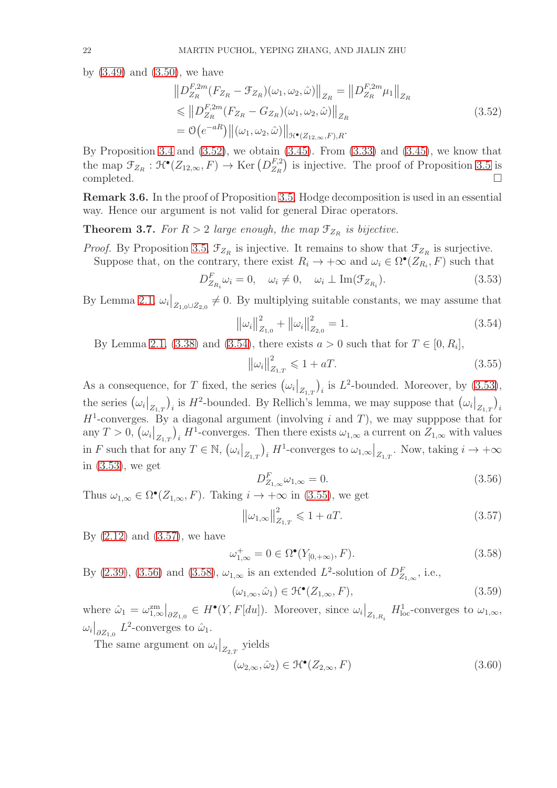by  $(3.49)$  and  $(3.50)$ , we have

<span id="page-21-0"></span>
$$
\|D_{Z_R}^{F,2m}(F_{Z_R} - \mathcal{F}_{Z_R})(\omega_1, \omega_2, \hat{\omega})\|_{Z_R} = \|D_{Z_R}^{F,2m}\mu_1\|_{Z_R}
$$
  
\n
$$
\leq \|D_{Z_R}^{F,2m}(F_{Z_R} - G_{Z_R})(\omega_1, \omega_2, \hat{\omega})\|_{Z_R}
$$
  
\n
$$
= \mathcal{O}(e^{-aR}) \|\omega_1, \omega_2, \hat{\omega})\|_{\mathcal{H}^\bullet(Z_{12,\infty}, F), R}.
$$
\n(3.52)

By Proposition [3.4](#page-19-6) and  $(3.52)$ , we obtain  $(3.45)$ . From  $(3.33)$  and  $(3.45)$ , we know that the map  $\mathfrak{T}_{Z_R} : \mathfrak{H}^\bullet(Z_{12,\infty}, F) \to \text{Ker}(D_{Z_R}^{F,2})$  $\binom{F,2}{Z_R}$  is injective. The proof of Proposition [3.5](#page-20-8) is  $\Box$ completed.  $\Box$ 

Remark 3.6. In the proof of Proposition [3.5,](#page-20-8) Hodge decomposition is used in an essential way. Hence our argument is not valid for general Dirac operators.

<span id="page-21-9"></span>**Theorem 3.7.** For  $R > 2$  large enough, the map  $\mathcal{F}_{Z_R}$  is bijective.

*Proof.* By Proposition [3.5,](#page-20-8)  $\mathcal{F}_{Z_R}$  is injective. It remains to show that  $\mathcal{F}_{Z_R}$  is surjective.

Suppose that, on the contrary, there exist  $R_i \to +\infty$  and  $\omega_i \in \Omega^{\bullet}(Z_{R_i}, F)$  such that

<span id="page-21-2"></span>
$$
D_{Z_{R_i}}^F \omega_i = 0, \quad \omega_i \neq 0, \quad \omega_i \perp \text{Im}(\mathcal{F}_{Z_{R_i}}). \tag{3.53}
$$

By Lemma [2.1,](#page-11-2)  $\omega_i|_{Z_{1,0}\cup Z_{2,0}} \neq 0$ . By multiplying suitable constants, we may assume that

<span id="page-21-1"></span>
$$
\left\|\omega_i\right\|_{Z_{1,0}}^2 + \left\|\omega_i\right\|_{Z_{2,0}}^2 = 1.
$$
\n(3.54)

By Lemma [2.1,](#page-11-2) [\(3.38\)](#page-19-1) and [\(3.54\)](#page-21-1), there exists  $a > 0$  such that for  $T \in [0, R_i]$ ,

<span id="page-21-3"></span>
$$
\|\omega_i\|_{Z_{1,T}}^2 \leq 1 + aT. \tag{3.55}
$$

As a consequence, for T fixed, the series  $(\omega_i|_{Z_{1,T}})$  $\big)$ <sub>i</sub> is  $L^2$ -bounded. Moreover, by  $(3.53)$ , the series  $(\omega_i|_{Z_{1,T}})$ )<sub>i</sub> is  $H^2$ -bounded. By Rellich's lemma, we may suppose that  $(\omega_i|_{Z_{1,T}})$  $\big)_i$  $H^1$ -converges. By a diagonal argument (involving i and T), we may supppose that for any  $T > 0, (\omega_i|_{Z_{1,T}})$  $\int_i H^1$ -converges. Then there exists  $\omega_{1,\infty}$  a current on  $Z_{1,\infty}$  with values in F such that for any  $T \in \mathbb{N}$ ,  $(\omega_i|_{Z_{1,T}})$  $\big)$ <sub>i</sub>  $H^1$ -converges to  $\omega_{1,\infty}\big|_{Z_{1,T}}$ . Now, taking  $i \to +\infty$ in [\(3.53\)](#page-21-2), we get

<span id="page-21-5"></span>
$$
D_{Z_{1,\infty}}^F \omega_{1,\infty} = 0. \tag{3.56}
$$

Thus  $\omega_{1,\infty} \in \Omega^{\bullet}(Z_{1,\infty}, F)$ . Taking  $i \to +\infty$  in [\(3.55\)](#page-21-3), we get

<span id="page-21-4"></span>
$$
\|\omega_{1,\infty}\|_{Z_{1,T}}^2 \le 1 + aT.
$$
\n(3.57)

By  $(2.12)$  and  $(3.57)$ , we have

<span id="page-21-6"></span>
$$
\omega_{1,\infty}^+ = 0 \in \Omega^{\bullet}(Y_{[0,+\infty)}, F). \tag{3.58}
$$

By [\(2.39\)](#page-14-1), [\(3.56\)](#page-21-5) and [\(3.58\)](#page-21-6),  $\omega_{1,\infty}$  is an extended  $L^2$ -solution of  $D_{Z_{1,\infty}}^F$ , i.e.,

<span id="page-21-7"></span>
$$
(\omega_{1,\infty}, \hat{\omega}_1) \in \mathcal{H}^\bullet(Z_{1,\infty}, F), \tag{3.59}
$$

where  $\hat{\omega}_1 = \omega_{1,\infty}^{\text{zm}}$  $\big|_{\partial Z_{1,0}} \in H^{\bullet}(Y, F[du])$ . Moreover, since  $\omega_i \big|_{Z_{1,R_i}} H^1_{loc}$ -converges to  $\omega_{1,\infty}$ ,  $\omega_i|_{\partial Z_{1,0}} L^2$ -converges to  $\hat{\omega}_1$ .

The same argument on  $\omega_i|_{Z_{2,T}}$  yields

<span id="page-21-8"></span>
$$
(\omega_{2,\infty}, \hat{\omega}_2) \in \mathcal{H}^\bullet(Z_{2,\infty}, F) \tag{3.60}
$$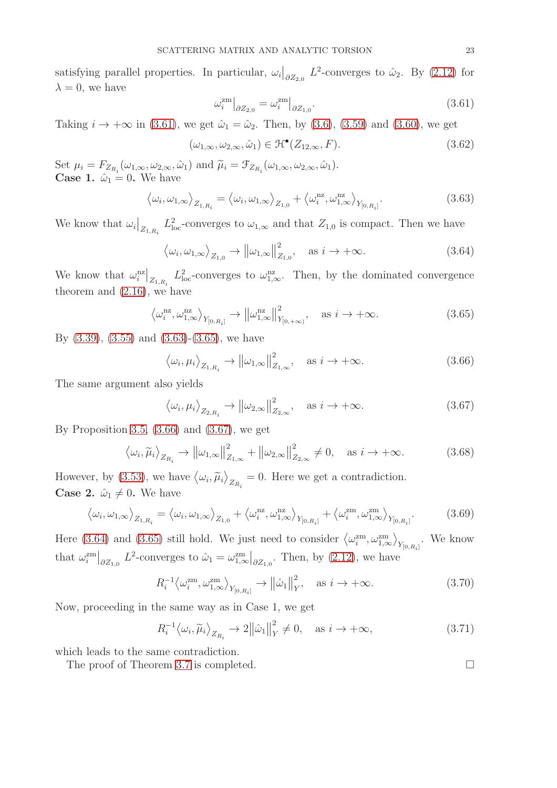satisfying parallel properties. In particular,  $\omega_i|_{\partial Z_{2,0}} L^2$ -converges to  $\hat{\omega}_2$ . By [\(2.12\)](#page-10-3) for  $\lambda = 0$ , we have

<span id="page-22-0"></span>
$$
\omega_i^{\text{zm}}\big|_{\partial Z_{2,0}} = \omega_i^{\text{zm}}\big|_{\partial Z_{1,0}}.\tag{3.61}
$$

Taking  $i \to +\infty$  in [\(3.61\)](#page-22-0), we get  $\hat{\omega}_1 = \hat{\omega}_2$ . Then, by [\(3.6\)](#page-16-1), [\(3.59\)](#page-21-7) and [\(3.60\)](#page-21-8), we get

$$
(\omega_{1,\infty}, \omega_{2,\infty}, \hat{\omega}_1) \in \mathcal{H}^\bullet(Z_{12,\infty}, F). \tag{3.62}
$$

Set  $\mu_i = F_{Z_{R_i}}(\omega_{1,\infty}, \omega_{2,\infty}, \hat{\omega}_1)$  and  $\tilde{\mu}_i = \mathcal{F}_{Z_{R_i}}(\omega_{1,\infty}, \omega_{2,\infty}, \hat{\omega}_1)$ . **Case 1.**  $\hat{\omega}_1 = 0$ . We have

<span id="page-22-1"></span>
$$
\langle \omega_i, \omega_{1,\infty} \rangle_{Z_{1,R_i}} = \langle \omega_i, \omega_{1,\infty} \rangle_{Z_{1,0}} + \langle \omega_i^{nz}, \omega_{1,\infty}^{nz} \rangle_{Y_{[0,R_i]}}.
$$
\n(3.63)

We know that  $\omega_i\big|_{Z_{1,R_i}} L^2_{loc}$ -converges to  $\omega_{1,\infty}$  and that  $Z_{1,0}$  is compact. Then we have

<span id="page-22-5"></span>
$$
\langle \omega_i, \omega_{1,\infty} \rangle_{Z_{1,0}} \to ||\omega_{1,\infty}||^2_{Z_{1,0}}, \quad \text{as } i \to +\infty.
$$
 (3.64)

We know that  $\omega_i^{\text{nz}}|_{Z_{1,R_i}} L^2_{\text{loc}}$ -converges to  $\omega_{1,\infty}^{\text{nz}}$ . Then, by the dominated convergence theorem and [\(2.16\)](#page-11-3), we have

<span id="page-22-2"></span>
$$
\left\langle \omega_i^{\text{nz}}, \omega_{1,\infty}^{\text{nz}} \right\rangle_{Y_{[0,R_i]}} \to \left\| \omega_{1,\infty}^{\text{nz}} \right\|_{Y_{[0,+\infty)}}^2, \quad \text{as } i \to +\infty. \tag{3.65}
$$

By [\(3.39\)](#page-19-2), [\(3.55\)](#page-21-3) and [\(3.63\)](#page-22-1)-[\(3.65\)](#page-22-2), we have

<span id="page-22-3"></span>
$$
\langle \omega_i, \mu_i \rangle_{Z_{1,R_i}} \to ||\omega_{1,\infty}||^2_{Z_{1,\infty}}, \quad \text{as } i \to +\infty.
$$
 (3.66)

The same argument also yields

<span id="page-22-4"></span>
$$
\langle \omega_i, \mu_i \rangle_{Z_{2,R_i}} \to ||\omega_{2,\infty}||_{Z_{2,\infty}}^2, \quad \text{as } i \to +\infty.
$$
 (3.67)

By Proposition [3.5,](#page-20-8)  $(3.66)$  and  $(3.67)$ , we get

$$
\langle \omega_i, \widetilde{\mu}_i \rangle_{Z_{R_i}} \to \left\| \omega_{1,\infty} \right\|_{Z_{1,\infty}}^2 + \left\| \omega_{2,\infty} \right\|_{Z_{2,\infty}}^2 \neq 0, \quad \text{as } i \to +\infty. \tag{3.68}
$$

However, by [\(3.53\)](#page-21-2), we have  $\langle \omega_i, \tilde{\mu}_i \rangle$  $Z_{R_i} = 0$ . Here we get a contradiction. **Case 2.**  $\hat{\omega}_1 \neq 0$ . We have

$$
\left\langle \omega_i, \omega_{1,\infty} \right\rangle_{Z_{1,R_i}} = \left\langle \omega_i, \omega_{1,\infty} \right\rangle_{Z_{1,0}} + \left\langle \omega_i^{nz}, \omega_{1,\infty}^{nz} \right\rangle_{Y_{[0,R_i]}} + \left\langle \omega_i^{zm}, \omega_{1,\infty}^{zm} \right\rangle_{Y_{[0,R_i]}}.
$$
(3.69)

Here [\(3.64\)](#page-22-5) and [\(3.65\)](#page-22-2) still hold. We just need to consider  $\langle \omega_i^{zm}, \omega_{1,\infty}^{zm} \rangle$  $\setminus$  $Y_{[0,R_i]}$ . We know that  $\omega_i^{\text{zm}}\big|_{\partial Z_{1,0}} L^2$ -converges to  $\hat{\omega}_1 = \omega_{1,\infty}^{\text{zm}}$  $\big|_{\partial Z_{1,0}}$ . Then, by [\(2.12\)](#page-10-3), we have

$$
R_i^{-1} \langle \omega_i^{\text{zm}}, \omega_{1, \infty}^{\text{zm}} \rangle_{Y_{[0, R_i]}} \to ||\hat{\omega}_1||_Y^2, \quad \text{as } i \to +\infty. \tag{3.70}
$$

Now, proceeding in the same way as in Case 1, we get

$$
R_i^{-1} \langle \omega_i, \widetilde{\mu}_i \rangle_{Z_{R_i}} \to 2 \|\hat{\omega}_1\|_Y^2 \neq 0, \quad \text{as } i \to +\infty,
$$
 (3.71)

which leads to the same contradiction.

The proof of Theorem [3.7](#page-21-9) is completed.  $\Box$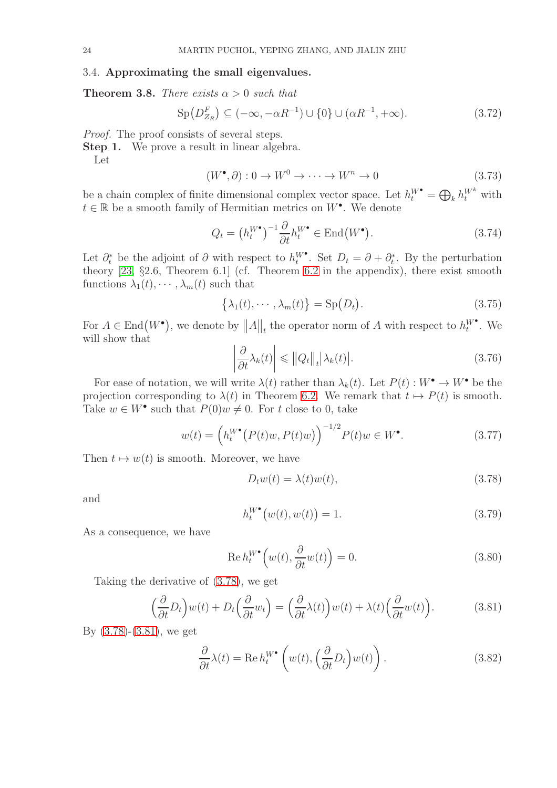### <span id="page-23-0"></span>3.4. Approximating the small eigenvalues.

<span id="page-23-5"></span>**Theorem 3.8.** *There exists*  $\alpha > 0$  *such that* 

<span id="page-23-4"></span>
$$
\text{Sp}(D_{Z_R}^F) \subseteq (-\infty, -\alpha R^{-1}) \cup \{0\} \cup (\alpha R^{-1}, +\infty). \tag{3.72}
$$

*Proof.* The proof consists of several steps.

**Step 1.** We prove a result in linear algebra.

Let

$$
(W^{\bullet}, \partial) : 0 \to W^0 \to \cdots \to W^n \to 0
$$
\n
$$
(3.73)
$$

be a chain complex of finite dimensional complex vector space. Let  $h_t^{W^{\bullet}} = \bigoplus_k h_t^{W^k}$  with  $t \in \mathbb{R}$  be a smooth family of Hermitian metrics on  $W^{\bullet}$ . We denote

$$
Q_t = \left(h_t^W\right)^{-1} \frac{\partial}{\partial t} h_t^W \in \text{End}\big(W^\bullet\big). \tag{3.74}
$$

Let  $\partial_t^*$  be the adjoint of  $\partial$  with respect to  $h_t^{W^*}$ . Set  $D_t = \partial + \partial_t^*$ . By the perturbation theory [\[23,](#page-54-26) §2.6, Theorem 6.1] (cf. Theorem [6.2](#page-53-0) in the appendix), there exist smooth functions  $\lambda_1(t), \cdots, \lambda_m(t)$  such that

$$
\{\lambda_1(t), \cdots, \lambda_m(t)\} = \text{Sp}(D_t). \tag{3.75}
$$

For  $A \in \text{End}(W^{\bullet})$ , we denote by  $||A||_{t}$  the operator norm of A with respect to  $h_t^{W^{\bullet}}$ . We will show that

$$
\left|\frac{\partial}{\partial t}\lambda_k(t)\right| \leq \|Q_t\|_t |\lambda_k(t)|. \tag{3.76}
$$

For ease of notation, we will write  $\lambda(t)$  rather than  $\lambda_k(t)$ . Let  $P(t): W^{\bullet} \to W^{\bullet}$  be the projection corresponding to  $\lambda(t)$  in Theorem [6.2.](#page-53-0) We remark that  $t \mapsto P(t)$  is smooth. Take  $w \in W^{\bullet}$  such that  $P(0)w \neq 0$ . For t close to 0, take

$$
w(t) = \left( h_t^{W^{\bullet}}(P(t)w, P(t)w) \right)^{-1/2} P(t)w \in W^{\bullet}.
$$
 (3.77)

Then  $t \mapsto w(t)$  is smooth. Moreover, we have

<span id="page-23-1"></span>
$$
D_t w(t) = \lambda(t) w(t), \qquad (3.78)
$$

and

$$
h_t^{W^{\bullet}}(w(t), w(t)) = 1.
$$
\n(3.79)

As a consequence, we have

$$
\operatorname{Re} h_t^{W^{\bullet}}\left(w(t), \frac{\partial}{\partial t}w(t)\right) = 0. \tag{3.80}
$$

Taking the derivative of [\(3.78\)](#page-23-1), we get

<span id="page-23-2"></span>
$$
\left(\frac{\partial}{\partial t}D_t\right)w(t) + D_t\left(\frac{\partial}{\partial t}w_t\right) = \left(\frac{\partial}{\partial t}\lambda(t)\right)w(t) + \lambda(t)\left(\frac{\partial}{\partial t}w(t)\right). \tag{3.81}
$$

By [\(3.78\)](#page-23-1)-[\(3.81\)](#page-23-2), we get

<span id="page-23-3"></span>
$$
\frac{\partial}{\partial t}\lambda(t) = \text{Re}\,h_t^{W^{\bullet}}\left(w(t), \left(\frac{\partial}{\partial t}D_t\right)w(t)\right). \tag{3.82}
$$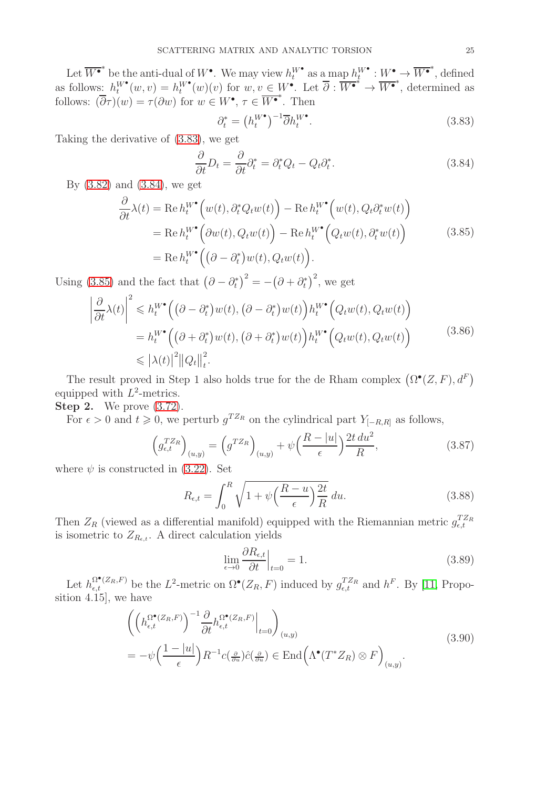Let  $\overline{W^{\bullet}}^*$  be the anti-dual of  $W^{\bullet}$ . We may view  $h_t^{W^{\bullet}}$  as a map  $h_t^{W^{\bullet}} : W^{\bullet} \to \overline{W^{\bullet}}^*$ , defined as follows:  $h_t^{W^{\bullet}}(w, v) = h_t^{W^{\bullet}}(w)(v)$  for  $w, v \in W^{\bullet}$ . Let  $\overline{\partial} : \overline{W^{\bullet}}^* \to \overline{W^{\bullet}}^*$ , determined as follows:  $(\overline{\partial}\tau)(w) = \tau(\partial w)$  for  $w \in W^{\bullet}, \tau \in \overline{W^{\bullet}}^*$ . Then

<span id="page-24-2"></span><span id="page-24-0"></span>
$$
\partial_t^* = \left(h_t^W\right)^{-1} \overline{\partial} h_t^W \,. \tag{3.83}
$$

Taking the derivative of [\(3.83\)](#page-24-0), we get

<span id="page-24-1"></span>
$$
\frac{\partial}{\partial t}D_t = \frac{\partial}{\partial t}\partial_t^* = \partial_t^* Q_t - Q_t \partial_t^*.
$$
\n(3.84)

By [\(3.82\)](#page-23-3) and [\(3.84\)](#page-24-1), we get

$$
\frac{\partial}{\partial t}\lambda(t) = \text{Re } h_t^{W^{\bullet}}\Big(w(t), \partial_t^* Q_t w(t)\Big) - \text{Re } h_t^{W^{\bullet}}\Big(w(t), Q_t \partial_t^* w(t)\Big) \n= \text{Re } h_t^{W^{\bullet}}\Big(\partial w(t), Q_t w(t)\Big) - \text{Re } h_t^{W^{\bullet}}\Big(Q_t w(t), \partial_t^* w(t)\Big) \n= \text{Re } h_t^{W^{\bullet}}\Big((\partial - \partial_t^*) w(t), Q_t w(t)\Big).
$$
\n(3.85)

Using [\(3.85\)](#page-24-2) and the fact that  $(\partial - \partial_t^*)^2 = -(\partial + \partial_t^*)^2$ , we get

$$
\frac{\partial}{\partial t}\lambda(t)\Big|^{2} \leq h_{t}^{W^{\bullet}}\Big((\partial - \partial_{t}^{*})w(t), (\partial - \partial_{t}^{*})w(t)\Big)h_{t}^{W^{\bullet}}\Big(Q_{t}w(t), Q_{t}w(t)\Big) \n= h_{t}^{W^{\bullet}}\Big((\partial + \partial_{t}^{*})w(t), (\partial + \partial_{t}^{*})w(t)\Big)h_{t}^{W^{\bullet}}\Big(Q_{t}w(t), Q_{t}w(t)\Big) \n\leq |\lambda(t)|^{2}||Q_{t}||_{t}^{2}.
$$
\n(3.86)

The result proved in Step 1 also holds true for the de Rham complex  $(\Omega^{\bullet}(Z,F), d^F)$ equipped with  $L^2$ -metrics.

**Step 2.** We prove  $(3.72)$ .

 $\begin{array}{c} \hline \end{array}$  $\overline{\phantom{a}}$  $\overline{\phantom{a}}$  $\begin{array}{c} \hline \end{array}$ 

For  $\epsilon > 0$  and  $t \geq 0$ , we perturb  $g^{T Z_R}$  on the cylindrical part  $Y_{[-R,R]}$  as follows,

$$
\left(g_{\epsilon,t}^{TZ_R}\right)_{(u,y)} = \left(g^{TZ_R}\right)_{(u,y)} + \psi\left(\frac{R-|u|}{\epsilon}\right)\frac{2t\,du^2}{R},\tag{3.87}
$$

where  $\psi$  is constructed in [\(3.22\)](#page-17-6). Set

$$
R_{\epsilon,t} = \int_0^R \sqrt{1 + \psi \left(\frac{R-u}{\epsilon}\right) \frac{2t}{R}} \, du. \tag{3.88}
$$

Then  $Z_R$  (viewed as a differential manifold) equipped with the Riemannian metric  $g_{\epsilon,t}^{T Z_R}$ is isometric to  $Z_{R_{\epsilon,t}}$ . A direct calculation yields

<span id="page-24-3"></span>
$$
\lim_{\epsilon \to 0} \frac{\partial R_{\epsilon,t}}{\partial t} \Big|_{t=0} = 1. \tag{3.89}
$$

Let  $h_{\epsilon,t}^{\Omega^{\bullet}(Z_R,F)}$  be the  $L^2$ -metric on  $\Omega^{\bullet}(Z_R,F)$  induced by  $g_{\epsilon,t}^{TZ_R}$  and  $h^F$ . By [\[11,](#page-54-1) Proposition 4.15], we have

$$
\left( \left( h_{\epsilon,t}^{\Omega^{\bullet}(Z_R,F)} \right)^{-1} \frac{\partial}{\partial t} h_{\epsilon,t}^{\Omega^{\bullet}(Z_R,F)} \Big|_{t=0} \right)_{(u,y)} \n= -\psi \left( \frac{1-|u|}{\epsilon} \right) R^{-1} c(\frac{\partial}{\partial u}) \hat{c}(\frac{\partial}{\partial u}) \in \text{End} \left( \Lambda^{\bullet}(T^* Z_R) \otimes F \right)_{(u,y)}.
$$
\n(3.90)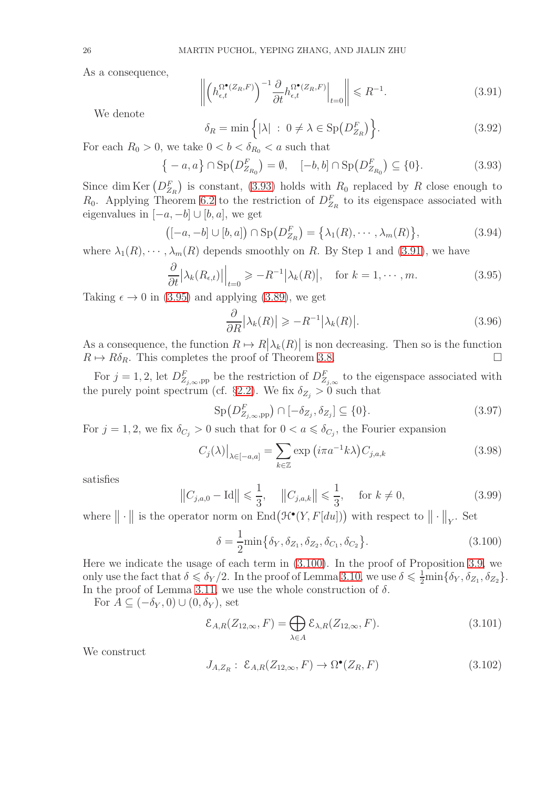As a consequence,

<span id="page-25-1"></span>
$$
\left\| \left( h_{\epsilon,t}^{\Omega^{\bullet}(Z_R, F)} \right)^{-1} \frac{\partial}{\partial t} h_{\epsilon,t}^{\Omega^{\bullet}(Z_R, F)} \right|_{t=0} \right\| \leq R^{-1}.
$$
 (3.91)

We denote

$$
\delta_R = \min\left\{ |\lambda| \; : \; 0 \neq \lambda \in \text{Sp}\left(D_{Z_R}^F\right) \right\}.
$$
\n(3.92)

For each  $R_0 > 0$ , we take  $0 < b < \delta_{R_0} < a$  such that

<span id="page-25-0"></span>
$$
\{-a, a\} \cap \text{Sp}(D_{Z_{R_0}}^F) = \emptyset, \quad [-b, b] \cap \text{Sp}(D_{Z_{R_0}}^F) \subseteq \{0\}.
$$
 (3.93)

Since dim Ker  $(D_{Z_R}^F)$  is constant, [\(3.93\)](#page-25-0) holds with  $R_0$  replaced by R close enough to  $R_0$ . Applying Theorem [6.2](#page-53-0) to the restriction of  $D_{Z_R}^F$  to its eigenspace associated with eigenvalues in  $[-a, -b] \cup [b, a]$ , we get

$$
([-a, -b] \cup [b, a]) \cap \mathrm{Sp}(D_{Z_R}^F) = \{\lambda_1(R), \cdots, \lambda_m(R)\},\tag{3.94}
$$

where  $\lambda_1(R), \cdots, \lambda_m(R)$  depends smoothly on R. By Step 1 and [\(3.91\)](#page-25-1), we have

<span id="page-25-2"></span>
$$
\frac{\partial}{\partial t} |\lambda_k(R_{\epsilon,t})| \Big|_{t=0} \geqslant -R^{-1} |\lambda_k(R)|, \quad \text{for } k = 1, \cdots, m. \tag{3.95}
$$

Taking  $\epsilon \to 0$  in [\(3.95\)](#page-25-2) and applying [\(3.89\)](#page-24-3), we get

$$
\frac{\partial}{\partial R} |\lambda_k(R)| \geqslant -R^{-1} |\lambda_k(R)|. \tag{3.96}
$$

As a consequence, the function  $R \mapsto R\left[\lambda_k(R)\right]$  is non decreasing. Then so is the function  $R \mapsto R\delta_R$ . This completes the proof of Theorem [3.8.](#page-23-5)

For  $j = 1, 2$ , let  $D_{Z_{j,\infty},\text{pp}}^F$  be the restriction of  $D_{Z_{j,\infty}}^F$  to the eigenspace associated with the purely point spectrum (cf. §[2.2\)](#page-11-0). We fix  $\delta_{Z_i} > 0$  such that

$$
\operatorname{Sp}(D^F_{Z_{j,\infty},\operatorname{pp}})\cap[-\delta_{Z_j},\delta_{Z_j}]\subseteq\{0\}.\tag{3.97}
$$

For  $j = 1, 2$ , we fix  $\delta_{C_j} > 0$  such that for  $0 < a \leq \delta_{C_j}$ , the Fourier expansion

<span id="page-25-4"></span>
$$
C_j(\lambda)|_{\lambda \in [-a,a]} = \sum_{k \in \mathbb{Z}} \exp(i\pi a^{-1}k\lambda) C_{j,a,k}
$$
 (3.98)

satisfies

<span id="page-25-5"></span>
$$
||C_{j,a,0} - \text{Id}|| \le \frac{1}{3}, \quad ||C_{j,a,k}|| \le \frac{1}{3}, \quad \text{for } k \ne 0,
$$
 (3.99)

where  $\|\cdot\|$  is the operator norm on End $(\mathcal{H}^{\bullet}(Y, F[du]))$  with respect to  $\|\cdot\|_Y$ . Set

<span id="page-25-3"></span>
$$
\delta = \frac{1}{2} \min \{ \delta_Y, \delta_{Z_1}, \delta_{Z_2}, \delta_{C_1}, \delta_{C_2} \}.
$$
 (3.100)

Here we indicate the usage of each term in [\(3.100\)](#page-25-3). In the proof of Proposition [3.9,](#page-26-0) we only use the fact that  $\delta \leq \delta_Y/2$ . In the proof of Lemma [3.10,](#page-26-1) we use  $\delta \leq \frac{1}{2} \min{\delta_Y, \delta_{Z_1}, \delta_{Z_2}}$ . In the proof of Lemma [3.11,](#page-27-0) we use the whole construction of  $\delta$ .

For  $A \subseteq (-\delta_Y, 0) \cup (0, \delta_Y)$ , set

<span id="page-25-6"></span>
$$
\mathcal{E}_{A,R}(Z_{12,\infty},F) = \bigoplus_{\lambda \in A} \mathcal{E}_{\lambda,R}(Z_{12,\infty},F). \tag{3.101}
$$

We construct

$$
J_{A,Z_R}: \ \mathcal{E}_{A,R}(Z_{12,\infty}, F) \to \Omega^{\bullet}(Z_R, F) \tag{3.102}
$$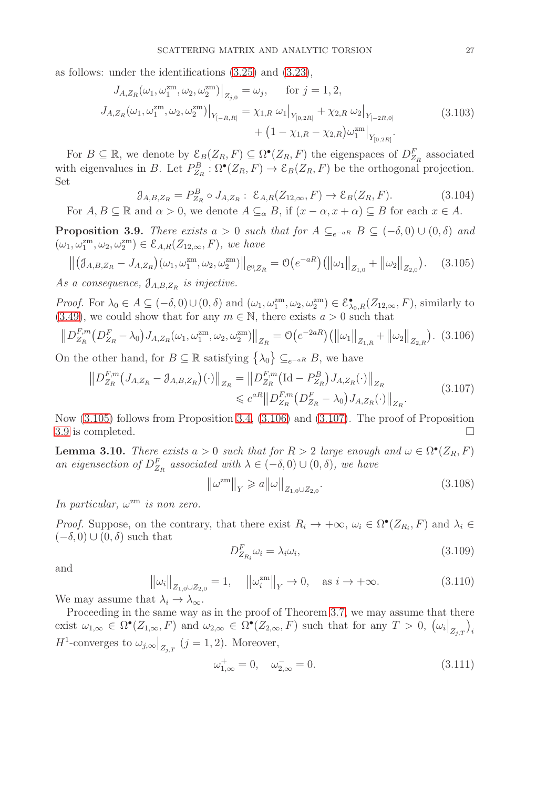as follows: under the identifications [\(3.25\)](#page-17-8) and [\(3.23\)](#page-17-7),

$$
J_{A,Z_R}(\omega_1, \omega_1^{\text{zm}}, \omega_2, \omega_2^{\text{zm}})|_{Z_{j,0}} = \omega_j, \quad \text{for } j = 1, 2,
$$
  
\n
$$
J_{A,Z_R}(\omega_1, \omega_1^{\text{zm}}, \omega_2, \omega_2^{\text{zm}})|_{Y_{[-R,R]}} = \chi_{1,R} \omega_1|_{Y_{[0,2R]}} + \chi_{2,R} \omega_2|_{Y_{[-2R,0]}}
$$
\n
$$
+ (1 - \chi_{1,R} - \chi_{2,R})\omega_1^{\text{zm}}|_{Y_{[0,2R]}}.
$$
\n(3.103)

For  $B \subseteq \mathbb{R}$ , we denote by  $\mathcal{E}_B(Z_R, F) \subseteq \Omega^{\bullet}(Z_R, F)$  the eigenspaces of  $D_{Z_R}^F$  associated with eigenvalues in B. Let  $P_{Z_R}^B: \Omega^{\bullet}(Z_R, F) \to \mathcal{E}_B(Z_R, F)$  be the orthogonal projection. Set

<span id="page-26-9"></span><span id="page-26-8"></span>
$$
\mathcal{J}_{A,B,Z_R} = P_{Z_R}^B \circ J_{A,Z_R} : \mathcal{E}_{A,R}(Z_{12,\infty}, F) \to \mathcal{E}_B(Z_R, F). \tag{3.104}
$$

For  $A, B \subseteq \mathbb{R}$  and  $\alpha > 0$ , we denote  $A \subseteq_{\alpha} B$ , if  $(x - \alpha, x + \alpha) \subseteq B$  for each  $x \in A$ .

<span id="page-26-0"></span>**Proposition 3.9.** *There exists*  $a > 0$  *such that for*  $A \subseteq_{e^{-aR}} B \subseteq (-\delta, 0) \cup (0, \delta)$  *and*  $(\omega_1, \omega_1^{\text{zm}}, \omega_2, \omega_2^{\text{zm}}) \in \mathcal{E}_{A,R}(Z_{12,\infty}, F)$ *, we have* 

<span id="page-26-2"></span>
$$
\left\| \left( \mathcal{J}_{A,B,Z_R} - J_{A,Z_R} \right) (\omega_1, \omega_1^{zm}, \omega_2, \omega_2^{zm}) \right\|_{\mathcal{C}^0,Z_R} = \mathcal{O}\left(e^{-aR}\right) \left( \left\| \omega_1 \right\|_{Z_{1,0}} + \left\| \omega_2 \right\|_{Z_{2,0}} \right). \tag{3.105}
$$

As a consequence,  $\mathfrak{J}_{A,B,Z_R}$  is injective.

*Proof.* For  $\lambda_0 \in A \subseteq (-\delta, 0) \cup (0, \delta)$  and  $(\omega_1, \omega_1^{\text{zm}}, \omega_2, \omega_2^{\text{zm}}) \in \mathcal{E}_{\lambda_0, R}^{\bullet}(Z_{12, \infty}, F)$ , similarly to [\(3.49\)](#page-20-5), we could show that for any  $m \in \mathbb{N}$ , there exists  $a > 0$  such that

<span id="page-26-3"></span>
$$
\left\| D_{Z_R}^{F,m} \left( D_{Z_R}^F - \lambda_0 \right) J_{A,Z_R}(\omega_1, \omega_1^{\text{zm}}, \omega_2, \omega_2^{\text{zm}}) \right\|_{Z_R} = \mathcal{O}\left(e^{-2aR}\right) \left( \left\| \omega_1 \right\|_{Z_{1,R}} + \left\| \omega_2 \right\|_{Z_{2,R}} \right). \tag{3.106}
$$

On the other hand, for  $B \subseteq \mathbb{R}$  satisfying  $\{\lambda_0\} \subseteq_{e^{-aR}} B$ , we have

$$
\|D_{Z_R}^{F,m}(J_{A,Z_R} - \mathcal{J}_{A,B,Z_R})(\cdot)\|_{Z_R} = \|D_{Z_R}^{F,m}(\text{Id} - P_{Z_R}^B)J_{A,Z_R}(\cdot)\|_{Z_R}
$$
  
\$\leqslant e^{aR} \|D\_{Z\_R}^{F,m}(D\_{Z\_R}^F - \lambda\_0)J\_{A,Z\_R}(\cdot)\|\_{Z\_R}\$. (3.107)

Now [\(3.105\)](#page-26-2) follows from Proposition [3.4,](#page-19-6) [\(3.106\)](#page-26-3) and [\(3.107\)](#page-26-4). The proof of Proposition [3.9](#page-26-0) is completed.  $\Box$ 

<span id="page-26-1"></span>**Lemma 3.10.** *There exists*  $a > 0$  *such that for*  $R > 2$  *large enough and*  $\omega \in \Omega^{\bullet}(Z_R, F)$ *an eigensection of*  $D_{Z_R}^F$  *associated with*  $\lambda \in (-\delta, 0) \cup (0, \delta)$ *, we have* 

<span id="page-26-4"></span>
$$
\|\omega^{\rm zm}\|_{Y} \geq a \|\omega\|_{Z_{1,0}\cup Z_{2,0}}.\tag{3.108}
$$

*In particular,*  $\omega$ <sup>zm</sup> *is non zero.* 

*Proof.* Suppose, on the contrary, that there exist  $R_i \to +\infty$ ,  $\omega_i \in \Omega^{\bullet}(Z_{R_i}, F)$  and  $\lambda_i \in$  $(-\delta, 0) \cup (0, \delta)$  such that

<span id="page-26-6"></span><span id="page-26-5"></span>
$$
D_{Z_{R_i}}^F \omega_i = \lambda_i \omega_i, \tag{3.109}
$$

and

$$
\|\omega_i\|_{Z_{1,0}\cup Z_{2,0}} = 1, \quad \|\omega_i^{\text{zm}}\|_Y \to 0, \quad \text{as } i \to +\infty. \tag{3.110}
$$
  
We may assume that  $\lambda_i \to \lambda_\infty$ .

Proceeding in the same way as in the proof of Theorem [3.7,](#page-21-9) we may assume that there exist  $\omega_{1,\infty} \in \Omega^{\bullet}(Z_{1,\infty}, F)$  and  $\omega_{2,\infty} \in \Omega^{\bullet}(Z_{2,\infty}, F)$  such that for any  $T > 0$ ,  $(\omega_i|_{Z_{j,T}})$  $\big)_i$  $H^1$ -converges to  $\omega_{j,\infty}\big|_{Z_{j,T}}$   $(j=1,2)$ . Moreover,

<span id="page-26-7"></span>
$$
\omega_{1,\infty}^+ = 0, \quad \omega_{2,\infty}^- = 0. \tag{3.111}
$$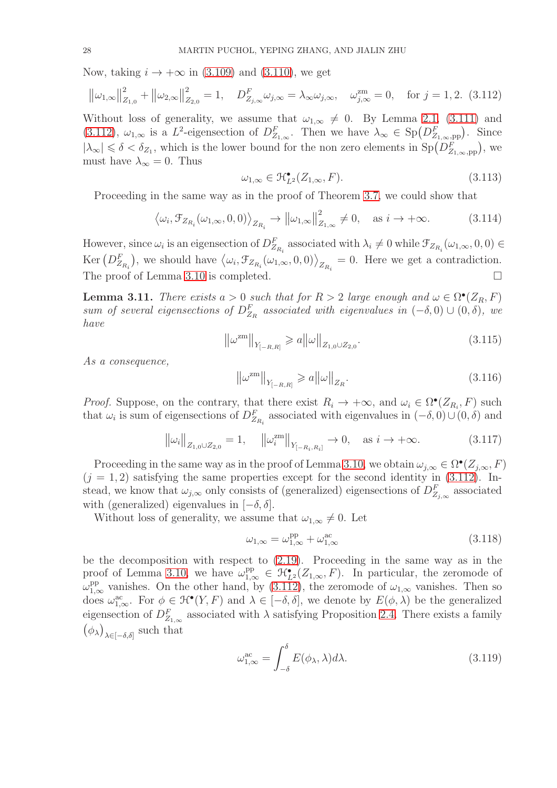Now, taking  $i \rightarrow +\infty$  in [\(3.109\)](#page-26-5) and [\(3.110\)](#page-26-6), we get

<span id="page-27-1"></span>
$$
\left\|\omega_{1,\infty}\right\|_{Z_{1,0}}^2 + \left\|\omega_{2,\infty}\right\|_{Z_{2,0}}^2 = 1, \quad D_{Z_{j,\infty}}^F \omega_{j,\infty} = \lambda_{\infty} \omega_{j,\infty}, \quad \omega_{j,\infty}^{\text{zm}} = 0, \quad \text{for } j = 1,2. \tag{3.112}
$$

Without loss of generality, we assume that  $\omega_{1,\infty} \neq 0$ . By Lemma [2.1,](#page-11-2) [\(3.111\)](#page-26-7) and [\(3.112\)](#page-27-1),  $\omega_{1,\infty}$  is a L<sup>2</sup>-eigensection of  $D_{Z_{1,\infty}}^F$ . Then we have  $\lambda_{\infty} \in Sp(D_{Z_{1,\infty},\text{pp}}^F)$ . Since  $|\lambda_{\infty}| \leq \delta < \delta_{Z_1}$ , which is the lower bound for the non zero elements in  $Sp(D_{Z_{1,\infty},\text{pp}}^F)$ , we must have  $\lambda_{\infty} = 0$ . Thus

$$
\omega_{1,\infty} \in \mathcal{H}^{\bullet}_{L^2}(Z_{1,\infty}, F). \tag{3.113}
$$

Proceeding in the same way as in the proof of Theorem [3.7,](#page-21-9) we could show that

$$
\langle \omega_i, \mathcal{F}_{Z_{R_i}}(\omega_{1,\infty}, 0, 0) \rangle_{Z_{R_i}} \to ||\omega_{1,\infty}||^2_{Z_{1,\infty}} \neq 0, \quad \text{as } i \to +\infty.
$$
 (3.114)

However, since  $\omega_i$  is an eigensection of  $D_{Z_{R_i}}^F$  associated with  $\lambda_i \neq 0$  while  $\mathcal{F}_{Z_{R_i}}(\omega_{1,\infty},0,0) \in$  $\text{Ker} \left( D_{Z_{R_i}}^F \right)$ ), we should have  $\langle \omega_i, \mathcal{F}_{Z_{R_i}}(\omega_{1,\infty}, 0, 0) \rangle_{Z_{R_i}} = 0$ . Here we get a contradiction. The proof of Lemma [3.10](#page-26-1) is completed.

<span id="page-27-0"></span>**Lemma 3.11.** *There exists*  $a > 0$  *such that for*  $R > 2$  *large enough and*  $\omega \in \Omega^{\bullet}(Z_R, F)$  $sum \space of \space several \space eigensections \space of \space D_{Z_R}^F \space associated \space with \space eigenvalues \space in \space (-\delta,0) \cup (0,\delta), \space we$ *have*

<span id="page-27-3"></span>
$$
\left\|\omega^{\text{zm}}\right\|_{Y_{[-R,R]}} \geqslant a \left\|\omega\right\|_{Z_{1,0}\cup Z_{2,0}}.\tag{3.115}
$$

*As a consequence,*

<span id="page-27-2"></span>
$$
\left\|\omega^{\text{zm}}\right\|_{Y_{[-R,R]}} \geqslant a \left\|\omega\right\|_{Z_R}.\tag{3.116}
$$

*Proof.* Suppose, on the contrary, that there exist  $R_i \to +\infty$ , and  $\omega_i \in \Omega^{\bullet}(Z_{R_i}, F)$  such that  $\omega_i$  is sum of eigensections of  $D_{Z_{R_i}}^F$  associated with eigenvalues in  $(-\delta, 0) \cup (0, \delta)$  and

$$
\left\|\omega_{i}\right\|_{Z_{1,0}\cup Z_{2,0}}=1, \quad \left\|\omega_{i}^{\text{zm}}\right\|_{Y_{[-R_{i},R_{i}]}} \to 0, \quad \text{as } i \to +\infty. \tag{3.117}
$$

Proceeding in the same way as in the proof of Lemma [3.10,](#page-26-1) we obtain  $\omega_{j,\infty} \in \Omega^{\bullet}(Z_{j,\infty}, F)$  $(j = 1, 2)$  satisfying the same properties except for the second identity in  $(3.112)$ . Instead, we know that  $\omega_{j,\infty}$  only consists of (generalized) eigensections of  $D^F_{Z_{j,\infty}}$  associated with (generalized) eigenvalues in  $[-\delta, \delta]$ .

Without loss of generality, we assume that  $\omega_{1,\infty} \neq 0$ . Let

$$
\omega_{1,\infty} = \omega_{1,\infty}^{\text{pp}} + \omega_{1,\infty}^{\text{ac}} \tag{3.118}
$$

be the decomposition with respect to [\(2.19\)](#page-11-4). Proceeding in the same way as in the proof of Lemma [3.10,](#page-26-1) we have  $\omega_{1,\infty}^{pp} \in \mathcal{H}_{L^2}(\mathcal{Z}_{1,\infty}, F)$ . In particular, the zeromode of  $\omega_{1,\infty}^{\text{pp}}$  vanishes. On the other hand, by [\(3.112\)](#page-27-1), the zeromode of  $\omega_{1,\infty}$  vanishes. Then so does  $\omega_{1,\infty}^{ac}$ . For  $\phi \in \mathcal{H}^{\bullet}(Y, F)$  and  $\lambda \in [-\delta, \delta]$ , we denote by  $E(\phi, \lambda)$  be the generalized eigensection of  $D_{Z_{1,\infty}}^F$  associated with  $\lambda$  satisfying Proposition [2.4.](#page-13-1) There exists a family  $(\phi_{\lambda})$  $\lambda \in [-\delta, \delta]$  such that

$$
\omega_{1,\infty}^{\text{ac}} = \int_{-\delta}^{\delta} E(\phi_{\lambda}, \lambda) d\lambda. \tag{3.119}
$$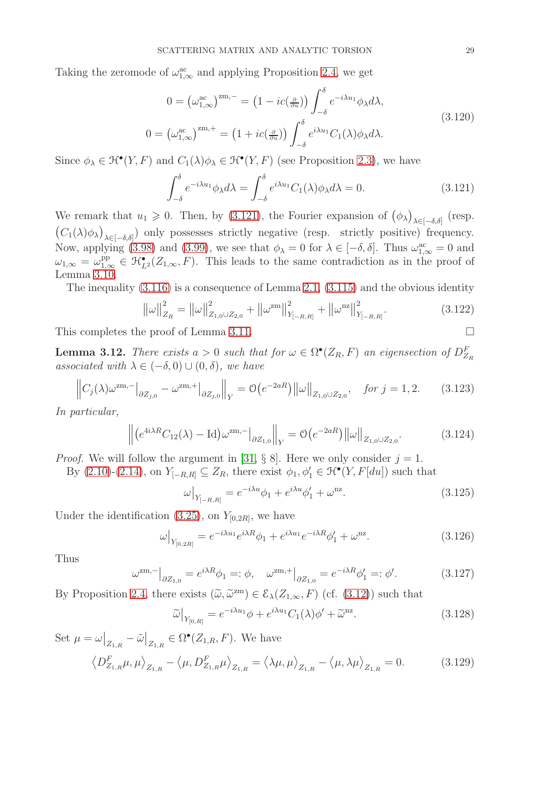Taking the zeromode of  $\omega_{1,\infty}^{ac}$  and applying Proposition [2.4,](#page-13-1) we get

$$
0 = \left(\omega_{1,\infty}^{\text{ac}}\right)^{\text{zm},-} = \left(1 - ic\left(\frac{\partial}{\partial u}\right)\right) \int_{-\delta}^{\delta} e^{-i\lambda u_1} \phi_{\lambda} d\lambda,
$$
  
\n
$$
0 = \left(\omega_{1,\infty}^{\text{ac}}\right)^{\text{zm},+} = \left(1 + ic\left(\frac{\partial}{\partial u}\right)\right) \int_{-\delta}^{\delta} e^{i\lambda u_1} C_1(\lambda) \phi_{\lambda} d\lambda.
$$
\n(3.120)

Since  $\phi_{\lambda} \in \mathcal{H}^{\bullet}(Y, F)$  and  $C_1(\lambda)\phi_{\lambda} \in \mathcal{H}^{\bullet}(Y, F)$  (see Proposition [2.3\)](#page-13-4), we have

<span id="page-28-0"></span>
$$
\int_{-\delta}^{\delta} e^{-i\lambda u_1} \phi_{\lambda} d\lambda = \int_{-\delta}^{\delta} e^{i\lambda u_1} C_1(\lambda) \phi_{\lambda} d\lambda = 0.
$$
 (3.121)

We remark that  $u_1 \geq 0$ . Then, by [\(3.121\)](#page-28-0), the Fourier expansion of  $(\phi_\lambda)$  $\lambda \in [-\delta, \delta]$  (resp.  $(C_1(\lambda)\phi_\lambda)$  $\lambda \in [-\delta, \delta]$  only possesses strictly negative (resp. strictly positive) frequency. Now, applying [\(3.98\)](#page-25-4) and [\(3.99\)](#page-25-5), we see that  $\phi_{\lambda} = 0$  for  $\lambda \in [-\delta, \delta]$ . Thus  $\omega_{1,\infty}^{ac} = 0$  and  $\omega_{1,\infty} = \omega_{1,\infty}^{\text{pp}} \in \mathcal{H}_{L^2}(\mathcal{Z}_{1,\infty}, F)$ . This leads to the same contradiction as in the proof of Lemma [3.10.](#page-26-1)

The inequality [\(3.116\)](#page-27-2) is a consequence of Lemma [2.1,](#page-11-2) [\(3.115\)](#page-27-3) and the obvious identity

$$
\left\|\omega\right\|_{Z_R}^2 = \left\|\omega\right\|_{Z_{1,0}\cup Z_{2,0}}^2 + \left\|\omega^{\text{zm}}\right\|_{Y_{[-R,R]}}^2 + \left\|\omega^{\text{nz}}\right\|_{Y_{[-R,R]}}^2. \tag{3.122}
$$

This completes the proof of Lemma [3.11.](#page-27-0)

<span id="page-28-7"></span>**Lemma 3.12.** *There exists*  $a > 0$  *such that for*  $\omega \in \Omega^{\bullet}(Z_R, F)$  *an eigensection of*  $D_{Z_R}^F$ *associated with*  $\lambda \in (-\delta, 0) \cup (0, \delta)$ *, we have* 

<span id="page-28-5"></span>
$$
\left\|C_j(\lambda)\omega^{\text{zm},-}\right\|_{\partial Z_{j,0}} - \omega^{\text{zm},+}\right\|_{\partial Z_{j,0}}\left\|V - \mathcal{O}\left(e^{-2aR}\right)\right\|\omega\right\|_{Z_{1,0}\cup Z_{2,0}}, \quad \text{for } j = 1, 2. \tag{3.123}
$$

*In particular,*

<span id="page-28-6"></span>
$$
\left\| (e^{4i\lambda R}C_{12}(\lambda) - \text{Id})\omega^{\text{zm},-} \right\|_{\partial Z_{1,0}} \right\|_{Y} = \mathcal{O}\left(e^{-2aR}\right) \left\| \omega \right\|_{Z_{1,0} \cup Z_{2,0}}.
$$
 (3.124)

*Proof.* We will follow the argument in [\[31,](#page-55-8) § 8]. Here we only consider  $j = 1$ .

By  $(2.10)-(2.14)$  $(2.10)-(2.14)$ , on  $Y_{[-R,R]} \subseteq Z_R$ , there exist  $\phi_1, \phi'_1 \in \mathcal{H}^{\bullet}(Y, F[du])$  such that

<span id="page-28-8"></span>
$$
\omega|_{Y_{[-R,R]}} = e^{-i\lambda u} \phi_1 + e^{i\lambda u} \phi'_1 + \omega^{nz}.
$$
\n(3.125)

Under the identification  $(3.25)$ , on  $Y_{[0,2R]}$ , we have

<span id="page-28-1"></span>
$$
\omega\big|_{Y_{[0,2R]}} = e^{-i\lambda u_1} e^{i\lambda R} \phi_1 + e^{i\lambda u_1} e^{-i\lambda R} \phi'_1 + \omega^{nz}.
$$
 (3.126)

Thus

<span id="page-28-4"></span>
$$
\omega^{\text{zm},-}\big|_{\partial Z_{1,0}} = e^{i\lambda R} \phi_1 =: \phi, \quad \omega^{\text{zm},+}\big|_{\partial Z_{1,0}} = e^{-i\lambda R} \phi'_1 =: \phi'. \tag{3.127}
$$

By Proposition [2.4,](#page-13-1) there exists  $(\tilde{\omega}, \tilde{\omega}^{zm}) \in \mathcal{E}_{\lambda}(Z_{1,\infty}, F)$  (cf. [\(3.12\)](#page-16-4)) such that

<span id="page-28-2"></span>
$$
\widetilde{\omega}\big|_{Y_{[0,R]}} = e^{-i\lambda u_1} \phi + e^{i\lambda u_1} C_1(\lambda) \phi' + \widetilde{\omega}^{\text{nz}}.
$$
\n(3.128)

Set  $\mu = \omega|_{Z_{1,R}} - \tilde{\omega}|_{Z_{1,R}} \in \Omega^{\bullet}(Z_{1,R}, F)$ . We have

<span id="page-28-3"></span>
$$
\left\langle D_{Z_{1,R}}^F \mu, \mu \right\rangle_{Z_{1,R}} - \left\langle \mu, D_{Z_{1,R}}^F \mu \right\rangle_{Z_{1,R}} = \left\langle \lambda \mu, \mu \right\rangle_{Z_{1,R}} - \left\langle \mu, \lambda \mu \right\rangle_{Z_{1,R}} = 0. \tag{3.129}
$$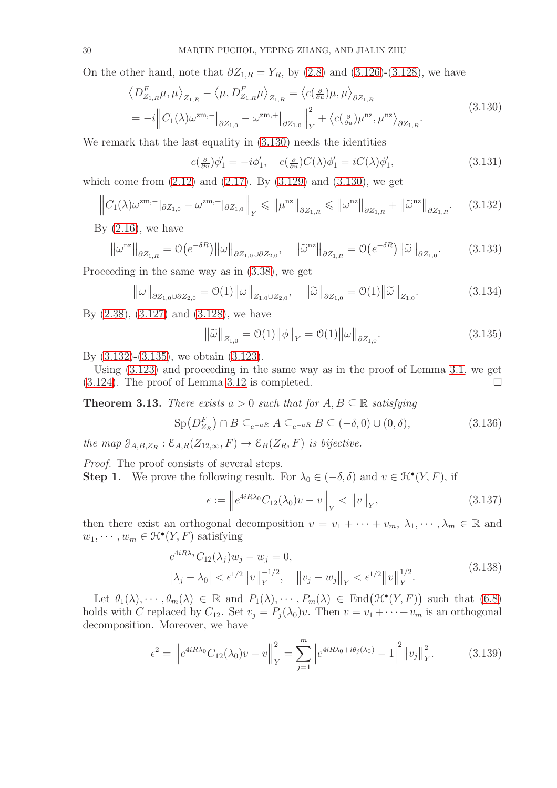On the other hand, note that  $\partial Z_{1,R} = Y_R$ , by [\(2.8\)](#page-10-7) and [\(3.126\)](#page-28-1)-[\(3.128\)](#page-28-2), we have

$$
\langle D_{Z_{1,R}}^F \mu, \mu \rangle_{Z_{1,R}} - \langle \mu, D_{Z_{1,R}}^F \mu \rangle_{Z_{1,R}} = \langle c(\frac{\partial}{\partial u}) \mu, \mu \rangle_{\partial Z_{1,R}}
$$
  
=  $-i \left\| C_1(\lambda) \omega^{\text{zm},-} \right\|_{\partial Z_{1,0}} - \omega^{\text{zm},+} \left\| \frac{\partial}{\partial Z_{1,0}} \right\|_Y^2 + \langle c(\frac{\partial}{\partial u}) \mu^{\text{nz}}, \mu^{\text{nz}} \rangle_{\partial Z_{1,R}}.$  (3.130)

We remark that the last equality in  $(3.130)$  needs the identities

<span id="page-29-0"></span>
$$
c(\frac{\partial}{\partial u})\phi'_1 = -i\phi'_1, \quad c(\frac{\partial}{\partial u})C(\lambda)\phi'_1 = iC(\lambda)\phi'_1,\tag{3.131}
$$

which come from  $(2.12)$  and  $(2.17)$ . By  $(3.129)$  and  $(3.130)$ , we get

<span id="page-29-1"></span>
$$
\left\|C_1(\lambda)\omega^{\mathrm{zm},-}\right\|_{\partial Z_{1,0}} - \omega^{\mathrm{zm},+}\left\|\partial Z_{1,0}\right\|_{Y} \leqslant \left\|\mu^{\mathrm{nz}}\right\|_{\partial Z_{1,R}} \leqslant \left\|\omega^{\mathrm{nz}}\right\|_{\partial Z_{1,R}} + \left\|\widetilde{\omega}^{\mathrm{nz}}\right\|_{\partial Z_{1,R}}.\tag{3.132}
$$

By  $(2.16)$ , we have

$$
\|\omega^{nz}\|_{\partial Z_{1,R}} = \mathcal{O}\big(e^{-\delta R}\big) \|\omega\|_{\partial Z_{1,0}\cup \partial Z_{2,0}}, \quad \|\widetilde{\omega}^{nz}\|_{\partial Z_{1,R}} = \mathcal{O}\big(e^{-\delta R}\big) \|\widetilde{\omega}\|_{\partial Z_{1,0}}.
$$
 (3.133)

Proceeding in the same way as in [\(3.38\)](#page-19-1), we get

<span id="page-29-5"></span>
$$
\|\omega\|_{\partial Z_{1,0}\cup\partial Z_{2,0}} = O(1)\|\omega\|_{Z_{1,0}\cup Z_{2,0}}, \quad \|\widetilde{\omega}\|_{\partial Z_{1,0}} = O(1)\|\widetilde{\omega}\|_{Z_{1,0}}.
$$
\n(3.134)

By [\(2.38\)](#page-13-6), [\(3.127\)](#page-28-4) and [\(3.128\)](#page-28-2), we have

<span id="page-29-2"></span>
$$
\|\tilde{\omega}\|_{Z_{1,0}} = \mathcal{O}(1) \|\phi\|_{Y} = \mathcal{O}(1) \|\omega\|_{\partial Z_{1,0}}.
$$
\n(3.135)

By [\(3.132\)](#page-29-1)-[\(3.135\)](#page-29-2), we obtain [\(3.123\)](#page-28-5).

Using [\(3.123\)](#page-28-5) and proceeding in the same way as in the proof of Lemma [3.1,](#page-16-7) we get  $(3.124)$ . The proof of Lemma [3.12](#page-28-7) is completed.

<span id="page-29-6"></span>**Theorem 3.13.** *There exists*  $a > 0$  *such that for*  $A, B \subseteq \mathbb{R}$  *satisfying* 

<span id="page-29-7"></span>
$$
\operatorname{Sp}(D_{Z_R}^F) \cap B \subseteq_{e^{-aR}} A \subseteq_{e^{-aR}} B \subseteq (-\delta, 0) \cup (0, \delta), \tag{3.136}
$$

*the map*  $\mathfrak{J}_{A,B,Z_R}: \mathcal{E}_{A,R}(Z_{12,\infty}, F) \to \mathcal{E}_B(Z_R, F)$  *is bijective.* 

*Proof.* The proof consists of several steps.

**Step 1.** We prove the following result. For  $\lambda_0 \in (-\delta, \delta)$  and  $v \in \mathcal{H}^{\bullet}(Y, F)$ , if

<span id="page-29-3"></span>
$$
\epsilon := \left\| e^{4iR\lambda_0} C_{12}(\lambda_0) v - v \right\|_Y < \|v\|_Y,\tag{3.137}
$$

then there exist an orthogonal decomposition  $v = v_1 + \cdots + v_m$ ,  $\lambda_1, \cdots, \lambda_m \in \mathbb{R}$  and  $w_1, \cdots, w_m \in \mathcal{H}^\bullet(Y, F)$  satisfying

$$
e^{4iR\lambda_j}C_{12}(\lambda_j)w_j - w_j = 0,
$$
  
\n
$$
|\lambda_j - \lambda_0| < \epsilon^{1/2} ||v||_Y^{-1/2}, \quad ||v_j - w_j||_Y < \epsilon^{1/2} ||v||_Y^{1/2}.
$$
\n(3.138)

Let  $\theta_1(\lambda), \dots, \theta_m(\lambda) \in \mathbb{R}$  and  $P_1(\lambda), \dots, P_m(\lambda) \in \text{End}(\mathcal{H}^{\bullet}(Y, F))$  such that  $(6.8)$ holds with C replaced by  $C_{12}$ . Set  $v_j = P_j(\lambda_0)v$ . Then  $v = v_1 + \cdots + v_m$  is an orthogonal decomposition. Moreover, we have

<span id="page-29-4"></span>
$$
\epsilon^2 = \left\| e^{4iR\lambda_0} C_{12}(\lambda_0) v - v \right\|_Y^2 = \sum_{j=1}^m \left| e^{4iR\lambda_0 + i\theta_j(\lambda_0)} - 1 \right|^2 \left\| v_j \right\|_Y^2. \tag{3.139}
$$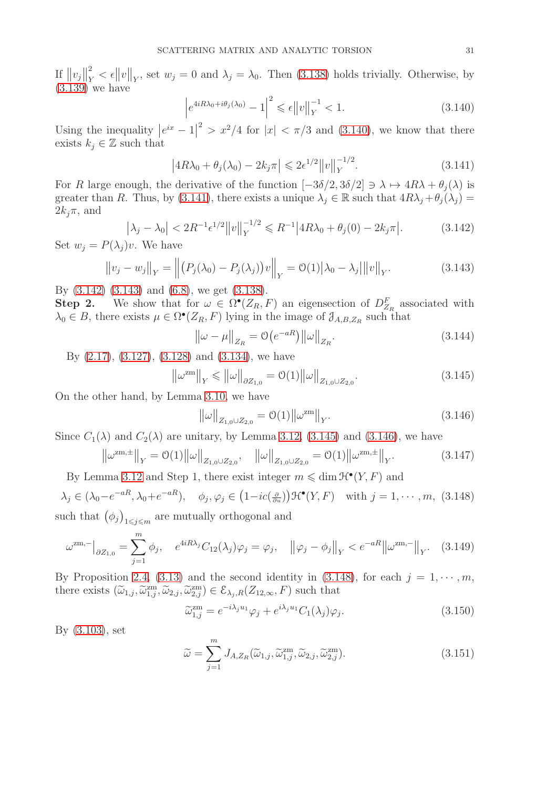If  $||v_j||_Y^2$  $\frac{p}{Y} < \epsilon \|v\|_Y$ , set  $w_j = 0$  and  $\lambda_j = \lambda_0$ . Then [\(3.138\)](#page-29-3) holds trivially. Otherwise, by [\(3.139\)](#page-29-4) we have

<span id="page-30-0"></span>
$$
\left| e^{4iR\lambda_0 + i\theta_j(\lambda_0)} - 1 \right|^2 \leqslant \epsilon \|v\|_Y^{-1} < 1. \tag{3.140}
$$

Using the inequality  $|e^{ix} - 1|^2 > x^2/4$  for  $|x| < \pi/3$  and [\(3.140\)](#page-30-0), we know that there exists  $k_i \in \mathbb{Z}$  such that

<span id="page-30-1"></span>
$$
\left| 4R\lambda_0 + \theta_j(\lambda_0) - 2k_j \pi \right| \leq 2\epsilon^{1/2} \|v\|_Y^{-1/2}.
$$
 (3.141)

For R large enough, the derivative of the function  $[-3\delta/2, 3\delta/2] \ni \lambda \mapsto 4R\lambda + \theta_i(\lambda)$  is greater than R. Thus, by [\(3.141\)](#page-30-1), there exists a unique  $\lambda_j \in \mathbb{R}$  such that  $4R\lambda_j + \theta_j(\lambda_j) =$  $2k_i\pi$ , and

<span id="page-30-2"></span>
$$
\left|\lambda_j - \lambda_0\right| < 2R^{-1} \epsilon^{1/2} \|v\|_Y^{-1/2} \leq R^{-1} \left|4R\lambda_0 + \theta_j(0) - 2k_j \pi\right|.
$$
\n(3.142)

Set  $w_i = P(\lambda_i)v$ . We have

<span id="page-30-3"></span>
$$
||v_j - w_j||_Y = || (P_j(\lambda_0) - P_j(\lambda_j))v||_Y = O(1) |\lambda_0 - \lambda_j| ||v||_Y.
$$
 (3.143)

By [\(3.142\)](#page-30-2) [\(3.143\)](#page-30-3) and [\(6.8\)](#page-53-1), we get [\(3.138\)](#page-29-3).

Step 2. We show that for  $\omega \in \Omega^{\bullet}(Z_R, F)$  an eigensection of  $D_{Z_R}^F$  associated with  $\lambda_0 \in B$ , there exists  $\mu \in \Omega^{\bullet}(Z_R, F)$  lying in the image of  $\mathcal{J}_{A,B,Z_R}$  such that

<span id="page-30-11"></span>
$$
\|\omega - \mu\|_{Z_R} = O(e^{-aR})\|\omega\|_{Z_R}.
$$
\n(3.144)

By [\(2.17\)](#page-11-1), [\(3.127\)](#page-28-4), [\(3.128\)](#page-28-2) and [\(3.134\)](#page-29-5), we have

<span id="page-30-4"></span>
$$
\|\omega^{\rm zm}\|_{Y} \le \|\omega\|_{\partial Z_{1,0}} = O(1) \|\omega\|_{Z_{1,0}\cup Z_{2,0}}.
$$
\n(3.145)

On the other hand, by Lemma [3.10,](#page-26-1) we have

<span id="page-30-5"></span>
$$
\|\omega\|_{Z_{1,0}\cup Z_{2,0}} = \mathcal{O}(1) \|\omega^{\text{zm}}\|_{Y}.
$$
\n(3.146)

Since  $C_1(\lambda)$  and  $C_2(\lambda)$  are unitary, by Lemma [3.12,](#page-28-7) [\(3.145\)](#page-30-4) and [\(3.146\)](#page-30-5), we have

<span id="page-30-9"></span>
$$
\left\|\omega^{\text{zm},\pm}\right\|_{Y} = \mathcal{O}(1) \left\|\omega\right\|_{Z_{1,0}\cup Z_{2,0}}, \quad \left\|\omega\right\|_{Z_{1,0}\cup Z_{2,0}} = \mathcal{O}(1) \left\|\omega^{\text{zm},\pm}\right\|_{Y}.
$$
 (3.147)

By Lemma [3.12](#page-28-7) and Step 1, there exist integer  $m \leq \dim \mathcal{H}^{\bullet}(Y, F)$  and

<span id="page-30-6"></span> $\lambda_j \in (\lambda_0 - e^{-aR}, \lambda_0 + e^{-aR}), \quad \phi_j, \varphi_j \in (1 - ic(\frac{\partial}{\partial u})) \mathfrak{H}^{\bullet}(Y, F) \quad \text{with } j = 1, \dots, m, (3.148)$ such that  $(\phi_j)_{1 \leq j \leq m}$  are mutually orthogonal and

<span id="page-30-10"></span>
$$
\omega^{\text{zm},-}\big|_{\partial Z_{1,0}} = \sum_{j=1}^{m} \phi_j, \quad e^{4iR\lambda_j} C_{12}(\lambda_j) \varphi_j = \varphi_j, \quad \big\|\varphi_j - \phi_j\big\|_Y < e^{-aR} \big\|\omega^{\text{zm},-}\big\|_Y. \tag{3.149}
$$

By Proposition [2.4,](#page-13-1) [\(3.13\)](#page-16-5) and the second identity in [\(3.148\)](#page-30-6), for each  $j = 1, \dots, m$ , there exists  $(\widetilde{\omega}_{1,j}, \widetilde{\omega}_{1,j}^{zm}, \widetilde{\omega}_{2,j}, \widetilde{\omega}_{2,j}^{zm}) \in \mathcal{E}_{\lambda_j,R}(Z_{12,\infty}, F)$  such that

<span id="page-30-7"></span>
$$
\widetilde{\omega}_{1,j}^{\text{zm}} = e^{-i\lambda_j u_1} \varphi_j + e^{i\lambda_j u_1} C_1(\lambda_j) \varphi_j.
$$
\n(3.150)

By [\(3.103\)](#page-26-8), set

<span id="page-30-8"></span>
$$
\widetilde{\omega} = \sum_{j=1}^{m} J_{A, Z_R}(\widetilde{\omega}_{1,j}, \widetilde{\omega}_{1,j}^{\text{zm}}, \widetilde{\omega}_{2,j}, \widetilde{\omega}_{2,j}^{\text{zm}}).
$$
\n(3.151)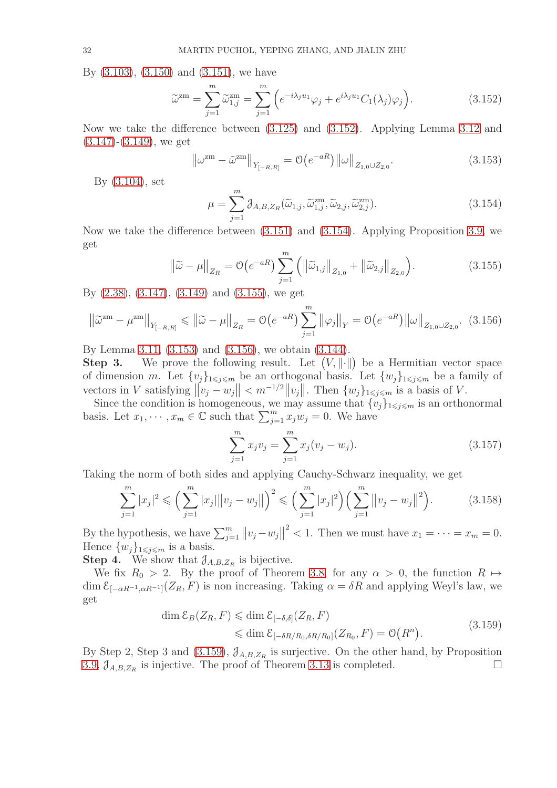By [\(3.103\)](#page-26-8), [\(3.150\)](#page-30-7) and [\(3.151\)](#page-30-8), we have

<span id="page-31-0"></span>
$$
\widetilde{\omega}^{\text{zm}} = \sum_{j=1}^{m} \widetilde{\omega}_{1,j}^{\text{zm}} = \sum_{j=1}^{m} \left( e^{-i\lambda_j u_1} \varphi_j + e^{i\lambda_j u_1} C_1(\lambda_j) \varphi_j \right). \tag{3.152}
$$

Now we take the difference between [\(3.125\)](#page-28-8) and [\(3.152\)](#page-31-0). Applying Lemma [3.12](#page-28-7) and  $(3.147)$ - $(3.149)$ , we get

<span id="page-31-3"></span>
$$
\left\|\omega^{\rm zm} - \tilde{\omega}^{\rm zm}\right\|_{Y_{[-R,R]}} = \mathcal{O}\big(e^{-aR}\big)\left\|\omega\right\|_{Z_{1,0}\cup Z_{2,0}}.\tag{3.153}
$$

By [\(3.104\)](#page-26-9), set

<span id="page-31-1"></span>
$$
\mu = \sum_{j=1}^{m} \mathcal{J}_{A,B,Z_R}(\widetilde{\omega}_{1,j}, \widetilde{\omega}_{1,j}^{\text{zm}}, \widetilde{\omega}_{2,j}, \widetilde{\omega}_{2,j}^{\text{zm}}).
$$
\n(3.154)

Now we take the difference between [\(3.151\)](#page-30-8) and [\(3.154\)](#page-31-1). Applying Proposition [3.9,](#page-26-0) we get

<span id="page-31-2"></span>
$$
\left\|\tilde{\omega} - \mu\right\|_{Z_R} = \mathcal{O}\left(e^{-aR}\right) \sum_{j=1}^m \left( \left\|\tilde{\omega}_{1,j}\right\|_{Z_{1,0}} + \left\|\tilde{\omega}_{2,j}\right\|_{Z_{2,0}}\right).
$$
 (3.155)

By [\(2.38\)](#page-13-6), [\(3.147\)](#page-30-9), [\(3.149\)](#page-30-10) and [\(3.155\)](#page-31-2), we get

<span id="page-31-4"></span>
$$
\left\|\tilde{\omega}^{2m} - \mu^{2m}\right\|_{Y_{[-R,R]}} \leq \left\|\tilde{\omega} - \mu\right\|_{Z_R} = \mathcal{O}\left(e^{-aR}\right) \sum_{j=1}^m \left\|\varphi_j\right\|_Y = \mathcal{O}\left(e^{-aR}\right) \left\|\omega\right\|_{Z_{1,0}\cup Z_{2,0}}. (3.156)
$$

By Lemma [3.11,](#page-27-0) [\(3.153\)](#page-31-3) and [\(3.156\)](#page-31-4), we obtain [\(3.144\)](#page-30-11).

Step 3. We prove the following result. Let  $(V, \|\cdot\|)$  be a Hermitian vector space of dimension m. Let  $\{v_j\}_{1\leqslant j\leqslant m}$  be an orthogonal basis. Let  $\{w_j\}_{1\leqslant j\leqslant m}$  be a family of vectors in V satisfying  $||v_j - w_j|| < m^{-1/2} ||v_j||$ . Then  $\{w_j\}_{1 \leq j \leq m}$  is a basis of V.

Since the condition is homogeneous, we may assume that  $\{v_i\}_{1\leq i\leq m}$  is an orthonormal basis. Let  $x_1, \dots, x_m \in \mathbb{C}$  such that  $\sum_{j=1}^m x_j w_j = 0$ . We have

<span id="page-31-5"></span>
$$
\sum_{j=1}^{m} x_j v_j = \sum_{j=1}^{m} x_j (v_j - w_j).
$$
 (3.157)

Taking the norm of both sides and applying Cauchy-Schwarz inequality, we get

$$
\sum_{j=1}^{m} |x_j|^2 \leqslant \left(\sum_{j=1}^{m} |x_j| \|v_j - w_j\|\right)^2 \leqslant \left(\sum_{j=1}^{m} |x_j|^2\right) \left(\sum_{j=1}^{m} \|v_j - w_j\|^2\right). \tag{3.158}
$$

By the hypothesis, we have  $\sum_{j=1}^{m} ||v_j - w_j||^2 < 1$ . Then we must have  $x_1 = \cdots = x_m = 0$ . Hence  $\{w_i\}_{1\leq i\leq m}$  is a basis.

**Step 4.** We show that  $\mathcal{J}_{A,B,Z_R}$  is bijective.

We fix  $R_0 > 2$ . By the proof of Theorem [3.8,](#page-23-5) for any  $\alpha > 0$ , the function  $R \mapsto$ dim  $\mathcal{E}_{[-\alpha R^{-1}, \alpha R^{-1}]}(Z_R, F)$  is non increasing. Taking  $\alpha = \delta R$  and applying Weyl's law, we get

$$
\dim \mathcal{E}_B(Z_R, F) \leq \dim \mathcal{E}_{[-\delta,\delta]}(Z_R, F)
$$
  

$$
\leq \dim \mathcal{E}_{[-\delta R/R_0, \delta R/R_0]}(Z_{R_0}, F) = \mathcal{O}(R^n). \tag{3.159}
$$

By Step 2, Step 3 and [\(3.159\)](#page-31-5),  $\mathcal{J}_{A,B,Z_R}$  is surjective. On the other hand, by Proposition [3.9,](#page-26-0)  $\mathcal{J}_{A,B,Z_R}$  is injective. The proof of Theorem [3.13](#page-29-6) is completed.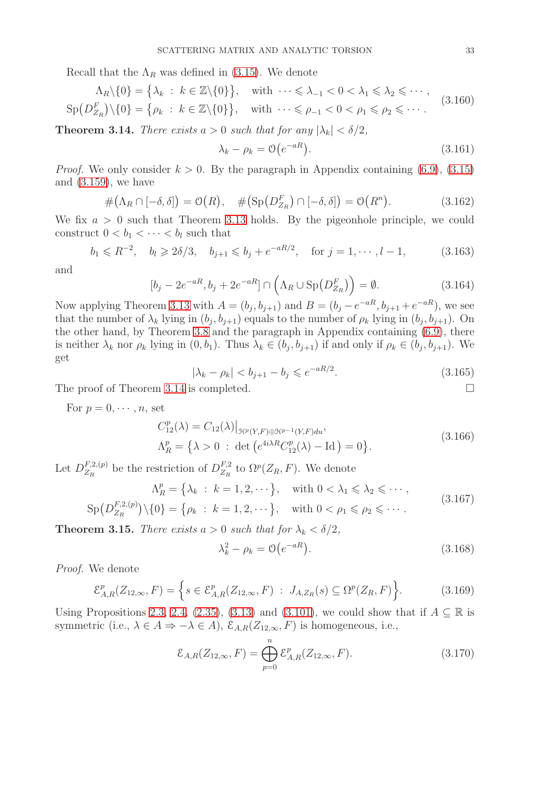Recall that the  $\Lambda_R$  was defined in [\(3.15\)](#page-16-9). We denote

$$
\Lambda_R \setminus \{0\} = \left\{\lambda_k : k \in \mathbb{Z} \setminus \{0\}\right\}, \quad \text{with } \dots \leq \lambda_{-1} < 0 < \lambda_1 \leq \lambda_2 \leq \dots, \quad \text{(3.160)}
$$
\n
$$
\text{Sp}(D_{Z_R}^F) \setminus \{0\} = \left\{\rho_k : k \in \mathbb{Z} \setminus \{0\}\right\}, \quad \text{with } \dots \leq \rho_{-1} < 0 < \rho_1 \leq \rho_2 \leq \dots. \quad \text{(3.160)}
$$

<span id="page-32-0"></span>**Theorem 3.14.** *There exists*  $a > 0$  *such that for any*  $|\lambda_k| < \delta/2$ ,

$$
\lambda_k - \rho_k = \mathcal{O}\left(e^{-aR}\right). \tag{3.161}
$$

*Proof.* We only consider  $k > 0$ . By the paragraph in Appendix containing [\(6.9\)](#page-53-2), [\(3.15\)](#page-16-9) and [\(3.159\)](#page-31-5), we have

$$
\#(\Lambda_R \cap [-\delta, \delta]) = \mathcal{O}(R), \quad \#(\text{Sp}(D_{Z_R}^F) \cap [-\delta, \delta]) = \mathcal{O}(R^n). \tag{3.162}
$$

We fix  $a > 0$  such that Theorem [3.13](#page-29-6) holds. By the pigeonhole principle, we could construct  $0 < b_1 < \cdots < b_l$  such that

$$
b_1 \le R^{-2}
$$
,  $b_l \ge 2\delta/3$ ,  $b_{j+1} \le b_j + e^{-aR/2}$ , for  $j = 1, \dots, l-1$ , (3.163)

and

$$
[b_j - 2e^{-aR}, b_j + 2e^{-aR}] \cap \left(\Lambda_R \cup \mathrm{Sp}(D_{Z_R}^F)\right) = \emptyset.
$$
\n(3.164)

Now applying Theorem [3.13](#page-29-6) with  $A = (b_j, b_{j+1})$  and  $B = (b_j - e^{-aR}, b_{j+1} + e^{-aR})$ , we see that the number of  $\lambda_k$  lying in  $(b_j, b_{j+1})$  equals to the number of  $\rho_k$  lying in  $(b_j, b_{j+1})$ . On the other hand, by Theorem [3.8](#page-23-5) and the paragraph in Appendix containing [\(6.9\)](#page-53-2), there is neither  $\lambda_k$  nor  $\rho_k$  lying in  $(0, b_1)$ . Thus  $\lambda_k \in (b_j, b_{j+1})$  if and only if  $\rho_k \in (b_j, b_{j+1})$ . We get

$$
|\lambda_k - \rho_k| < b_{j+1} - b_j \leqslant e^{-aR/2}.\tag{3.165}
$$

The proof of Theorem [3.14](#page-32-0) is completed.

For  $p = 0, \dots, n$ , set

$$
C_{12}^{p}(\lambda) = C_{12}(\lambda)|_{\mathcal{H}^{p}(Y,F)\oplus\mathcal{H}^{p-1}(Y,F)du},
$$
  
\n
$$
\Lambda_{R}^{p} = \{\lambda > 0 : \det(e^{4i\lambda R}C_{12}^{p}(\lambda) - \text{Id}) = 0\}.
$$
\n(3.166)

Let  $D_{Z_P}^{F,2,(p)}$  $E_{Z_R}^{F,2,(p)}$  be the restriction of  $D_{Z_R}^{F,2}$  $Z_R^{F,2}$  to  $\Omega^p(Z_R, F)$ . We denote

$$
\Lambda_R^p = \left\{ \lambda_k : k = 1, 2, \cdots \right\}, \quad \text{with } 0 < \lambda_1 \leq \lambda_2 \leq \cdots,
$$
\n
$$
\text{Sp}(D_{Z_R}^{F,2,(p)}) \setminus \{0\} = \left\{ \rho_k : k = 1, 2, \cdots \right\}, \quad \text{with } 0 < \rho_1 \leq \rho_2 \leq \cdots.
$$
\n
$$
(3.167)
$$

<span id="page-32-2"></span>**Theorem 3.15.** *There exists*  $a > 0$  *such that for*  $\lambda_k < \delta/2$ *,* 

<span id="page-32-1"></span>
$$
\lambda_k^2 - \rho_k = \mathcal{O}\left(e^{-aR}\right). \tag{3.168}
$$

*Proof.* We denote

$$
\mathcal{E}_{A,R}^p(Z_{12,\infty}, F) = \Big\{ s \in \mathcal{E}_{A,R}^p(Z_{12,\infty}, F) : J_{A,Z_R}(s) \subseteq \Omega^p(Z_R, F) \Big\}.
$$
 (3.169)

Using Propositions [2.3,](#page-13-4) [2.4,](#page-13-1) [\(2.35\)](#page-13-3), [\(3.13\)](#page-16-5) and [\(3.101\)](#page-25-6), we could show that if  $A \subseteq \mathbb{R}$  is symmetric (i.e.,  $\lambda \in A \Rightarrow -\lambda \in A$ ),  $\mathcal{E}_{A,R}(Z_{12,\infty}, F)$  is homogeneous, i.e.,

$$
\mathcal{E}_{A,R}(Z_{12,\infty},F) = \bigoplus_{p=0}^{n} \mathcal{E}_{A,R}^p(Z_{12,\infty},F). \tag{3.170}
$$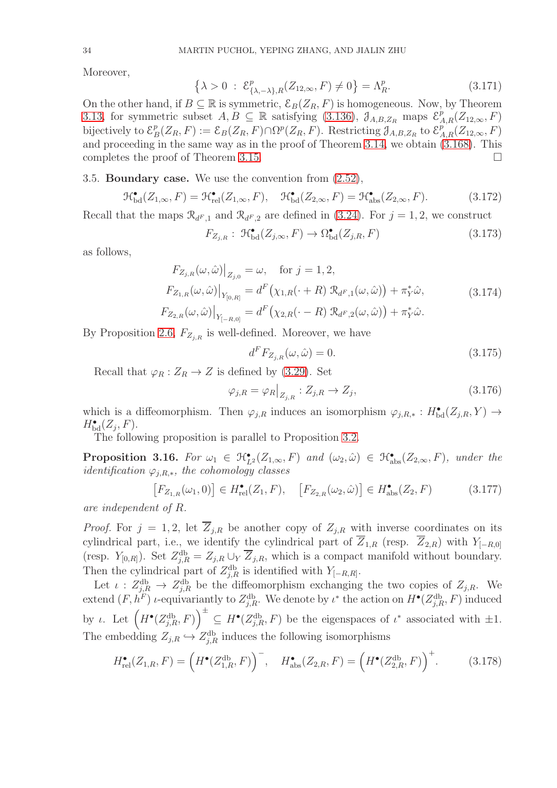Moreover,

$$
\{\lambda > 0 \; : \; \mathcal{E}^p_{\{\lambda, -\lambda\}, R}(Z_{12, \infty}, F) \neq 0\} = \Lambda^p_R. \tag{3.171}
$$

On the other hand, if  $B \subseteq \mathbb{R}$  is symmetric,  $\mathcal{E}_B(Z_R, F)$  is homogeneous. Now, by Theorem [3.13,](#page-29-6) for symmetric subset  $A, B \subseteq \mathbb{R}$  satisfying [\(3.136\)](#page-29-7),  $\mathcal{J}_{A,B,Z_R}$  maps  $\mathcal{E}_{A,R}^p(Z_{12,\infty}, F)$ bijectively to  $\mathcal{E}_P^p$  $B_B(Z_R, F) := \mathcal{E}_B(Z_R, F) \cap \Omega^p(Z_R, F)$ . Restricting  $\mathcal{J}_{A,B,Z_R}$  to  $\mathcal{E}_{A,R}^{p}(Z_{12,\infty}, F)$ and proceeding in the same way as in the proof of Theorem [3.14,](#page-32-0) we obtain [\(3.168\)](#page-32-1). This completes the proof of Theorem [3.15.](#page-32-2)

### <span id="page-33-0"></span>3.5. Boundary case. We use the convention from [\(2.52\)](#page-15-3),

$$
\mathcal{H}^{\bullet}_{\text{bd}}(Z_{1,\infty}, F) = \mathcal{H}^{\bullet}_{\text{rel}}(Z_{1,\infty}, F), \quad \mathcal{H}^{\bullet}_{\text{bd}}(Z_{2,\infty}, F) = \mathcal{H}^{\bullet}_{\text{abs}}(Z_{2,\infty}, F). \tag{3.172}
$$

Recall that the maps  $\mathcal{R}_{d^F,1}$  and  $\mathcal{R}_{d^F,2}$  are defined in [\(3.24\)](#page-17-5). For  $j=1,2$ , we construct

$$
F_{Z_{j,R}}: \mathcal{H}_{\text{bd}}^{\bullet}(Z_{j,\infty}, F) \to \Omega_{\text{bd}}^{\bullet}(Z_{j,R}, F) \tag{3.173}
$$

as follows,

$$
F_{Z_{j,R}}(\omega,\hat{\omega})\Big|_{Z_{j,0}} = \omega, \quad \text{for } j = 1,2,
$$
  
\n
$$
F_{Z_{1,R}}(\omega,\hat{\omega})\Big|_{Y_{[0,R]}} = d^F(\chi_{1,R}(\cdot+R) \mathcal{R}_{d^F,1}(\omega,\hat{\omega})) + \pi_Y^*\hat{\omega},
$$
  
\n
$$
F_{Z_{2,R}}(\omega,\hat{\omega})\Big|_{Y_{[-R,0]}} = d^F(\chi_{2,R}(\cdot-R) \mathcal{R}_{d^F,2}(\omega,\hat{\omega})) + \pi_Y^*\hat{\omega}.
$$
\n(3.174)

By Proposition [2.6,](#page-14-7)  $F_{Z_{i,R}}$  is well-defined. Moreover, we have

<span id="page-33-2"></span>
$$
d^F F_{Z_{j,R}}(\omega,\hat{\omega}) = 0.
$$
\n(3.175)

Recall that  $\varphi_R : Z_R \to Z$  is defined by [\(3.29\)](#page-18-0). Set

<span id="page-33-4"></span>
$$
\varphi_{j,R} = \varphi_R \big|_{Z_{j,R}} : Z_{j,R} \to Z_j,\tag{3.176}
$$

which is a diffeomorphism. Then  $\varphi_{j,R}$  induces an isomorphism  $\varphi_{j,R,*}: H^{\bullet}_{\text{bd}}(Z_{j,R}, Y) \to$  $H_{\text{bd}}^{\bullet}(Z_j, F)$ .

The following proposition is parallel to Proposition [3.2.](#page-18-4)

<span id="page-33-3"></span>**Proposition 3.16.** For  $\omega_1 \in \mathcal{H}_{L^2}^{\bullet}(Z_{1,\infty}, F)$  and  $(\omega_2, \hat{\omega}) \in \mathcal{H}_{\text{abs}}^{\bullet}(Z_{2,\infty}, F)$ , under the *identification* ϕj,R,∗*, the cohomology classes*

$$
\begin{bmatrix} F_{Z_{1,R}}(\omega_1, 0) \end{bmatrix} \in H_{\text{rel}}^{\bullet}(Z_1, F), \quad \begin{bmatrix} F_{Z_{2,R}}(\omega_2, \hat{\omega}) \end{bmatrix} \in H_{\text{abs}}^{\bullet}(Z_2, F) \tag{3.177}
$$

*are independent of* R*.*

*Proof.* For  $j = 1, 2$ , let  $\overline{Z}_{j,R}$  be another copy of  $Z_{j,R}$  with inverse coordinates on its cylindrical part, i.e., we identify the cylindrical part of  $\overline{Z}_{1,R}$  (resp.  $\overline{Z}_{2,R}$ ) with  $Y_{[-R,0]}$ (resp.  $Y_{[0,R]}$ ). Set  $Z_{j,R}^{\text{db}} = Z_{j,R} \cup_Y \overline{Z}_{j,R}$ , which is a compact manifold without boundary. Then the cylindrical part of  $Z_{j,R}^{db}$  is identified with  $Y_{[-R,R]}$ .

Let  $\iota$  :  $Z_{j,R}^{\text{db}} \to Z_{j,R}^{\text{db}}$  be the diffeomorphism exchanging the two copies of  $Z_{j,R}$ . We extend  $(F, h^F)$  *i*-equivariantly to  $Z_{j,R}^{db}$ . We denote by  $\iota^*$  the action on  $H^{\bullet}(Z_{j,R}^{db}, F)$  induced by *ι*. Let  $\left(H^{\bullet}(Z_{j,R}^{db},F)\right)^{\pm} \subseteq H^{\bullet}(Z_{j,R}^{db},F)$  be the eigenspaces of  $\iota^*$  associated with  $\pm 1$ . The embedding  $Z_{j,R} \hookrightarrow Z_{j,R}^{db}$  induces the following isomorphisms

<span id="page-33-1"></span>
$$
H_{\text{rel}}^{\bullet}(Z_{1,R}, F) = \left(H^{\bullet}(Z_{1,R}^{\text{db}}, F)\right)^{-}, \quad H_{\text{abs}}^{\bullet}(Z_{2,R}, F) = \left(H^{\bullet}(Z_{2,R}^{\text{db}}, F)\right)^{+}.
$$
 (3.178)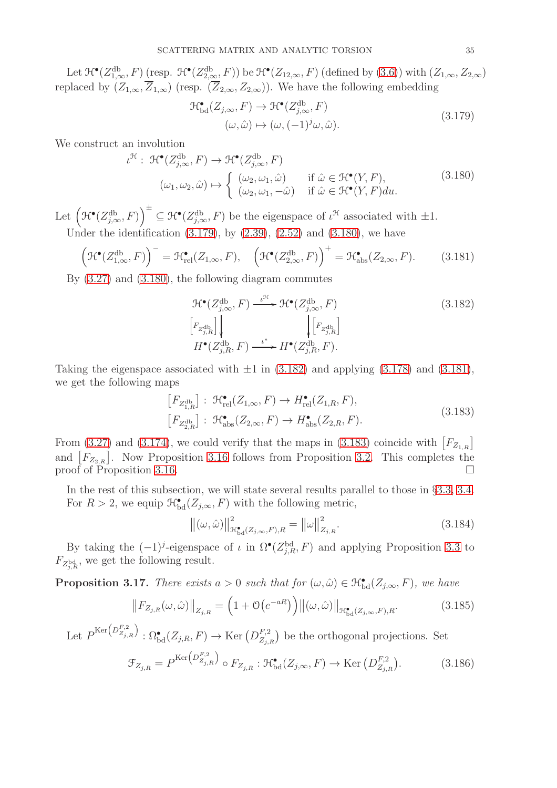Let  $\mathcal{H}^{\bullet}(Z^{\text{db}}_{1,\infty},F)$  (resp.  $\mathcal{H}^{\bullet}(Z^{\text{db}}_{2,\infty},F)$ ) be  $\mathcal{H}^{\bullet}(Z_{12,\infty},F)$  (defined by  $(3.6)$ ) with  $(Z_{1,\infty},Z_{2,\infty})$ replaced by  $(Z_{1,\infty},\overline{Z}_{1,\infty})$  (resp.  $(\overline{Z}_{2,\infty},Z_{2,\infty})$ ). We have the following embedding

<span id="page-34-1"></span><span id="page-34-0"></span>
$$
\mathcal{H}^{\bullet}_{\text{bd}}(Z_{j,\infty}, F) \to \mathcal{H}^{\bullet}(Z_{j,\infty}^{\text{db}}, F)
$$
  

$$
(\omega, \hat{\omega}) \mapsto (\omega, (-1)^j \omega, \hat{\omega}).
$$
 (3.179)

We construct an involution

$$
\iota^{\mathcal{H}}: \mathcal{H}^{\bullet}(Z_{j,\infty}^{\text{db}}, F) \to \mathcal{H}^{\bullet}(Z_{j,\infty}^{\text{db}}, F)
$$
  

$$
(\omega_1, \omega_2, \hat{\omega}) \mapsto \begin{cases} (\omega_2, \omega_1, \hat{\omega}) & \text{if } \hat{\omega} \in \mathcal{H}^{\bullet}(Y, F), \\ (\omega_2, \omega_1, -\hat{\omega}) & \text{if } \hat{\omega} \in \mathcal{H}^{\bullet}(Y, F) du. \end{cases}
$$
(3.180)

Let  $(\mathcal{H}^{\bullet}(Z_{j,\infty}^{db}, F))^{+} \subseteq \mathcal{H}^{\bullet}(Z_{j,\infty}^{db}, F)$  be the eigenspace of  $\iota^{\mathcal{H}}$  associated with  $\pm 1$ . Under the identification  $(3.179)$ , by  $(2.39)$ ,  $(2.52)$  and  $(3.180)$ , we have

<span id="page-34-3"></span>
$$
\left(\mathcal{H}^{\bullet}(Z_{1,\infty}^{\text{db}},F)\right)^{-}=\mathcal{H}^{\bullet}_{\text{rel}}(Z_{1,\infty},F),\quad\left(\mathcal{H}^{\bullet}(Z_{2,\infty}^{\text{db}},F)\right)^{+}=\mathcal{H}^{\bullet}_{\text{abs}}(Z_{2,\infty},F). \tag{3.181}
$$

By [\(3.27\)](#page-18-1) and [\(3.180\)](#page-34-1), the following diagram commutes

<span id="page-34-2"></span>
$$
\mathcal{H}^{\bullet}(Z_{j,\infty}^{\text{db}}, F) \xrightarrow{\iota^{\mathcal{H}}}\mathcal{H}^{\bullet}(Z_{j,\infty}^{\text{db}}, F)
$$
\n
$$
\begin{bmatrix} F_{Z_{j,R}^{\text{db}}} \end{bmatrix} \downarrow \qquad \qquad \qquad \downarrow \begin{bmatrix} F_{Z_{j,R}^{\text{db}}} \end{bmatrix}
$$
\n
$$
H^{\bullet}(Z_{j,R}^{\text{db}}, F) \xrightarrow{\iota^*} H^{\bullet}(Z_{j,R}^{\text{db}}, F).
$$
\n(3.182)

Taking the eigenspace associated with  $\pm 1$  in [\(3.182\)](#page-34-2) and applying [\(3.178\)](#page-33-1) and [\(3.181\)](#page-34-3), we get the following maps

<span id="page-34-4"></span>
$$
\begin{aligned} \left[F_{Z_{1,R}^{\text{db}}}\right]: \ \mathcal{H}_{\text{rel}}^{\bullet}(Z_{1,\infty},F) &\to H_{\text{rel}}^{\bullet}(Z_{1,R},F),\\ \left[F_{Z_{2,R}^{\text{db}}}\right]: \ \mathcal{H}_{\text{abs}}^{\bullet}(Z_{2,\infty},F) &\to H_{\text{abs}}^{\bullet}(Z_{2,R},F). \end{aligned} \tag{3.183}
$$

From [\(3.27\)](#page-18-1) and [\(3.174\)](#page-33-2), we could verify that the maps in [\(3.183\)](#page-34-4) coincide with  $[F_{Z_{1,R}}]$ and  $[F_{Z_{2,R}}]$ . Now Proposition [3.16](#page-33-3) follows from Proposition [3.2.](#page-18-4) This completes the proof of Proposition [3.16.](#page-33-3)

In the rest of this subsection, we will state several results parallel to those in §[3.3,](#page-17-0) [3.4.](#page-23-0) For  $R > 2$ , we equip  $\mathcal{H}_{\text{bd}}^{\bullet}(Z_{j,\infty}, F)$  with the following metric,

<span id="page-34-6"></span>
$$
\left\|(\omega,\hat{\omega})\right\|_{\mathcal{H}^{\bullet}_{\mathrm{bd}}(Z_{j,\infty},F),R}^2 = \left\|\omega\right\|_{Z_{j,R}}^2.
$$
\n(3.184)

By taking the  $(-1)^j$ -eigenspace of  $\iota$  in  $\Omega^{\bullet}(Z_{j,R}^{\text{bd}}, F)$  and applying Proposition [3.3](#page-18-6) to  $F_{Z_{j,R}^{\text{bd}}}$ , we get the following result.

<span id="page-34-7"></span>**Proposition 3.17.** *There exists*  $a > 0$  *such that for*  $(\omega, \hat{\omega}) \in \mathcal{H}_{bd}^{\bullet}(Z_{j,\infty}, F)$ *, we have* 

$$
\left\|F_{Z_{j,R}}(\omega,\hat{\omega})\right\|_{Z_{j,R}} = \left(1 + \mathcal{O}\left(e^{-aR}\right)\right) \left\|(\omega,\hat{\omega})\right\|_{\mathcal{H}^{\bullet}_{\mathrm{bd}}(Z_{j,\infty},F),R}.\tag{3.185}
$$

Let  $P^{\text{Ker}\left(\mathbb{D}_{Z_{j,R}}^{F,2}\right)}$  :  $\Omega_{\text{bd}}^{\bullet}(Z_{j,R},F) \to \text{Ker}\left(\mathbb{D}_{Z_{j,L}}^{F,2}\right)$  $\binom{F,2}{Z_{j,R}}$  be the orthogonal projections. Set

<span id="page-34-5"></span>
$$
\mathcal{F}_{Z_{j,R}} = P^{\text{Ker}\left(D_{Z_{j,R}}^{F,2}\right)} \circ F_{Z_{j,R}} : \mathcal{H}^{\bullet}_{\text{bd}}(Z_{j,\infty}, F) \to \text{Ker}\left(D_{Z_{j,R}}^{F,2}\right). \tag{3.186}
$$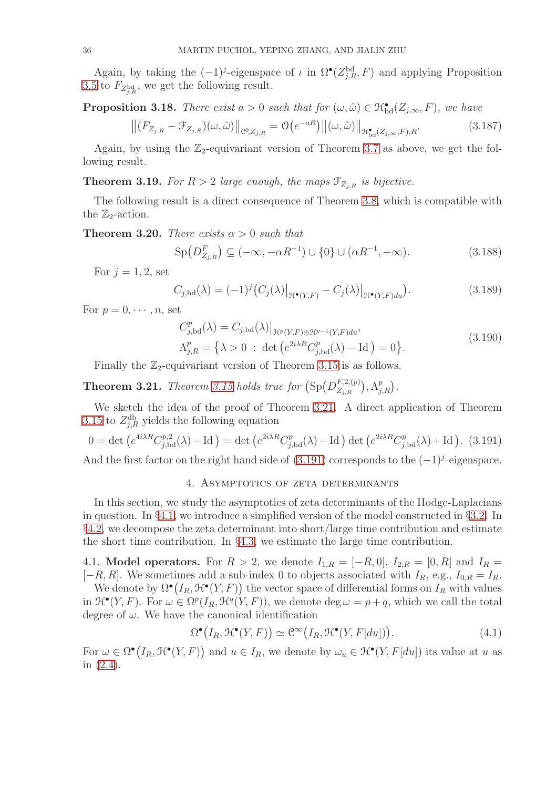Again, by taking the  $(-1)^j$ -eigenspace of  $\iota$  in  $\Omega^{\bullet}(Z^{\text{bd}}_{j,R},F)$  and applying Proposition [3.5](#page-20-8) to  $F_{Z_{j,R}^{\text{bd}}}$ , we get the following result.

<span id="page-35-6"></span>**Proposition 3.18.** *There exist*  $a > 0$  *such that for*  $(\omega, \hat{\omega}) \in \mathcal{H}_{bd}^{\bullet}(Z_{j,\infty}, F)$ *, we have* 

$$
\left\| (F_{Z_{j,R}} - \mathcal{F}_{Z_{j,R}})(\omega, \hat{\omega}) \right\|_{\mathcal{C}^0, Z_{j,R}} = \mathcal{O}\big(e^{-aR}\big) \left\| (\omega, \hat{\omega}) \right\|_{\mathcal{H}^{\bullet}_{\mathrm{bd}}(Z_{j,\infty},F),R}. \tag{3.187}
$$

Again, by using the  $\mathbb{Z}_2$ -equivariant version of Theorem [3.7](#page-21-9) as above, we get the following result.

<span id="page-35-5"></span>**Theorem 3.19.** For  $R > 2$  large enough, the maps  $\mathcal{F}_{Z_{i,R}}$  is bijective.

The following result is a direct consequence of Theorem [3.8,](#page-23-5) which is compatible with the  $\mathbb{Z}_2$ -action.

**Theorem 3.20.** *There exists*  $\alpha > 0$  *such that* 

$$
\text{Sp}(D_{Z_{j,R}}^F) \subseteq (-\infty, -\alpha R^{-1}) \cup \{0\} \cup (\alpha R^{-1}, +\infty). \tag{3.188}
$$

For  $j = 1, 2$ , set

<span id="page-35-4"></span>
$$
C_{j,\text{bd}}(\lambda) = (-1)^j \left( C_j(\lambda) \big|_{\mathcal{H}^\bullet(Y,F)} - C_j(\lambda) \big|_{\mathcal{H}^\bullet(Y,F)du} \right). \tag{3.189}
$$

For  $p = 0, \dots, n$ , set

$$
C_{j,bd}^{p}(\lambda) = C_{j,bd}(\lambda)|_{\mathcal{H}^{p}(Y,F)\oplus\mathcal{H}^{p-1}(Y,F)du},
$$
  
\n
$$
\Lambda_{j,R}^{p} = \left\{\lambda > 0 \ : \ \det\left(e^{2i\lambda R}C_{j,bd}^{p}(\lambda) - \mathrm{Id}\right) = 0\right\}.
$$
\n(3.190)

Finally the  $\mathbb{Z}_2$ -equivariant version of Theorem [3.15](#page-32-2) is as follows.

<span id="page-35-2"></span>**Theorem 3.21.** *Theorem [3.15](#page-32-2) holds true for*  $(Sp(D_{Z_{i,p}}^{F,2,(p)})$  $_{Zj,R}^{F,2,(p)}\big),\Lambda_{j,R}^{p}\big).$ 

We sketch the idea of the proof of Theorem [3.21.](#page-35-2) A direct application of Theorem [3.15](#page-32-2) to  $Z_{j,R}^{db}$  yields the following equation

<span id="page-35-3"></span>
$$
0 = \det \left( e^{4i\lambda R} C_{j, \text{bd}}^{p,2}(\lambda) - \text{Id} \right) = \det \left( e^{2i\lambda R} C_{j, \text{bd}}^{p}(\lambda) - \text{Id} \right) \det \left( e^{2i\lambda R} C_{j, \text{bd}}^{p}(\lambda) + \text{Id} \right). (3.191)
$$

<span id="page-35-0"></span>And the first factor on the right hand side of  $(3.191)$  corresponds to the  $(-1)<sup>j</sup>$ -eigenspace.

### 4. Asymptotics of zeta determinants

In this section, we study the asymptotics of zeta determinants of the Hodge-Laplacians in question. In §[4.1,](#page-35-1) we introduce a simplified version of the model constructed in §[3.2.](#page-16-0) In §[4.2,](#page-38-0) we decompose the zeta determinant into short/large time contribution and estimate the short time contribution. In  $\S 4.3$ , we estimate the large time contribution.

<span id="page-35-1"></span>4.1. **Model operators.** For  $R > 2$ , we denote  $I_{1,R} = [-R, 0], I_{2,R} = [0, R]$  and  $I_R =$  $[-R, R]$ . We sometimes add a sub-index 0 to objects associated with  $I_R$ , e.g.,  $I_{0,R} = I_R$ .

We denote by  $\Omega^{\bullet}(I_R, \mathfrak{H}^{\bullet}(Y, F))$  the vector space of differential forms on  $I_R$  with values in  $\mathcal{H}^{\bullet}(Y, F)$ . For  $\omega \in \Omega^p(I_R, \mathcal{H}^q(Y, F))$ , we denote deg  $\omega = p + q$ , which we call the total degree of  $\omega$ . We have the canonical identification

$$
\Omega^{\bullet}\big(I_R, \mathfrak{H}^{\bullet}(Y, F)\big) \simeq \mathcal{C}^{\infty}\big(I_R, \mathfrak{H}^{\bullet}(Y, F[du])\big). \tag{4.1}
$$

For  $\omega \in \Omega^{\bullet}(I_R, \mathcal{H}^{\bullet}(Y, F))$  and  $u \in I_R$ , we denote by  $\omega_u \in \mathcal{H}^{\bullet}(Y, F[du])$  its value at u as in [\(2.4\)](#page-10-0).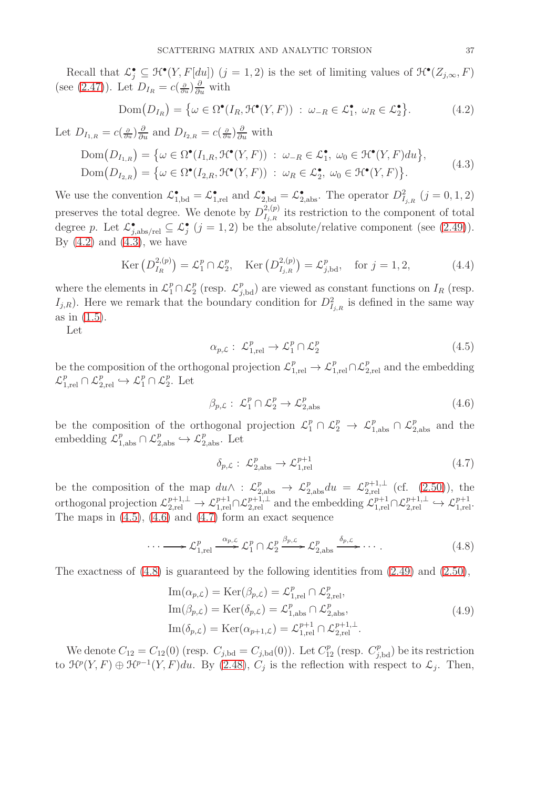Recall that  $\mathcal{L}^{\bullet}_{j} \subseteq \mathcal{H}^{\bullet}(Y, F[du])$   $(j = 1, 2)$  is the set of limiting values of  $\mathcal{H}^{\bullet}(Z_{j,\infty}, F)$ (see [\(2.47\)](#page-14-9)). Let  $D_{I_R} = c(\frac{\partial}{\partial u})\frac{\partial}{\partial u}$  with

<span id="page-36-0"></span>
$$
Dom(D_{I_R}) = \{ \omega \in \Omega^{\bullet}(I_R, \mathcal{H}^{\bullet}(Y, F)) : \omega_{-R} \in \mathcal{L}_1^{\bullet}, \ \omega_R \in \mathcal{L}_2^{\bullet} \}. \tag{4.2}
$$

Let  $D_{I_{1,R}} = c(\frac{\partial}{\partial u})\frac{\partial}{\partial u}$  and  $D_{I_{2,R}} = c(\frac{\partial}{\partial u})\frac{\partial}{\partial u}$  with

$$
\text{Dom}(D_{I_{1,R}}) = \{ \omega \in \Omega^{\bullet}(I_{1,R}, \mathcal{H}^{\bullet}(Y, F)) : \omega_{-R} \in \mathcal{L}_{1}^{\bullet}, \ \omega_{0} \in \mathcal{H}^{\bullet}(Y, F) du \},
$$
\n
$$
\text{Dom}(D_{I_{2,R}}) = \{ \omega \in \Omega^{\bullet}(I_{2,R}, \mathcal{H}^{\bullet}(Y, F)) : \ \omega_{R} \in \mathcal{L}_{2}^{\bullet}, \ \omega_{0} \in \mathcal{H}^{\bullet}(Y, F) \}. \tag{4.3}
$$

We use the convention  $\mathcal{L}_{1,\text{bd}}^{\bullet} = \mathcal{L}_{1,\text{rel}}^{\bullet}$  and  $\mathcal{L}_{2,\text{bd}}^{\bullet} = \mathcal{L}_{2,\text{abs}}^{\bullet}$ . The operator  $D_{I_{j,R}}^2$   $(j = 0, 1, 2)$ preserves the total degree. We denote by  $D^{2,(p)}_{L,p}$ <sup>2,(p)</sup> its restriction to the component of total degree p. Let  $\mathcal{L}_{j,\text{abs/rel}}^{\bullet} \subseteq \mathcal{L}_{j}^{\bullet}$   $(j = 1, 2)$  be the absolute/relative component (see [\(2.49\)](#page-15-6)). By  $(4.2)$  and  $(4.3)$ , we have

$$
\text{Ker}\left(D_{I_R}^{2,(p)}\right) = \mathcal{L}_1^p \cap \mathcal{L}_2^p, \quad \text{Ker}\left(D_{I_{j,R}}^{2,(p)}\right) = \mathcal{L}_{j,\text{bd}}^p, \quad \text{for } j = 1, 2,\tag{4.4}
$$

where the elements in  $\mathcal{L}_1^p \cap \mathcal{L}_2^p$  $_{2}^{p}$  (resp.  $\mathcal{L}_{j,bd}^{p}$ ) are viewed as constant functions on  $I_{R}$  (resp.  $I_{j,R}$ ). Here we remark that the boundary condition for  $D^2_{I_{j,R}}$  is defined in the same way as in [\(1.5\)](#page-7-4).

Let

<span id="page-36-2"></span><span id="page-36-1"></span>
$$
\alpha_{p,\mathcal{L}}: \mathcal{L}_{1,\text{rel}}^p \to \mathcal{L}_1^p \cap \mathcal{L}_2^p \tag{4.5}
$$

be the composition of the orthogonal projection  $\mathcal{L}_{1,\text{rel}}^p \to \mathcal{L}_{1,\text{rel}}^p \cap \mathcal{L}_{2,\text{rel}}^p$  and the embedding  $\mathcal{L}_{1,\mathrm{rel}}^p\cap\mathcal{L}_{2,\mathrm{rel}}^p\hookrightarrow\mathcal{L}_1^p\cap\mathcal{L}_2^p$  $_2^p$ . Let

<span id="page-36-3"></span>
$$
\beta_{p,\mathcal{L}}: \mathcal{L}_1^p \cap \mathcal{L}_2^p \to \mathcal{L}_{2,\text{abs}}^p \tag{4.6}
$$

be the composition of the orthogonal projection  $\mathcal{L}_1^p \cap \mathcal{L}_2^p \to \mathcal{L}_{1,\text{abs}}^p \cap \mathcal{L}_{2,\text{abs}}^p$  and the embedding  $\mathcal{L}_{1,\text{abs}}^p \cap \mathcal{L}_{2,\text{abs}}^p \hookrightarrow \mathcal{L}_{2,\text{abs}}^p$ . Let

<span id="page-36-6"></span><span id="page-36-4"></span>
$$
\delta_{p,\mathcal{L}}: \mathcal{L}_{2,\text{abs}}^p \to \mathcal{L}_{1,\text{rel}}^{p+1} \tag{4.7}
$$

be the composition of the map  $du \wedge : \mathcal{L}_{2,\text{abs}}^p \to \mathcal{L}_{2,\text{abs}}^p du = \mathcal{L}_{2,\text{rel}}^{p+1,\perp}$  (cf. [\(2.50\)](#page-15-7)), the orthogonal projection  $\mathcal{L}_{2,\text{rel}}^{p+1,\perp} \to \mathcal{L}_{1,\text{rel}}^{p+1} \cap \mathcal{L}_{2,\text{rel}}^{p+1,\perp}$  and the embedding  $\mathcal{L}_{1,\text{rel}}^{p+1} \cap \mathcal{L}_{2,\text{rel}}^{p+1,\perp} \hookrightarrow \mathcal{L}_{1,\text{rel}}^{p+1}$ . The maps in [\(4.5\)](#page-36-2), [\(4.6\)](#page-36-3) and [\(4.7\)](#page-36-4) form an exact sequence

<span id="page-36-5"></span>
$$
\cdots \longrightarrow \mathcal{L}_{1,\text{rel}}^p \xrightarrow{\alpha_{p,\mathcal{L}}} \mathcal{L}_1^p \cap \mathcal{L}_2^p \xrightarrow{\beta_{p,\mathcal{L}}} \mathcal{L}_{2,\text{abs}}^p \xrightarrow{\delta_{p,\mathcal{L}}} \cdots
$$
\n(4.8)

The exactness of  $(4.8)$  is guaranteed by the following identities from  $(2.49)$  and  $(2.50)$ ,

$$
\begin{aligned}\n\text{Im}(\alpha_{p,\mathcal{L}}) &= \text{Ker}(\beta_{p,\mathcal{L}}) = \mathcal{L}_{1,\text{rel}}^p \cap \mathcal{L}_{2,\text{rel}}^p, \\
\text{Im}(\beta_{p,\mathcal{L}}) &= \text{Ker}(\delta_{p,\mathcal{L}}) = \mathcal{L}_{1,\text{abs}}^p \cap \mathcal{L}_{2,\text{abs}}^p, \\
\text{Im}(\delta_{p,\mathcal{L}}) &= \text{Ker}(\alpha_{p+1,\mathcal{L}}) = \mathcal{L}_{1,\text{rel}}^{p+1} \cap \mathcal{L}_{2,\text{rel}}^{p+1,\perp}.\n\end{aligned} \tag{4.9}
$$

We denote  $C_{12} = C_{12}(0)$  (resp.  $C_{j, bd} = C_{j, bd}(0)$ ). Let  $C_{12}^p$  (resp.  $C_{j, bd}^p$ ) be its restriction to  $\mathcal{H}^p(Y,F) \oplus \mathcal{H}^{p-1}(Y,F)du$ . By [\(2.48\)](#page-14-8),  $C_j$  is the reflection with respect to  $\mathcal{L}_j$ . Then,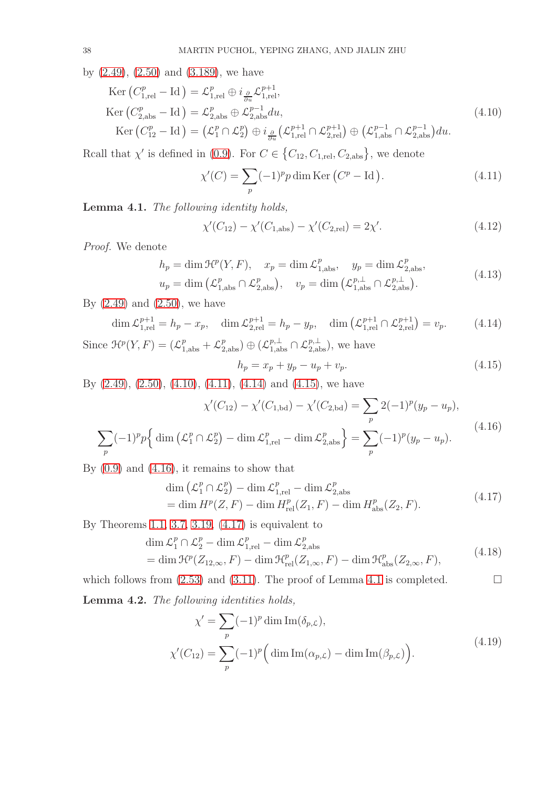by [\(2.49\)](#page-15-6), [\(2.50\)](#page-15-7) and [\(3.189\)](#page-35-4), we have

$$
\text{Ker}\left(C_{1,\text{rel}}^{p}-\text{Id}\right) = \mathcal{L}_{1,\text{rel}}^{p} \oplus i_{\frac{\partial}{\partial u}} \mathcal{L}_{1,\text{rel}}^{p+1},
$$
\n
$$
\text{Ker}\left(C_{2,\text{abs}}^{p}-\text{Id}\right) = \mathcal{L}_{2,\text{abs}}^{p} \oplus \mathcal{L}_{2,\text{abs}}^{p-1} du,
$$
\n
$$
\text{Ker}\left(C_{12}^{p}-\text{Id}\right) = \left(\mathcal{L}_{1}^{p}\cap\mathcal{L}_{2}^{p}\right) \oplus i_{\frac{\partial}{\partial u}}\left(\mathcal{L}_{1,\text{rel}}^{p+1}\cap\mathcal{L}_{2,\text{rel}}^{p+1}\right) \oplus \left(\mathcal{L}_{1,\text{abs}}^{p-1}\cap\mathcal{L}_{2,\text{abs}}^{p-1}\right) du.
$$
\n(4.10)

Rcall that  $\chi'$  is defined in [\(0.9\)](#page-4-4). For  $C \in \{C_{12}, C_{1,\text{rel}}, C_{2,\text{abs}}\}$ , we denote

<span id="page-37-1"></span><span id="page-37-0"></span>
$$
\chi'(C) = \sum_{p} (-1)^p p \dim \text{Ker} (C^p - \text{Id}). \tag{4.11}
$$

<span id="page-37-6"></span>Lemma 4.1. *The following identity holds,*

<span id="page-37-7"></span>
$$
\chi'(C_{12}) - \chi'(C_{1,\text{abs}}) - \chi'(C_{2,\text{rel}}) = 2\chi'.\tag{4.12}
$$

*Proof.* We denote

 $\sum$ p

$$
h_p = \dim \mathcal{H}^p(Y, F), \quad x_p = \dim \mathcal{L}^p_{1, \text{abs}}, \quad y_p = \dim \mathcal{L}^p_{2, \text{abs}},
$$

$$
u_p = \dim \left(\mathcal{L}^p_{1, \text{abs}} \cap \mathcal{L}^p_{2, \text{abs}}\right), \quad v_p = \dim \left(\mathcal{L}^{p, \perp}_{1, \text{abs}} \cap \mathcal{L}^{p, \perp}_{2, \text{abs}}\right).
$$
(4.13)

By  $(2.49)$  and  $(2.50)$ , we have

<span id="page-37-2"></span>
$$
\dim \mathcal{L}_{1,\text{rel}}^{p+1} = h_p - x_p, \quad \dim \mathcal{L}_{2,\text{rel}}^{p+1} = h_p - y_p, \quad \dim \left( \mathcal{L}_{1,\text{rel}}^{p+1} \cap \mathcal{L}_{2,\text{rel}}^{p+1} \right) = v_p. \tag{4.14}
$$

Since  $\mathcal{H}^p(Y, F) = (\mathcal{L}_{1,\text{abs}}^p + \mathcal{L}_{2,\text{abs}}^p) \oplus (\mathcal{L}_{1,\text{abs}}^{p,\perp} \cap \mathcal{L}_{2,\text{abs}}^{p,\perp}),$  we have

<span id="page-37-8"></span><span id="page-37-5"></span><span id="page-37-4"></span><span id="page-37-3"></span>
$$
h_p = x_p + y_p - u_p + v_p. \t\t(4.15)
$$

By  $(2.49)$ ,  $(2.50)$ ,  $(4.10)$ ,  $(4.11)$ ,  $(4.14)$  and  $(4.15)$ , we have

$$
\chi'(C_{12}) - \chi'(C_{1,bd}) - \chi'(C_{2,bd}) = \sum_{p} 2(-1)^p (y_p - u_p),
$$
  

$$
(-1)^p p \left\{ \dim \left( \mathcal{L}_1^p \cap \mathcal{L}_2^p \right) - \dim \mathcal{L}_{1,\text{rel}}^p - \dim \mathcal{L}_{2,\text{abs}}^p \right\} = \sum_{p} (-1)^p (y_p - u_p).
$$
 (4.16)

By  $(0.9)$  and  $(4.16)$ , it remains to show that

$$
\dim\left(\mathcal{L}_1^p\cap\mathcal{L}_2^p\right) - \dim\mathcal{L}_{1,\text{rel}}^p - \dim\mathcal{L}_{2,\text{abs}}^p
$$
\n
$$
= \dim H^p(Z, F) - \dim H^p_{\text{rel}}(Z_1, F) - \dim H^p_{\text{abs}}(Z_2, F). \tag{4.17}
$$

By Theorems [1.1,](#page-7-1) [3.7,](#page-21-9) [3.19,](#page-35-5) [\(4.17\)](#page-37-5) is equivalent to

$$
\dim \mathcal{L}_1^p \cap \mathcal{L}_2^p - \dim \mathcal{L}_{1,\text{rel}}^p - \dim \mathcal{L}_{2,\text{abs}}^p
$$
\n
$$
= \dim \mathcal{H}^p(Z_{12,\infty}, F) - \dim \mathcal{H}_{\text{rel}}^p(Z_{1,\infty}, F) - \dim \mathcal{H}_{\text{abs}}^p(Z_{2,\infty}, F),
$$
\n(4.18)

which follows from  $(2.53)$  and  $(3.11)$ . The proof of Lemma [4.1](#page-37-6) is completed.

<span id="page-37-10"></span>Lemma 4.2. *The following identities holds,*

<span id="page-37-9"></span>
$$
\chi' = \sum_{p} (-1)^p \dim \operatorname{Im}(\delta_{p,\mathcal{L}}),
$$
  

$$
\chi'(C_{12}) = \sum_{p} (-1)^p \left( \dim \operatorname{Im}(\alpha_{p,\mathcal{L}}) - \dim \operatorname{Im}(\beta_{p,\mathcal{L}}) \right).
$$
 (4.19)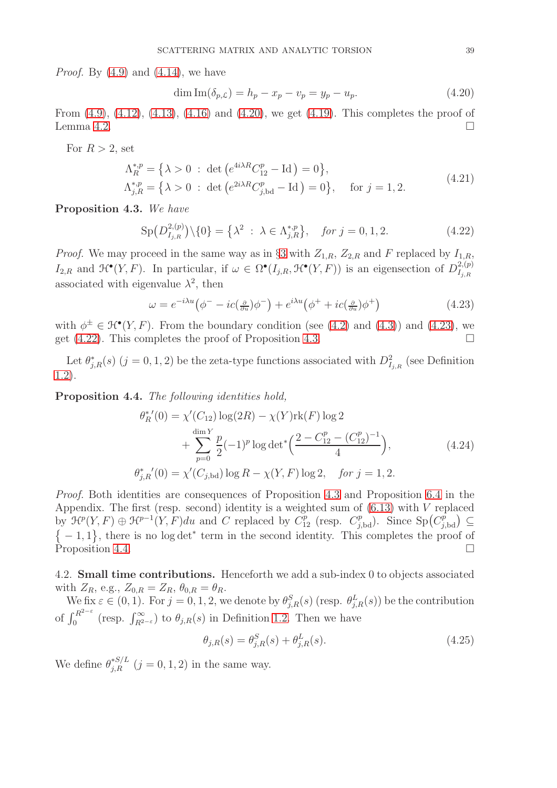*Proof.* By [\(4.9\)](#page-36-6) and [\(4.14\)](#page-37-2), we have

<span id="page-38-1"></span>
$$
\dim \text{Im}(\delta_{p,\mathcal{L}}) = h_p - x_p - v_p = y_p - u_p. \tag{4.20}
$$

From [\(4.9\)](#page-36-6), [\(4.12\)](#page-37-7), [\(4.13\)](#page-37-8), [\(4.16\)](#page-37-4) and [\(4.20\)](#page-38-1), we get [\(4.19\)](#page-37-9). This completes the proof of Lemma [4.2.](#page-37-10)

For  $R > 2$ , set

$$
\Lambda_R^{*,p} = \{ \lambda > 0 : \det \left( e^{4i\lambda R} C_{12}^p - \text{Id} \right) = 0 \},
$$
  
\n
$$
\Lambda_{j,R}^{*,p} = \{ \lambda > 0 : \det \left( e^{2i\lambda R} C_{j,\text{bd}}^p - \text{Id} \right) = 0 \}, \quad \text{for } j = 1, 2.
$$
\n(4.21)

<span id="page-38-4"></span>Proposition 4.3. *We have*

<span id="page-38-3"></span>
$$
\mathrm{Sp}\big(D_{I_{j,R}}^{2,(p)}\big)\setminus\{0\} = \left\{\lambda^2 \ : \ \lambda \in \Lambda_{j,R}^{*,p}\right\}, \quad \text{for } j = 0, 1, 2. \tag{4.22}
$$

*Proof.* We may proceed in the same way as in §[3](#page-15-0) with  $Z_{1,R}$ ,  $Z_{2,R}$  and F replaced by  $I_{1,R}$ ,  $I_{2,R}$  and  $\mathfrak{H}^{\bullet}(Y, F)$ . In particular, if  $\omega \in \Omega^{\bullet}(I_{j,R}, \mathfrak{H}^{\bullet}(Y, F))$  is an eigensection of  $D^{2, (p)}_{I_{j,R}}$  $I_{j,R}$ associated with eigenvalue  $\lambda^2$ , then

<span id="page-38-2"></span>
$$
\omega = e^{-i\lambda u} \left( \phi^- - ic(\tfrac{\partial}{\partial u}) \phi^- \right) + e^{i\lambda u} \left( \phi^+ + ic(\tfrac{\partial}{\partial u}) \phi^+ \right) \tag{4.23}
$$

with  $\phi^{\pm} \in \mathcal{H}^{\bullet}(Y, F)$ . From the boundary condition (see [\(4.2\)](#page-36-0) and [\(4.3\)](#page-36-1)) and [\(4.23\)](#page-38-2), we get  $(4.22)$ . This completes the proof of Proposition [4.3.](#page-38-4)

Let  $\theta_{j,R}^*(s)$   $(j = 0, 1, 2)$  be the zeta-type functions associated with  $D_{I_{j,R}}^2$  (see Definition [1.2\)](#page-8-1).

<span id="page-38-5"></span>Proposition 4.4. *The following identities hold,*

$$
\theta_R^{*'}(0) = \chi'(C_{12}) \log(2R) - \chi(Y) \text{rk}(F) \log 2 + \sum_{p=0}^{\dim Y} \frac{p}{2} (-1)^p \log \det^* \left( \frac{2 - C_{12}^p - (C_{12}^p)^{-1}}{4} \right),
$$
\n
$$
\theta_{j,R}^{*'}(0) = \chi'(C_{j,\text{bd}}) \log R - \chi(Y,F) \log 2, \quad \text{for } j = 1, 2.
$$
\n(4.24)

*Proof.* Both identities are consequences of Proposition [4.3](#page-38-4) and Proposition [6.4](#page-53-3) in the Appendix. The first (resp. second) identity is a weighted sum of  $(6.13)$  with V replaced by  $\mathcal{H}^p(Y, F) \oplus \mathcal{H}^{p-1}(Y, F)du$  and C replaced by  $C_{12}^p$  (resp.  $C_{j, bd}^p$ ). Since  $Sp(C_{j, bd}^p) \subseteq$  $\{-1,1\}$ , there is no log det<sup>\*</sup> term in the second identity. This completes the proof of Proposition [4.4.](#page-38-5)

<span id="page-38-0"></span>4.2. Small time contributions. Henceforth we add a sub-index 0 to objects associated with  $Z_R$ , e.g.,  $Z_{0,R} = Z_R$ ,  $\theta_{0,R} = \theta_R$ .

We fix  $\varepsilon \in (0,1)$ . For  $j = 0,1,2$ , we denote by  $\theta_{j,R}^S(s)$  (resp.  $\theta_{j,R}^L(s)$ ) be the contribution of  $\int_0^{R^{2-\epsilon}}$  (resp.  $\int_{R^{2-\epsilon}}^{\infty}$ ) to  $\theta_{j,R}(s)$  in Definition [1.2.](#page-8-1) Then we have

$$
\theta_{j,R}(s) = \theta_{j,R}^S(s) + \theta_{j,R}^L(s).
$$
\n(4.25)

We define  $\theta_{j,R}^{*S/L}$   $(j = 0, 1, 2)$  in the same way.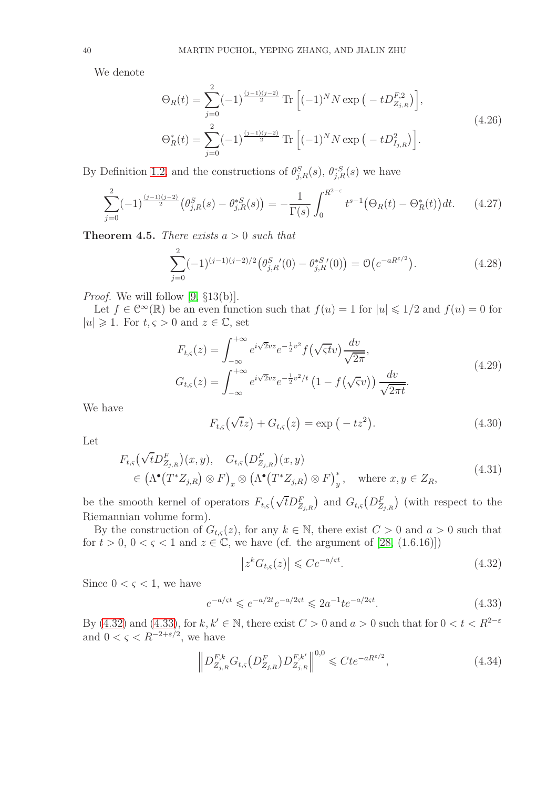We denote

<span id="page-39-6"></span>
$$
\Theta_R(t) = \sum_{j=0}^2 (-1)^{\frac{(j-1)(j-2)}{2}} \text{Tr}\left[(-1)^N N \exp\left(-t D_{Z_{j,R}}^{F,2}\right)\right],
$$
\n
$$
\Theta_R^*(t) = \sum_{j=0}^2 (-1)^{\frac{(j-1)(j-2)}{2}} \text{Tr}\left[(-1)^N N \exp\left(-t D_{I_{j,R}}^2\right)\right].
$$
\n(4.26)

By Definition [1.2,](#page-8-1) and the constructions of  $\theta_{j,R}^S(s)$ ,  $\theta_{j,R}^{*S}(s)$  we have

<span id="page-39-4"></span>
$$
\sum_{j=0}^{2} (-1)^{\frac{(j-1)(j-2)}{2}} \left(\theta_{j,R}^{S}(s) - \theta_{j,R}^{*S}(s)\right) = -\frac{1}{\Gamma(s)} \int_{0}^{R^{2-\varepsilon}} t^{s-1} \left(\Theta_R(t) - \Theta_R^{*}(t)\right) dt. \tag{4.27}
$$

<span id="page-39-5"></span>Theorem 4.5. *There exists* a > 0 *such that*

$$
\sum_{j=0}^{2} (-1)^{(j-1)(j-2)/2} \left( \theta_{j,R}^{S}{}'(0) - \theta_{j,R}^{*S}{}'(0) \right) = \mathcal{O}\left(e^{-aR^{\varepsilon/2}}\right). \tag{4.28}
$$

*Proof.* We will follow [\[9,](#page-54-27) §13(b)].

Let  $f \in \mathbb{C}^{\infty}(\mathbb{R})$  be an even function such that  $f(u) = 1$  for  $|u| \leq 1/2$  and  $f(u) = 0$  for  $|u| \geq 1$ . For  $t, \varsigma > 0$  and  $z \in \mathbb{C}$ , set

$$
F_{t,\varsigma}(z) = \int_{-\infty}^{+\infty} e^{i\sqrt{2}vz} e^{-\frac{1}{2}v^2} f(\sqrt{\varsigma t}v) \frac{dv}{\sqrt{2\pi}},
$$
  
\n
$$
G_{t,\varsigma}(z) = \int_{-\infty}^{+\infty} e^{i\sqrt{2}vz} e^{-\frac{1}{2}v^2/t} \left(1 - f(\sqrt{\varsigma}v)\right) \frac{dv}{\sqrt{2\pi t}}.
$$
\n(4.29)

We have

<span id="page-39-3"></span>
$$
F_{t,\varsigma}(\sqrt{t}z) + G_{t,\varsigma}(z) = \exp(-tz^2).
$$
 (4.30)

Let

$$
F_{t,s}(\sqrt{t}D_{Z_{j,R}}^F)(x,y), G_{t,s}(D_{Z_{j,R}}^F)(x,y)
$$
  
\n
$$
\in (\Lambda^{\bullet}(T^*Z_{j,R}) \otimes F)_x \otimes (\Lambda^{\bullet}(T^*Z_{j,R}) \otimes F)_y^*, \text{ where } x, y \in Z_R,
$$
\n(4.31)

be the smooth kernel of operators  $F_{t,s}(\sqrt{t}D_{Z_{j,R}}^F)$  and  $G_{t,s}(D_{Z_{j,R}}^F)$  (with respect to the Riemannian volume form).

By the construction of  $G_{t,s}(z)$ , for any  $k \in \mathbb{N}$ , there exist  $C > 0$  and  $a > 0$  such that for  $t > 0$ ,  $0 < \varsigma < 1$  and  $z \in \mathbb{C}$ , we have (cf. the argument of [\[28,](#page-54-28) (1.6.16)])

<span id="page-39-0"></span>
$$
\left| z^k G_{t,\varsigma}(z) \right| \leqslant C e^{-a/\varsigma t}.\tag{4.32}
$$

Since  $0 < \varsigma < 1$ , we have

<span id="page-39-1"></span>
$$
e^{-a/\varsigma t} \leqslant e^{-a/2t} e^{-a/2\varsigma t} \leqslant 2a^{-1} t e^{-a/2\varsigma t}.\tag{4.33}
$$

By [\(4.32\)](#page-39-0) and [\(4.33\)](#page-39-1), for  $k, k' \in \mathbb{N}$ , there exist  $C > 0$  and  $a > 0$  such that for  $0 < t < R^{2-\varepsilon}$ and  $0 < \varsigma < R^{-2+\varepsilon/2}$ , we have

<span id="page-39-2"></span>
$$
\left\| D_{Z_{j,R}}^{F,k} G_{t,\varsigma} \left( D_{Z_{j,R}}^{F} \right) D_{Z_{j,R}}^{F,k'} \right\|^{0,0} \leqslant C t e^{-a R^{\varepsilon/2}},\tag{4.34}
$$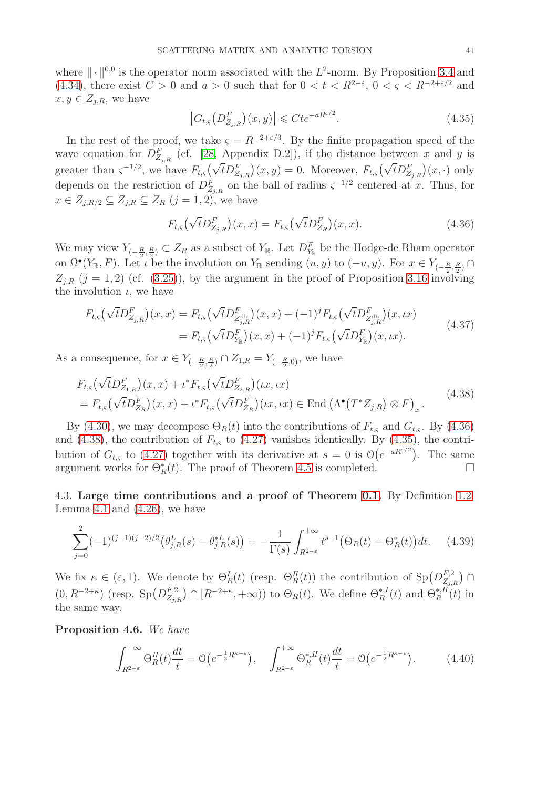where  $\|\cdot\|^{0,0}$  is the operator norm associated with the  $L^2$ -norm. By Proposition [3.4](#page-19-6) and [\(4.34\)](#page-39-2), there exist  $C > 0$  and  $a > 0$  such that for  $0 < t < R^{2-\epsilon}$ ,  $0 < \varsigma < R^{-2+\epsilon/2}$  and  $x, y \in Z_{j,R}$ , we have

<span id="page-40-3"></span>
$$
\left| G_{t,\varsigma} \left( D^F_{Z_{j,R}} \right) (x,y) \right| \leqslant C t e^{-a R^{\varepsilon/2}}. \tag{4.35}
$$

In the rest of the proof, we take  $\varsigma = R^{-2+\epsilon/3}$ . By the finite propagation speed of the wave equation for  $D_{Z_{j,R}}^F$  (cf. [\[28,](#page-54-28) Appendix D.2]), if the distance between x and y is greater than  $\zeta^{-1/2}$ , we have  $F_{t,\zeta}(\sqrt{t}D_{Z_{j,R}}^F)(x,y) = 0$ . Moreover,  $F_{t,\zeta}(\sqrt{t}D_{Z_{j,R}}^F)(x,\cdot)$  only depends on the restriction of  $D_{Z_{j,R}}^F$  on the ball of radius  $\varsigma^{-1/2}$  centered at x. Thus, for  $x \in Z_{j,R/2} \subseteq Z_{j,R} \subseteq Z_R$   $(j = 1, 2)$ , we have

<span id="page-40-2"></span><span id="page-40-1"></span>
$$
F_{t,\varsigma}(\sqrt{t}D_{Z_{j,R}}^F)(x,x) = F_{t,\varsigma}(\sqrt{t}D_{Z_R}^F)(x,x).
$$
 (4.36)

We may view  $Y_{(-\frac{R}{2},\frac{R}{2})}\subset Z_R$  as a subset of  $Y_{\mathbb{R}}$ . Let  $D_{Y_{\mathbb{R}}}^F$  be the Hodge-de Rham operator on  $\Omega^{\bullet}(Y_{\mathbb{R}}, F)$ . Let  $\iota$  be the involution on  $Y_{\mathbb{R}}$  sending  $(u, y)$  to  $(-u, y)$ . For  $x \in Y_{(-\frac{R}{2}, \frac{R}{2})} \cap$  $Z_{j,R}$   $(j = 1, 2)$  (cf. [\(3.25\)](#page-17-8)), by the argument in the proof of Proposition [3.16](#page-33-3) involving the involution  $\iota$ , we have

$$
F_{t,\varsigma}(\sqrt{t}D_{Z_{j,R}}^{F})(x,x) = F_{t,\varsigma}(\sqrt{t}D_{Z_{j,R}^{\text{db}}}^{F})(x,x) + (-1)^{j}F_{t,\varsigma}(\sqrt{t}D_{Z_{j,R}^{\text{db}}}^{F})(x,\iota x)
$$
  
=  $F_{t,\varsigma}(\sqrt{t}D_{Y_{\mathbb{R}}}^{F})(x,x) + (-1)^{j}F_{t,\varsigma}(\sqrt{t}D_{Y_{\mathbb{R}}}^{F})(x,\iota x).$  (4.37)

As a consequence, for  $x \in Y_{(-\frac{R}{2}, \frac{R}{2})} \cap Z_{1,R} = Y_{(-\frac{R}{2}, 0)}$ , we have

$$
F_{t,\varsigma}(\sqrt{t}D_{Z_{1,R}}^{F})(x,x) + \iota^* F_{t,\varsigma}(\sqrt{t}D_{Z_{2,R}}^{F})(\iota x, \iota x)
$$
  
=  $F_{t,\varsigma}(\sqrt{t}D_{Z_{R}}^{F})(x,x) + \iota^* F_{t,\varsigma}(\sqrt{t}D_{Z_{R}}^{F})(\iota x, \iota x) \in \text{End}(\Lambda^{\bullet}(T^*Z_{j,R}) \otimes F)_{x}.$  (4.38)

By [\(4.30\)](#page-39-3), we may decompose  $\Theta_R(t)$  into the contributions of  $F_{t,s}$  and  $G_{t,s}$ . By [\(4.36\)](#page-40-1) and [\(4.38\)](#page-40-2), the contribution of  $F_{t,s}$  to [\(4.27\)](#page-39-4) vanishes identically. By [\(4.35\)](#page-40-3), the contribution of  $G_{t,\varsigma}$  to [\(4.27\)](#page-39-4) together with its derivative at  $s=0$  is  $\mathcal{O}(e^{-aR^{\epsilon/2}})$ . The same argument works for  $\Theta_R^*(t)$ . The proof of Theorem [4.5](#page-39-5) is completed.  $\Box$ 

<span id="page-40-0"></span>4.3. Large time contributions and a proof of Theorem [0.1.](#page-4-0) By Definition [1.2,](#page-8-1) Lemma [4.1](#page-37-6) and  $(4.26)$ , we have

$$
\sum_{j=0}^{2} (-1)^{(j-1)(j-2)/2} \left( \theta_{j,R}^{L}(s) - \theta_{j,R}^{*L}(s) \right) = -\frac{1}{\Gamma(s)} \int_{R^{2-\varepsilon}}^{+\infty} t^{s-1} \left( \Theta_R(t) - \Theta_R^*(t) \right) dt. \tag{4.39}
$$

We fix  $\kappa \in (\varepsilon, 1)$ . We denote by  $\Theta_R^I(t)$  (resp.  $\Theta_R^I(t)$ ) the contribution of  $\text{Sp}(D^{F,2}_{Z_{j,\cdot}})$  $\binom{F,2}{Z_{j,R}}$   $\bigcap$  $(0, R^{-2+\kappa})$  (resp.  $Sp(D_{Z_2}^{F,2})$  $Z_{Z_{j,R}}^{F,2}$   $\cap$   $[R^{-2+\kappa}, +\infty)$ ) to  $\Theta_R(t)$ . We define  $\Theta_R^{*,I}(t)$  and  $\Theta_R^{*,I}(t)$  in the same way.

<span id="page-40-5"></span>Proposition 4.6. *We have*

<span id="page-40-4"></span>
$$
\int_{R^{2-\varepsilon}}^{+\infty} \Theta_R^H(t) \frac{dt}{t} = \mathcal{O}\left(e^{-\frac{1}{2}R^{\kappa-\varepsilon}}\right), \quad \int_{R^{2-\varepsilon}}^{+\infty} \Theta_R^{*,H}(t) \frac{dt}{t} = \mathcal{O}\left(e^{-\frac{1}{2}R^{\kappa-\varepsilon}}\right). \tag{4.40}
$$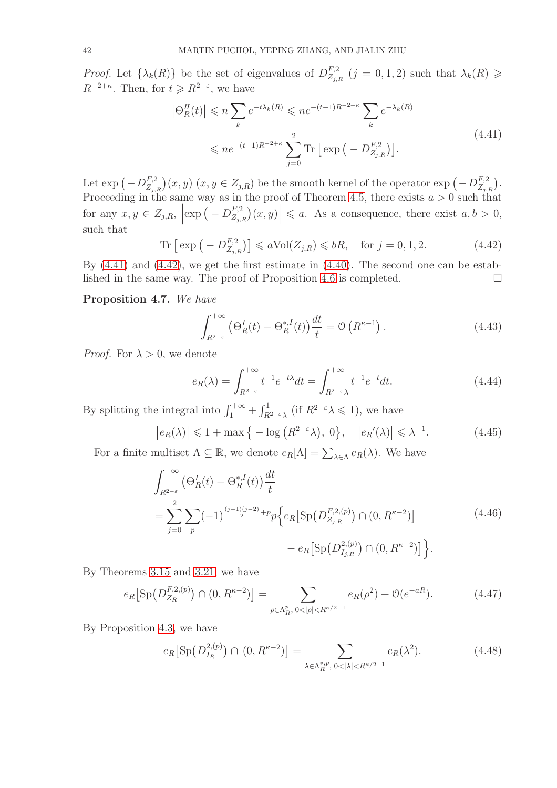*Proof.* Let  $\{\lambda_k(R)\}\)$  be the set of eigenvalues of  $D_{Z_{j,\lambda}}^{F,2}$  $Z_{Z_{j,R}}^{F,2}(j=0,1,2)$  such that  $\lambda_k(R) \geq$  $R^{-2+\kappa}$ . Then, for  $t \geq R^{2-\epsilon}$ , we have

<span id="page-41-0"></span>
$$
\left|\Theta_R^H(t)\right| \leqslant n \sum_{k} e^{-t\lambda_k(R)} \leqslant n e^{-(t-1)R^{-2+\kappa}} \sum_{k} e^{-\lambda_k(R)}
$$
\n
$$
\leqslant n e^{-(t-1)R^{-2+\kappa}} \sum_{j=0}^2 \text{Tr}\left[\exp\left(-D_{Z_{j,R}}^{F,2}\right)\right].\tag{4.41}
$$

Let  $\exp(-D^{F,2}_{Z_{j,i}})$  $\binom{F,2}{Z_{j,R}}(x,y)$   $(x,y \in Z_{j,R})$  be the smooth kernel of the operator  $\exp(-D^{F,2}_{Z_{j,R}})$  $\begin{pmatrix} F,2 \\ Z_{j,R} \end{pmatrix}$ . Proceeding in the same way as in the proof of Theorem [4.5,](#page-39-5) there exists  $a > 0$  such that for any  $x, y \in Z_{j,R}$ ,  $\left| \exp \left( -D_{Z_{j,j}}^{F,2} \right) \right|$  $\left| \begin{array}{c} F,2 \ Z_{j,R} \end{array} \right| (x,y) \Big| \leq a.$  As a consequence, there exist  $a,b > 0$ , such that

<span id="page-41-1"></span>
$$
\text{Tr}\left[\exp\left(-D_{Z_{j,R}}^{F,2}\right)\right] \leqslant a \text{Vol}(Z_{j,R}) \leqslant bR, \quad \text{for } j = 0, 1, 2. \tag{4.42}
$$

By [\(4.41\)](#page-41-0) and [\(4.42\)](#page-41-1), we get the first estimate in [\(4.40\)](#page-40-4). The second one can be estab-lished in the same way. The proof of Proposition [4.6](#page-40-5) is completed.  $\Box$ 

### <span id="page-41-5"></span>Proposition 4.7. *We have*

<span id="page-41-4"></span>
$$
\int_{R^{2-\varepsilon}}^{+\infty} \left(\Theta_R^I(t) - \Theta_R^{*,I}(t)\right) \frac{dt}{t} = \mathcal{O}\left(R^{\kappa-1}\right). \tag{4.43}
$$

*Proof.* For  $\lambda > 0$ , we denote

<span id="page-41-3"></span>
$$
e_R(\lambda) = \int_{R^{2-\varepsilon}}^{+\infty} t^{-1} e^{-t\lambda} dt = \int_{R^{2-\varepsilon}\lambda}^{+\infty} t^{-1} e^{-t} dt.
$$
 (4.44)

By splitting the integral into  $\int_1^{+\infty} + \int_{R^{2-\epsilon}\lambda}^1$  (if  $R^{2-\epsilon}\lambda \leq 1$ ), we have

<span id="page-41-2"></span>
$$
\left| e_R(\lambda) \right| \leq 1 + \max\left\{ -\log\left( R^{2-\varepsilon}\lambda \right), 0 \right\}, \quad \left| e_R(\lambda) \right| \leq \lambda^{-1}.
$$
 (4.45)

For a finite multiset  $\Lambda \subseteq \mathbb{R}$ , we denote  $e_R[\Lambda] = \sum_{\lambda \in \Lambda} e_R(\lambda)$ . We have

$$
\int_{R^{2-\varepsilon}}^{+\infty} \left(\Theta_R^I(t) - \Theta_R^{*,I}(t)\right) \frac{dt}{t}
$$
\n
$$
= \sum_{j=0}^2 \sum_p (-1)^{\frac{(j-1)(j-2)}{2}+p} p\left\{e_R\left[\text{Sp}\left(D_{Z_{j,R}}^{F,2,(p)}\right) \cap (0,R^{\kappa-2})\right] - e_R\left[\text{Sp}\left(D_{I_{j,R}}^{2,(p)}\right) \cap (0,R^{\kappa-2})\right]\right\}.
$$
\n(4.46)

By Theorems [3.15](#page-32-2) and [3.21,](#page-35-2) we have

$$
e_R\big[\operatorname{Sp}(D_{Z_R}^{F,2,(p)})\cap(0,R^{\kappa-2})\big] = \sum_{\rho\in\Lambda_R^p,\ 0<|\rho|
$$

By Proposition [4.3,](#page-38-4) we have

$$
e_R\big[\text{Sp}\big(D_{I_R}^{2,(p)}\big)\cap(0,R^{\kappa-2})\big]=\sum_{\lambda\in\Lambda_R^{*,p},\,0<|\lambda|
$$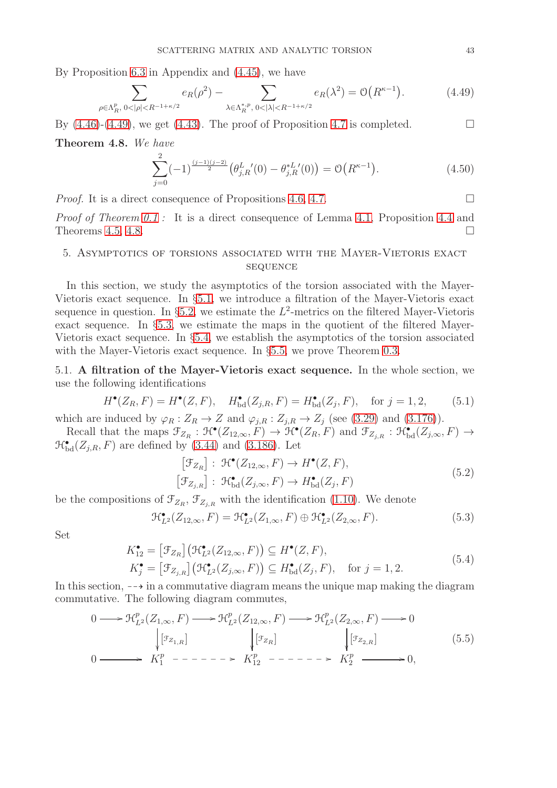By Proposition [6.3](#page-53-5) in Appendix and [\(4.45\)](#page-41-2), we have

<span id="page-42-2"></span>
$$
\sum_{\rho \in \Lambda_R^p, \ 0 < |\rho| < R^{-1+\kappa/2}} e_R(\rho^2) - \sum_{\lambda \in \Lambda_R^{*,p}, \ 0 < |\lambda| < R^{-1+\kappa/2}} e_R(\lambda^2) = \mathcal{O}\big(R^{\kappa-1}\big). \tag{4.49}
$$

By  $(4.46)-(4.49)$  $(4.46)-(4.49)$ , we get  $(4.43)$ . The proof of Proposition [4.7](#page-41-5) is completed.

<span id="page-42-3"></span>Theorem 4.8. *We have*

$$
\sum_{j=0}^{2} (-1)^{\frac{(j-1)(j-2)}{2}} \left(\theta_{j,R}^{L}(0) - \theta_{j,R}^{*L}(0)\right) = \mathcal{O}\left(R^{\kappa-1}\right). \tag{4.50}
$$

*Proof.* It is a direct consequence of Propositions [4.6,](#page-40-5) [4.7.](#page-41-5) □

*Proof of Theorem [0.1](#page-4-0) :* It is a direct consequence of Lemma [4.1,](#page-37-6) Proposition [4.4](#page-38-5) and Theorems [4.5,](#page-39-5) [4.8.](#page-42-3)

# <span id="page-42-0"></span>5. Asymptotics of torsions associated with the Mayer-Vietoris exact **SEQUENCE**

In this section, we study the asymptotics of the torsion associated with the Mayer-Vietoris exact sequence. In §[5.1,](#page-42-1) we introduce a filtration of the Mayer-Vietoris exact sequence in question. In §[5.2,](#page-45-0) we estimate the  $L^2$ -metrics on the filtered Mayer-Vietoris exact sequence. In §[5.3,](#page-46-0) we estimate the maps in the quotient of the filtered Mayer-Vietoris exact sequence. In §[5.4,](#page-48-0) we establish the asymptotics of the torsion associated with the Mayer-Vietoris exact sequence. In  $\S 5.5$ , we prove Theorem [0.3.](#page-5-1)

<span id="page-42-1"></span>5.1. A filtration of the Mayer-Vietoris exact sequence. In the whole section, we use the following identifications

$$
H^{\bullet}(Z_R, F) = H^{\bullet}(Z, F), \quad H^{\bullet}_{\text{bd}}(Z_{j,R}, F) = H^{\bullet}_{\text{bd}}(Z_j, F), \quad \text{for } j = 1, 2,
$$
 (5.1)

which are induced by  $\varphi_R : Z_R \to Z$  and  $\varphi_{j,R} : Z_{j,R} \to Z_j$  (see [\(3.29\)](#page-18-0) and [\(3.176\)](#page-33-4)).

Recall that the maps  $\mathcal{F}_{Z_R} : \mathcal{H}^\bullet(Z_{12,\infty}, F) \to \mathcal{H}^\bullet(Z_R, F)$  and  $\mathcal{F}_{Z_{j,R}} : \mathcal{H}^\bullet_\mathrm{bd}(Z_{j,\infty}, F) \to$  $\mathcal{H}_{\text{bd}}^{\bullet}(Z_{j,R}, F)$  are defined by [\(3.44\)](#page-20-3) and [\(3.186\)](#page-34-5). Let

$$
\begin{aligned} \left[\mathcal{F}_{Z_R}\right] : \ \mathcal{H}^{\bullet}(Z_{12,\infty}, F) &\to H^{\bullet}(Z, F), \\ \left[\mathcal{F}_{Z_{j,R}}\right] : \ \mathcal{H}^{\bullet}_{\text{bd}}(Z_{j,\infty}, F) &\to H^{\bullet}_{\text{bd}}(Z_j, F) \end{aligned} \tag{5.2}
$$

be the compositions of  $\mathcal{F}_{Z_R}$ ,  $\mathcal{F}_{Z_{j,R}}$  with the identification [\(1.10\)](#page-7-2). We denote

<span id="page-42-5"></span><span id="page-42-4"></span>
$$
\mathcal{H}_{L^2}^{\bullet}(Z_{12,\infty},F) = \mathcal{H}_{L^2}^{\bullet}(Z_{1,\infty},F) \oplus \mathcal{H}_{L^2}^{\bullet}(Z_{2,\infty},F). \tag{5.3}
$$

Set

$$
K_{12}^{\bullet} = [\mathcal{F}_{Z_R}](\mathcal{H}_{L^2}^{\bullet}(Z_{12,\infty}, F)) \subseteq H^{\bullet}(Z, F),
$$
  
\n
$$
K_j^{\bullet} = [\mathcal{F}_{Z_{j,R}}](\mathcal{H}_{L^2}^{\bullet}(Z_{j,\infty}, F)) \subseteq H^{\bullet}_{\text{bd}}(Z_j, F), \text{ for } j = 1, 2.
$$
\n
$$
(5.4)
$$

In this section,  $-\rightarrow$  in a commutative diagram means the unique map making the diagram commutative. The following diagram commutes,

$$
0 \longrightarrow \mathcal{H}_{L^2}^p(Z_{1,\infty}, F) \longrightarrow \mathcal{H}_{L^2}^p(Z_{12,\infty}, F) \longrightarrow \mathcal{H}_{L^2}^p(Z_{2,\infty}, F) \longrightarrow 0
$$
  
\n
$$
\downarrow [\mathfrak{F}_{Z_{1,R}}] \qquad \qquad \downarrow [\mathfrak{F}_{Z_R}] \qquad \qquad \downarrow [\mathfrak{F}_{Z_{2,R}}] \qquad (5.5)
$$
  
\n
$$
0 \longrightarrow K_1^p \longrightarrow - \longrightarrow - \longrightarrow K_{12}^p \longrightarrow - \longrightarrow - \longrightarrow K_2^p \longrightarrow 0,
$$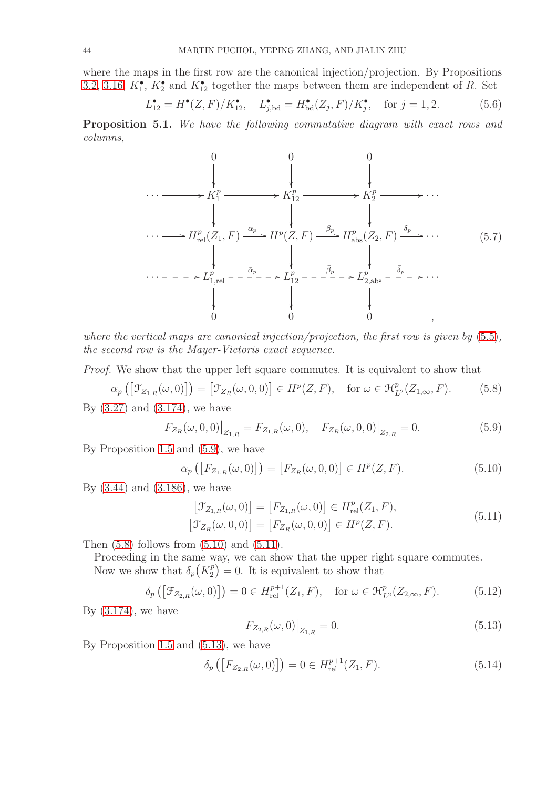where the maps in the first row are the canonical injection/projection. By Propositions [3.2,](#page-18-4) [3.16,](#page-33-3)  $K_1^{\bullet}$ ,  $K_2^{\bullet}$  and  $K_{12}^{\bullet}$  together the maps between them are independent of R. Set

$$
L_{12}^{\bullet} = H^{\bullet}(Z, F)/K_{12}^{\bullet}, \quad L_{j, \text{bd}}^{\bullet} = H_{\text{bd}}^{\bullet}(Z_j, F)/K_j^{\bullet}, \quad \text{for } j = 1, 2. \tag{5.6}
$$

<span id="page-43-7"></span>Proposition 5.1. *We have the following commutative diagram with exact rows and columns,*



*where the vertical maps are canonical injection/projection, the first row is given by* [\(5.5\)](#page-42-4)*, the second row is the Mayer-Vietoris exact sequence.*

*Proof.* We show that the upper left square commutes. It is equivalent to show that

<span id="page-43-1"></span>
$$
\alpha_p\left(\left[\mathcal{F}_{Z_{1,R}}(\omega,0)\right]\right) = \left[\mathcal{F}_{Z_R}(\omega,0,0)\right] \in H^p(Z,F), \quad \text{for } \omega \in \mathcal{H}_{L^2}^p(Z_{1,\infty},F). \tag{5.8}
$$

By [\(3.27\)](#page-18-1) and [\(3.174\)](#page-33-2), we have

<span id="page-43-0"></span>
$$
F_{Z_R}(\omega, 0, 0)|_{Z_{1,R}} = F_{Z_{1,R}}(\omega, 0), \quad F_{Z_R}(\omega, 0, 0)|_{Z_{2,R}} = 0.
$$
\n(5.9)

By Proposition [1.5](#page-8-4) and [\(5.9\)](#page-43-0), we have

<span id="page-43-2"></span>
$$
\alpha_p\left(\left[F_{Z_{1,R}}(\omega,0)\right]\right) = \left[F_{Z_R}(\omega,0,0)\right] \in H^p(Z,F). \tag{5.10}
$$

By [\(3.44\)](#page-20-3) and [\(3.186\)](#page-34-5), we have

$$
\begin{aligned} \left[\mathcal{F}_{Z_{1,R}}(\omega,0)\right] &= \left[F_{Z_{1,R}}(\omega,0)\right] \in H_{\text{rel}}^p(Z_1,F),\\ \left[\mathcal{F}_{Z_R}(\omega,0,0)\right] &= \left[F_{Z_R}(\omega,0,0)\right] \in H^p(Z,F). \end{aligned} \tag{5.11}
$$

Then  $(5.8)$  follows from  $(5.10)$  and  $(5.11)$ .

Proceeding in the same way, we can show that the upper right square commutes. Now we show that  $\delta_p(K_2^p)$  $\binom{p}{2} = 0$ . It is equivalent to show that

<span id="page-43-5"></span>
$$
\delta_p\left(\left[\mathcal{F}_{Z_{2,R}}(\omega,0)\right]\right) = 0 \in H_{\mathrm{rel}}^{p+1}(Z_1,F), \quad \text{for } \omega \in \mathcal{H}_{L^2}^p(Z_{2,\infty},F). \tag{5.12}
$$

By  $(3.174)$ , we have

<span id="page-43-4"></span><span id="page-43-3"></span>
$$
F_{Z_{2,R}}(\omega,0)|_{Z_{1,R}} = 0.
$$
\n(5.13)

By Proposition [1.5](#page-8-4) and [\(5.13\)](#page-43-4), we have

<span id="page-43-6"></span>
$$
\delta_p([F_{Z_{2,R}}(\omega,0)]) = 0 \in H_{\text{rel}}^{p+1}(Z_1,F). \tag{5.14}
$$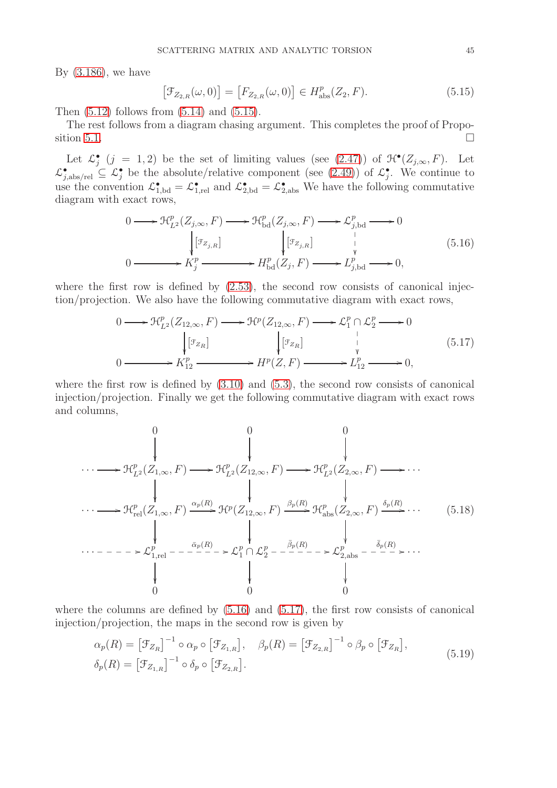By [\(3.186\)](#page-34-5), we have

<span id="page-44-1"></span><span id="page-44-0"></span>
$$
\left[\mathcal{F}_{Z_{2,R}}(\omega,0)\right] = \left[F_{Z_{2,R}}(\omega,0)\right] \in H^{p}_{\text{abs}}(Z_2,F). \tag{5.15}
$$

Then  $(5.12)$  follows from  $(5.14)$  and  $(5.15)$ .

The rest follows from a diagram chasing argument. This completes the proof of Propo-sition [5.1.](#page-43-7)

Let  $\mathcal{L}^{\bullet}_j$   $(j = 1, 2)$  be the set of limiting values (see  $(2.47)$ ) of  $\mathcal{H}^{\bullet}(Z_{j,\infty}, F)$ . Let  $\mathcal{L}^{\bullet}_{j,\text{abs/rel}} \subseteq \mathcal{L}^{\bullet}_{j}$  be the absolute/relative component (see [\(2.49\)](#page-15-6)) of  $\mathcal{L}^{\bullet}_{j}$ . We continue to use the convention  $\mathcal{L}_{1,\text{bd}}^{\bullet} = \mathcal{L}_{1,\text{rel}}^{\bullet}$  and  $\mathcal{L}_{2,\text{bd}}^{\bullet} = \mathcal{L}_{2,\text{abs}}^{\bullet}$ . We have the following commutative diagram with exact rows,

$$
0 \longrightarrow \mathcal{H}_{L^{2}}^{p}(Z_{j,\infty}, F) \longrightarrow \mathcal{H}_{\text{bd}}^{p}(Z_{j,\infty}, F) \longrightarrow \mathcal{L}_{j,\text{bd}}^{p} \longrightarrow 0
$$
  
\n
$$
\downarrow [{}^{\mathcal{F}_{Z_{j,R}}}] \qquad \qquad \downarrow [{}^{\mathcal{F}_{Z_{j,R}}}] \qquad \qquad \downarrow \qquad \downarrow
$$
  
\n
$$
0 \longrightarrow K_{j}^{p} \longrightarrow H_{\text{bd}}^{p}(Z_{j}, F) \longrightarrow L_{j,\text{bd}}^{p} \longrightarrow 0,
$$
\n
$$
(5.16)
$$

where the first row is defined by  $(2.53)$ , the second row consists of canonical injection/projection. We also have the following commutative diagram with exact rows,

<span id="page-44-2"></span>
$$
0 \longrightarrow \mathcal{H}_{L^{2}}^{p}(Z_{12,\infty}, F) \longrightarrow \mathcal{H}^{p}(Z_{12,\infty}, F) \longrightarrow \mathcal{L}_{1}^{p} \cap \mathcal{L}_{2}^{p} \longrightarrow 0
$$
  
\n
$$
\downarrow [{}^{g}z_{R}] \qquad \qquad \downarrow [{}^{g}z_{R}] \qquad \qquad \downarrow \qquad \downarrow
$$
  
\n
$$
0 \longrightarrow K_{12}^{p} \longrightarrow H^{p}(Z, F) \longrightarrow L_{12}^{p} \longrightarrow 0,
$$
\n
$$
(5.17)
$$

where the first row is defined by  $(3.10)$  and  $(5.3)$ , the second row consists of canonical injection/projection. Finally we get the following commutative diagram with exact rows and columns,

<span id="page-44-4"></span>
$$
\cdots \longrightarrow \mathcal{H}_{L^{2}}^{p}(Z_{1,\infty}, F) \longrightarrow \mathcal{H}_{L^{2}}^{p}(Z_{12,\infty}, F) \longrightarrow \mathcal{H}_{L^{2}}^{p}(Z_{2,\infty}, F) \longrightarrow \cdots
$$
\n
$$
\downarrow \qquad \qquad \downarrow \qquad \qquad \downarrow
$$
\n
$$
\cdots \longrightarrow \mathcal{H}_{rel}^{p}(Z_{1,\infty}, F) \xrightarrow{\alpha_{p}(R)} \mathcal{H}^{p}(Z_{12,\infty}, F) \xrightarrow{\beta_{p}(R)} \mathcal{H}_{abs}^{p}(Z_{2,\infty}, F) \xrightarrow{\delta_{p}(R)} \cdots
$$
\n
$$
\cdots \longrightarrow \mathcal{H}_{rel}^{p}(Z_{1,\infty}, F) \xrightarrow{\alpha_{p}(R)} \mathcal{H}^{p}(Z_{12,\infty}, F) \xrightarrow{\beta_{p}(R)} \mathcal{H}_{abs}^{p}(Z_{2,\infty}, F) \xrightarrow{\delta_{p}(R)} \cdots
$$
\n
$$
\cdots \longrightarrow \mathcal{L}_{1,rel}^{p} \longrightarrow \cdots \xrightarrow{\bar{\alpha}_{p}(R)} \mathcal{L}_{2}^{p} \longrightarrow \mathcal{L}_{2,abs}^{p} \longrightarrow \mathcal{L}_{2,abs}^{p} \longrightarrow \cdots
$$
\n
$$
\downarrow \qquad \qquad \downarrow
$$
\n
$$
\downarrow \qquad \qquad \downarrow
$$
\n
$$
\downarrow \qquad \qquad \downarrow
$$
\n
$$
\downarrow \qquad \qquad \downarrow
$$
\n
$$
\downarrow \qquad \qquad \downarrow
$$
\n
$$
\downarrow \qquad \qquad \downarrow
$$
\n
$$
\downarrow \qquad \qquad \downarrow
$$
\n
$$
\downarrow \qquad \qquad \downarrow
$$
\n
$$
\downarrow \qquad \qquad \downarrow
$$
\n
$$
\downarrow \qquad \qquad \downarrow
$$
\n
$$
\downarrow \qquad \qquad \downarrow
$$
\n
$$
\downarrow \qquad \qquad \downarrow
$$
\n
$$
\downarrow \qquad \qquad \downarrow
$$
\n
$$
\downarrow \qquad \qquad \downarrow
$$
\n
$$
\downarrow \qquad \qquad \downarrow
$$
\n
$$
\downarrow \qquad \qquad \downarrow
$$
\n
$$
\down
$$

where the columns are defined by  $(5.16)$  and  $(5.17)$ , the first row consists of canonical injection/projection, the maps in the second row is given by

<span id="page-44-3"></span>
$$
\alpha_p(R) = \left[\mathcal{F}_{Z_R}\right]^{-1} \circ \alpha_p \circ \left[\mathcal{F}_{Z_{1,R}}\right], \quad \beta_p(R) = \left[\mathcal{F}_{Z_{2,R}}\right]^{-1} \circ \beta_p \circ \left[\mathcal{F}_{Z_R}\right],
$$
\n
$$
\delta_p(R) = \left[\mathcal{F}_{Z_{1,R}}\right]^{-1} \circ \delta_p \circ \left[\mathcal{F}_{Z_{2,R}}\right].
$$
\n(5.19)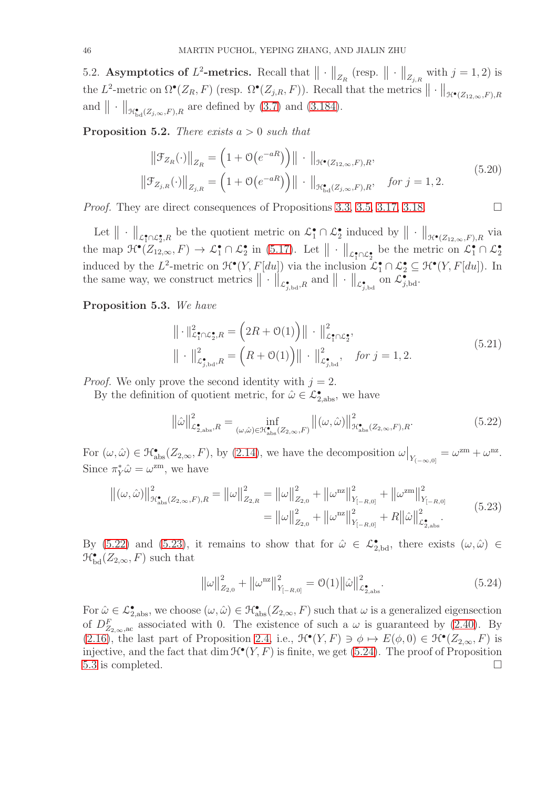<span id="page-45-0"></span>5.2. Asymptotics of  $L^2$ -metrics. Recall that  $\|\cdot\|_{Z_R}$  (resp.  $\|\cdot\|_{Z_{j,R}}$  with  $j=1,2$ ) is the L<sup>2</sup>-metric on  $\Omega^{\bullet}(Z_R, F)$  (resp.  $\Omega^{\bullet}(Z_{j,R}, F)$ ). Recall that the metrics  $\|\cdot\|_{\mathcal{H}^{\bullet}(Z_{12,\infty}, F), R}$ and  $\|\cdot\|_{\mathcal{H}^{\bullet}_{\mathrm{bd}}(Z_{j,\infty},F),R}$  are defined by [\(3.7\)](#page-16-8) and [\(3.184\)](#page-34-6).

<span id="page-45-5"></span>Proposition 5.2. *There exists* a > 0 *such that*

$$
\|\mathcal{F}_{Z_R}(\cdot)\|_{Z_R} = \left(1 + \mathcal{O}(e^{-aR})\right) \|\cdot\|_{\mathcal{H}^\bullet(Z_{12,\infty},F),R},
$$
  

$$
\|\mathcal{F}_{Z_{j,R}}(\cdot)\|_{Z_{j,R}} = \left(1 + \mathcal{O}(e^{-aR})\right) \|\cdot\|_{\mathcal{H}^\bullet_{\text{bd}}(Z_{j,\infty},F),R}, \quad \text{for } j = 1,2.
$$
 (5.20)

*Proof.* They are direct consequences of Propositions [3.3,](#page-18-6) [3.5,](#page-20-8) [3.17,](#page-34-7) [3.18.](#page-35-6)

Let  $\|\cdot\|_{\mathcal{L}^{\bullet}_{1}\cap\mathcal{L}^{\bullet}_{2},R}$  be the quotient metric on  $\mathcal{L}^{\bullet}_{1}\cap\mathcal{L}^{\bullet}_{2}$  induced by  $\|\cdot\|_{\mathcal{H}^{\bullet}(Z_{12,\infty},F),R}$  via the map  $\mathcal{H}^{\bullet}(\overline{Z_{12,\infty}},F) \to \mathcal{L}_1^{\bullet} \cap \mathcal{L}_2^{\bullet}$  in [\(5.17\)](#page-44-2). Let  $\|\cdot\|_{\mathcal{L}_1^{\bullet} \cap \mathcal{L}_2^{\bullet}}$  be the metric on  $\mathcal{L}_1^{\bullet} \cap \mathcal{L}_2^{\bullet}$ induced by the L<sup>2</sup>-metric on  $\mathcal{H}^{\bullet}(Y, F[du])$  via the inclusion  $\mathcal{L}^{\bullet}_1 \cap \mathcal{L}^{\bullet}_2 \subseteq \mathcal{H}^{\bullet}(Y, F[du])$ . In the same way, we construct metrics  $\|\cdot\|'_{\mathcal{L}^{\bullet}_{j,\text{bd}},R}$  and  $\|\cdot\|_{\mathcal{L}^{\bullet}_{j,\text{bd}}}$  on  $\mathcal{L}^{\bullet}_{j,\text{bd}}$ .

<span id="page-45-4"></span>Proposition 5.3. *We have*

$$
\|\cdot\|_{\mathcal{L}_{1}^{\bullet}\cap\mathcal{L}_{2}^{\bullet},R}^{2} = \left(2R + \mathcal{O}(1)\right)\|\cdot\|_{\mathcal{L}_{1}^{\bullet}\cap\mathcal{L}_{2}^{\bullet}}^{2},
$$
  

$$
\|\cdot\|_{\mathcal{L}_{j,\mathrm{bd}}^{\bullet},R}^{2} = \left(R + \mathcal{O}(1)\right)\|\cdot\|_{\mathcal{L}_{j,\mathrm{bd}}^{\bullet}}^{2}, \quad \text{for } j = 1, 2.
$$
 (5.21)

*Proof.* We only prove the second identity with  $j = 2$ .

By the definition of quotient metric, for  $\hat{\omega} \in \mathcal{L}_{2,\text{abs}}^{\bullet}$ , we have

<span id="page-45-1"></span>
$$
\|\hat{\omega}\|_{\mathcal{L}_{2,\text{abs}}^{\bullet},R}^2 = \inf_{(\omega,\hat{\omega}) \in \mathcal{H}_{\text{abs}}^{\bullet}(Z_{2,\infty},F)} \left\| (\omega,\hat{\omega}) \right\|_{\mathcal{H}_{\text{abs}}^{\bullet}(Z_{2,\infty},F),R}^2.
$$
(5.22)

For  $(\omega, \hat{\omega}) \in \mathcal{H}_{\text{abs}}^{\bullet}(Z_{2,\infty}, F)$ , by [\(2.14\)](#page-10-6), we have the decomposition  $\omega|_{Y_{(-\infty,0]}} = \omega^{2m} + \omega^{nz}$ . Since  $\pi_Y^* \hat{\omega} = \omega^{\text{zm}}$ , we have

$$
\|(\omega,\hat{\omega})\|_{\mathcal{H}_{\text{abs}}^{\bullet}(Z_{2,\infty},F),R}^{2} = \|\omega\|_{Z_{2,R}}^{2} = \|\omega\|_{Z_{2,0}}^{2} + \|\omega^{nz}\|_{Y_{[-R,0]}}^{2} + \|\omega^{zm}\|_{Y_{[-R,0]}}^{2}
$$
  

$$
= \|\omega\|_{Z_{2,0}}^{2} + \|\omega^{nz}\|_{Y_{[-R,0]}}^{2} + R\|\hat{\omega}\|_{\mathcal{L}_{2,\text{abs}}^{\bullet}}^{2}.
$$
 (5.23)

By [\(5.22\)](#page-45-1) and [\(5.23\)](#page-45-2), it remains to show that for  $\hat{\omega} \in \mathcal{L}_{2,bd}^{\bullet}$ , there exists  $(\omega, \hat{\omega}) \in$  $\mathcal{H}_{\text{bd}}^{\bullet}(Z_{2,\infty},F)$  such that

<span id="page-45-3"></span><span id="page-45-2"></span>
$$
\left\|\omega\right\|_{Z_{2,0}}^2 + \left\|\omega^{\text{nz}}\right\|_{Y_{[-R,0]}}^2 = \mathcal{O}(1) \left\|\hat{\omega}\right\|_{\mathcal{L}^{\bullet}_{2,\text{abs}}}^2.
$$
\n(5.24)

For  $\hat{\omega} \in \mathcal{L}_{2,\text{abs}}^{\bullet}$ , we choose  $(\omega, \hat{\omega}) \in \mathcal{H}_{\text{abs}}^{\bullet}(Z_{2,\infty}, F)$  such that  $\omega$  is a generalized eigensection of  $D_{Z_{2,\infty},ac}^F$  associated with 0. The existence of such a  $\omega$  is guaranteed by [\(2.40\)](#page-14-11). By [\(2.16\)](#page-11-3), the last part of Proposition [2.4,](#page-13-1) i.e.,  $\mathcal{H}^{\bullet}(Y, F) \ni \phi \mapsto E(\phi, 0) \in \mathcal{H}^{\bullet}(Z_{2, \infty}, F)$  is injective, and the fact that dim  $\mathcal{H}^{\bullet}(Y, F)$  is finite, we get [\(5.24\)](#page-45-3). The proof of Proposition [5.3](#page-45-4) is completed.  $\square$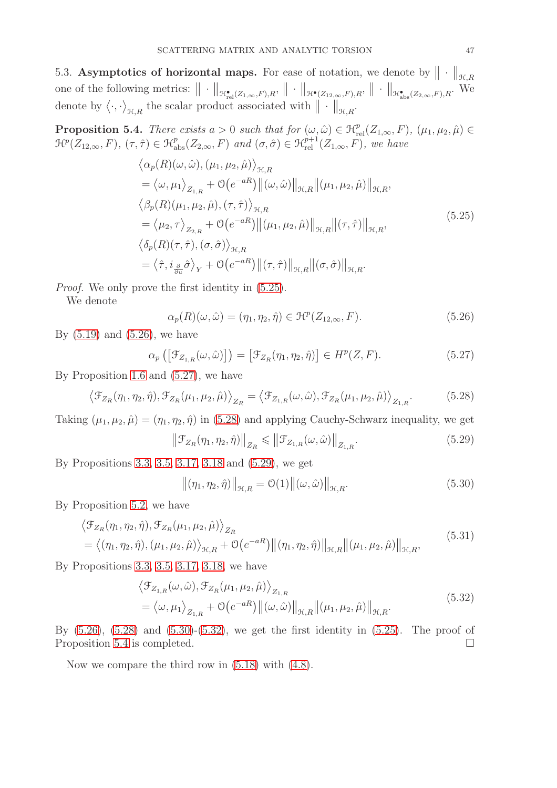<span id="page-46-0"></span>5.3. Asymptotics of horizontal maps. For ease of notation, we denote by  $\|\cdot\|_{\mathcal{H},R}$ one of the following metrics:  $\|\cdot\|_{\mathcal{H}^{\bullet}_{rel}(Z_{1,\infty},F),R}$ ,  $\|\cdot\|_{\mathcal{H}^{\bullet}(Z_{12,\infty},F),R}$ ,  $\|\cdot\|_{\mathcal{H}^{\bullet}_{abs}(Z_{2,\infty},F),R}$ . We denote by  $\langle \cdot, \cdot \rangle_{\mathcal{H},R}$  the scalar product associated with  $\|\cdot\|_{\mathcal{H},R}$ .

<span id="page-46-8"></span>**Proposition 5.4.** *There exists*  $a > 0$  *such that for*  $(\omega, \hat{\omega}) \in \mathcal{H}_{rel}^p(Z_{1,\infty}, F)$ ,  $(\mu_1, \mu_2, \hat{\mu}) \in$  $\mathcal{H}^p(Z_{12,\infty}, F)$ ,  $(\tau, \hat{\tau}) \in \mathcal{H}_{\text{abs}}^p(Z_{2,\infty}, F)$  and  $(\sigma, \hat{\sigma}) \in \mathcal{H}_{\text{rel}}^{p+1}(Z_{1,\infty}, F)$ , we have

$$
\langle \alpha_p(R)(\omega, \hat{\omega}), (\mu_1, \mu_2, \hat{\mu}) \rangle_{\mathcal{H}, R} \n= \langle \omega, \mu_1 \rangle_{Z_{1,R}} + \mathcal{O}(e^{-aR}) ||(\omega, \hat{\omega})||_{\mathcal{H}, R} ||(\mu_1, \mu_2, \hat{\mu})||_{\mathcal{H}, R}, \n\langle \beta_p(R)(\mu_1, \mu_2, \hat{\mu}), (\tau, \hat{\tau}) \rangle_{\mathcal{H}, R} \n= \langle \mu_2, \tau \rangle_{Z_{2,R}} + \mathcal{O}(e^{-aR}) ||(\mu_1, \mu_2, \hat{\mu})||_{\mathcal{H}, R} ||(\tau, \hat{\tau})||_{\mathcal{H}, R}, \n\langle \delta_p(R)(\tau, \hat{\tau}), (\sigma, \hat{\sigma}) \rangle_{\mathcal{H}, R} \n= \langle \hat{\tau}, i_{\frac{\partial}{\partial u}} \hat{\sigma} \rangle_Y + \mathcal{O}(e^{-aR}) ||(\tau, \hat{\tau})||_{\mathcal{H}, R} ||(\sigma, \hat{\sigma})||_{\mathcal{H}, R}.
$$
\n(5.25)

*Proof.* We only prove the first identity in  $(5.25)$ .

We denote

<span id="page-46-2"></span><span id="page-46-1"></span>
$$
\alpha_p(R)(\omega,\hat{\omega}) = (\eta_1, \eta_2, \hat{\eta}) \in \mathcal{H}^p(Z_{12,\infty}, F). \tag{5.26}
$$

By  $(5.19)$  and  $(5.26)$ , we have

<span id="page-46-3"></span>
$$
\alpha_p\left(\left[\mathcal{F}_{Z_{1,R}}(\omega,\hat{\omega})\right]\right) = \left[\mathcal{F}_{Z_R}(\eta_1,\eta_2,\hat{\eta})\right] \in H^p(Z,F). \tag{5.27}
$$

By Proposition [1.6](#page-9-4) and [\(5.27\)](#page-46-3), we have

<span id="page-46-4"></span>
$$
\left\langle \mathcal{F}_{Z_R}(\eta_1, \eta_2, \hat{\eta}), \mathcal{F}_{Z_R}(\mu_1, \mu_2, \hat{\mu}) \right\rangle_{Z_R} = \left\langle \mathcal{F}_{Z_{1,R}}(\omega, \hat{\omega}), \mathcal{F}_{Z_R}(\mu_1, \mu_2, \hat{\mu}) \right\rangle_{Z_{1,R}}.\tag{5.28}
$$

Taking  $(\mu_1, \mu_2, \hat{\mu}) = (\eta_1, \eta_2, \hat{\eta})$  in [\(5.28\)](#page-46-4) and applying Cauchy-Schwarz inequality, we get

<span id="page-46-5"></span>
$$
\left\|\mathcal{F}_{Z_R}(\eta_1,\eta_2,\hat{\eta})\right\|_{Z_R} \leqslant \left\|\mathcal{F}_{Z_{1,R}}(\omega,\hat{\omega})\right\|_{Z_{1,R}}.\tag{5.29}
$$

By Propositions [3.3,](#page-18-6) [3.5,](#page-20-8) [3.17,](#page-34-7) [3.18](#page-35-6) and [\(5.29\)](#page-46-5), we get

<span id="page-46-7"></span><span id="page-46-6"></span>
$$
\left\|(\eta_1, \eta_2, \hat{\eta})\right\|_{\mathcal{H}, R} = \mathcal{O}(1) \left\|(\omega, \hat{\omega})\right\|_{\mathcal{H}, R}.
$$
\n(5.30)

By Proposition [5.2,](#page-45-5) we have

$$
\langle \mathcal{F}_{Z_R}(\eta_1, \eta_2, \hat{\eta}), \mathcal{F}_{Z_R}(\mu_1, \mu_2, \hat{\mu}) \rangle_{Z_R}
$$
  
=  $\langle (\eta_1, \eta_2, \hat{\eta}), (\mu_1, \mu_2, \hat{\mu}) \rangle_{\mathcal{H}, R} + \mathcal{O}(e^{-aR}) ||(\eta_1, \eta_2, \hat{\eta})||_{\mathcal{H}, R} ||(\mu_1, \mu_2, \hat{\mu})||_{\mathcal{H}, R},$  (5.31)

By Propositions [3.3,](#page-18-6) [3.5,](#page-20-8) [3.17,](#page-34-7) [3.18,](#page-35-6) we have

$$
\langle \mathcal{F}_{Z_{1,R}}(\omega,\hat{\omega}), \mathcal{F}_{Z_R}(\mu_1, \mu_2, \hat{\mu}) \rangle_{Z_{1,R}} = \langle \omega, \mu_1 \rangle_{Z_{1,R}} + \mathcal{O}(e^{-aR}) ||(\omega,\hat{\omega})||_{\mathcal{H},R} ||(\mu_1, \mu_2, \hat{\mu})||_{\mathcal{H},R}.
$$
\n(5.32)

By [\(5.26\)](#page-46-2), [\(5.28\)](#page-46-4) and [\(5.30\)](#page-46-6)-[\(5.32\)](#page-46-7), we get the first identity in [\(5.25\)](#page-46-1). The proof of Proposition [5.4](#page-46-8) is completed.

Now we compare the third row in [\(5.18\)](#page-44-4) with [\(4.8\)](#page-36-5).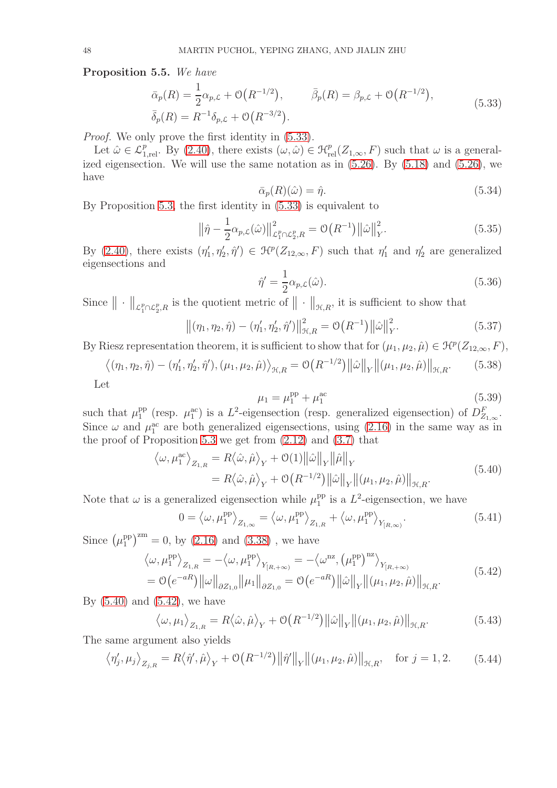<span id="page-47-7"></span>Proposition 5.5. *We have*

$$
\bar{\alpha}_p(R) = \frac{1}{2}\alpha_{p,\mathcal{L}} + \mathcal{O}(R^{-1/2}), \qquad \bar{\beta}_p(R) = \beta_{p,\mathcal{L}} + \mathcal{O}(R^{-1/2}),
$$
\n
$$
\bar{\delta}_p(R) = R^{-1}\delta_{p,\mathcal{L}} + \mathcal{O}(R^{-3/2}).
$$
\n(5.33)

*Proof.* We only prove the first identity in  $(5.33)$ .

Let  $\hat{\omega} \in \mathcal{L}_{1,\text{rel}}^p$ . By [\(2.40\)](#page-14-11), there exists  $(\omega, \hat{\omega}) \in \mathcal{H}_{rel}^p(Z_{1,\infty}, F)$  such that  $\omega$  is a generalized eigensection. We will use the same notation as in  $(5.26)$ . By  $(5.18)$  and  $(5.26)$ , we have

<span id="page-47-0"></span>
$$
\bar{\alpha}_p(R)(\hat{\omega}) = \hat{\eta}.\tag{5.34}
$$

By Proposition [5.3,](#page-45-4) the first identity in [\(5.33\)](#page-47-0) is equivalent to

$$
\left\|\hat{\eta} - \frac{1}{2}\alpha_{p,\mathcal{L}}(\hat{\omega})\right\|_{\mathcal{L}_1^p \cap \mathcal{L}_2^p, R}^2 = \mathcal{O}\left(R^{-1}\right) \left\|\hat{\omega}\right\|_Y^2. \tag{5.35}
$$

By [\(2.40\)](#page-14-11), there exists  $(\eta'_1, \eta'_2, \hat{\eta}') \in \mathcal{H}^p(Z_{12,\infty}, F)$  such that  $\eta'_1$  and  $\eta'_2$  are generalized eigensections and

<span id="page-47-3"></span>
$$
\hat{\eta}' = \frac{1}{2} \alpha_{p,\mathcal{L}}(\hat{\omega}). \tag{5.36}
$$

Since  $\|\cdot\|_{\mathcal{L}_1^p \cap \mathcal{L}_2^p,R}$  is the quotient metric of  $\|\cdot\|_{\mathcal{H},R}$ , it is sufficient to show that

$$
\left\|(\eta_1, \eta_2, \hat{\eta}) - (\eta'_1, \eta'_2, \hat{\eta}')\right\|_{\mathcal{H}, R}^2 = \mathcal{O}\left(R^{-1}\right) \left\|\hat{\omega}\right\|_{Y}^2.
$$
 (5.37)

By Riesz representation theorem, it is sufficient to show that for  $(\mu_1, \mu_2, \hat{\mu}) \in \mathcal{H}^p(Z_{12,\infty}, F)$ ,

<span id="page-47-6"></span>
$$
\left\langle (\eta_1, \eta_2, \hat{\eta}) - (\eta'_1, \eta'_2, \hat{\eta}'), (\mu_1, \mu_2, \hat{\mu}) \right\rangle_{\mathcal{H}, R} = \mathcal{O}\left(R^{-1/2}\right) \left\| \hat{\omega} \right\|_Y \left\| (\mu_1, \mu_2, \hat{\mu}) \right\|_{\mathcal{H}, R}. \tag{5.38}
$$

Let

<span id="page-47-2"></span><span id="page-47-1"></span>
$$
\mu_1 = \mu_1^{\rm pp} + \mu_1^{\rm ac} \tag{5.39}
$$

such that  $\mu_1^{\text{pp}}$ <sup>pp</sup> (resp.  $\mu_1^{\text{ac}}$ ) is a  $L^2$ -eigensection (resp. generalized eigensection) of  $D_{Z_{1,\infty}}^F$ . Since  $\omega$  and  $\mu_1^{\text{ac}}$  are both generalized eigensections, using [\(2.16\)](#page-11-3) in the same way as in the proof of Proposition [5.3](#page-45-4) we get from  $(2.12)$  and  $(3.7)$  that

$$
\langle \omega, \mu_1^{\text{ac}} \rangle_{Z_{1,R}} = R \langle \hat{\omega}, \hat{\mu} \rangle_Y + \mathcal{O}(1) ||\hat{\omega}||_Y ||\hat{\mu}||_Y
$$
  
=  $R \langle \hat{\omega}, \hat{\mu} \rangle_Y + \mathcal{O}(R^{-1/2}) ||\hat{\omega}||_Y ||(\mu_1, \mu_2, \hat{\mu})||_{\mathcal{H}, R}.$  (5.40)

Note that  $\omega$  is a generalized eigensection while  $\mu_1^{\text{pp}}$  $_1^{\text{pp}}$  is a  $L^2$ -eigensection, we have

$$
0 = \langle \omega, \mu_1^{\rm pp} \rangle_{Z_{1,\infty}} = \langle \omega, \mu_1^{\rm pp} \rangle_{Z_{1,R}} + \langle \omega, \mu_1^{\rm pp} \rangle_{Y_{[R,\infty)}}.
$$
\n(5.41)

Since  $(\mu_1^{\text{pp}})$  $\binom{pp}{1}^{zm} = 0$ , by  $(2.16)$  and  $(3.38)$ , we have

$$
\langle \omega, \mu_1^{\rm pp} \rangle_{Z_{1,R}} = -\langle \omega, \mu_1^{\rm pp} \rangle_{Y_{[R,+\infty)}} = -\langle \omega^{\rm nz}, (\mu_1^{\rm pp})^{\rm nz} \rangle_{Y_{[R,+\infty)}}
$$
  
=  $\mathcal{O}(e^{-aR}) ||\omega||_{\partial Z_{1,0}} ||\mu_1||_{\partial Z_{1,0}} = \mathcal{O}(e^{-aR}) ||\hat{\omega}||_Y ||(\mu_1, \mu_2, \hat{\mu})||_{\mathcal{H},R}.$  (5.42)

By  $(5.40)$  and  $(5.42)$ , we have

<span id="page-47-5"></span><span id="page-47-4"></span>
$$
\langle \omega, \mu_1 \rangle_{Z_{1,R}} = R \langle \hat{\omega}, \hat{\mu} \rangle_Y + \mathcal{O}\big(R^{-1/2}\big) \big\|\hat{\omega}\big\|_Y \big\| (\mu_1, \mu_2, \hat{\mu}) \big\|_{\mathcal{H}, R}.
$$
\n(5.43)

The same argument also yields

$$
\left\langle \eta_j', \mu_j \right\rangle_{Z_{j,R}} = R \left\langle \hat{\eta}', \hat{\mu} \right\rangle_Y + \mathcal{O}\left(R^{-1/2}\right) \left\| \hat{\eta}' \right\|_Y \left\| (\mu_1, \mu_2, \hat{\mu}) \right\|_{\mathcal{H}, R}, \text{ for } j = 1, 2. \tag{5.44}
$$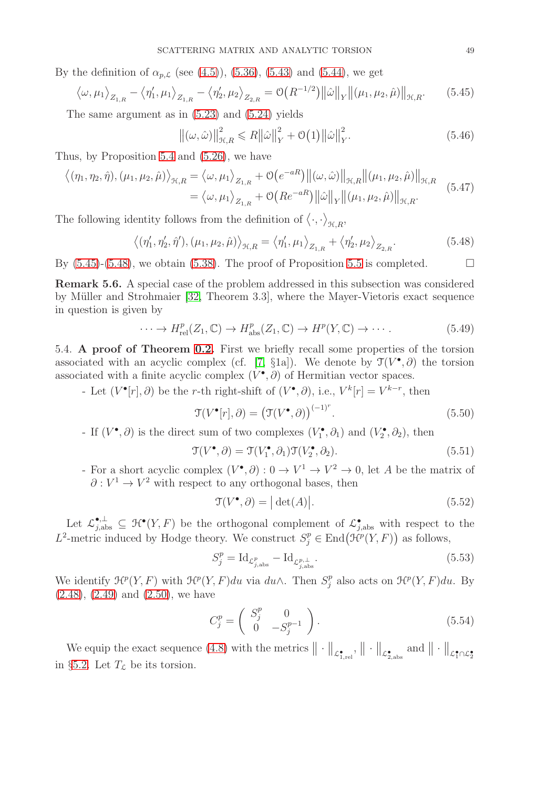By the definition of  $\alpha_{p,\mathcal{L}}$  (see [\(4.5\)](#page-36-2)), [\(5.36\)](#page-47-3), [\(5.43\)](#page-47-4) and [\(5.44\)](#page-47-5), we get

<span id="page-48-1"></span>
$$
\langle \omega, \mu_1 \rangle_{Z_{1,R}} - \langle \eta'_1, \mu_1 \rangle_{Z_{1,R}} - \langle \eta'_2, \mu_2 \rangle_{Z_{2,R}} = \mathcal{O}\big(R^{-1/2}\big) \big\|\hat{\omega}\big\|_Y \big\| (\mu_1, \mu_2, \hat{\mu}) \big\|_{\mathcal{H}, R}. \tag{5.45}
$$

The same argument as in [\(5.23\)](#page-45-2) and [\(5.24\)](#page-45-3) yields

$$
\left\|(\omega,\hat{\omega})\right\|_{\mathcal{H},R}^2 \leq R\|\hat{\omega}\|_Y^2 + \mathcal{O}(1)\|\hat{\omega}\|_Y^2.
$$
\n(5.46)

Thus, by Proposition [5.4](#page-46-8) and [\(5.26\)](#page-46-2), we have

$$
\langle (\eta_1, \eta_2, \hat{\eta}), (\mu_1, \mu_2, \hat{\mu}) \rangle_{\mathcal{H}, R} = \langle \omega, \mu_1 \rangle_{Z_{1,R}} + \mathcal{O}\big(e^{-aR}\big) \big\|(\omega, \hat{\omega})\big\|_{\mathcal{H}, R} \big\|(\mu_1, \mu_2, \hat{\mu})\big\|_{\mathcal{H}, R}
$$
  
=  $\langle \omega, \mu_1 \rangle_{Z_{1,R}} + \mathcal{O}\big(Re^{-aR}\big) \big\|\hat{\omega}\big\|_{Y} \big\|(\mu_1, \mu_2, \hat{\mu})\big\|_{\mathcal{H}, R}.$  (5.47)

The following identity follows from the definition of  $\langle \cdot, \cdot \rangle_{\mathfrak{H},R}$ ,

<span id="page-48-2"></span>
$$
\langle (\eta'_1, \eta'_2, \hat{\eta}'), (\mu_1, \mu_2, \hat{\mu}) \rangle_{\mathcal{H}, R} = \langle \eta'_1, \mu_1 \rangle_{Z_{1,R}} + \langle \eta'_2, \mu_2 \rangle_{Z_{2,R}}.
$$
 (5.48)

By  $(5.45)-(5.48)$  $(5.45)-(5.48)$ , we obtain  $(5.38)$ . The proof of Proposition [5.5](#page-47-7) is completed.

Remark 5.6. A special case of the problem addressed in this subsection was considered by M¨uller and Strohmaier [\[32,](#page-55-12) Theorem 3.3], where the Mayer-Vietoris exact sequence in question is given by

$$
\cdots \to H_{\mathrm{rel}}^p(Z_1, \mathbb{C}) \to H_{\mathrm{abs}}^p(Z_1, \mathbb{C}) \to H^p(Y, \mathbb{C}) \to \cdots. \tag{5.49}
$$

<span id="page-48-0"></span>5.4. A proof of Theorem [0.2.](#page-5-0) First we briefly recall some properties of the torsion associated with an acyclic complex (cf. [\[7,](#page-54-22) §1a]). We denote by  $\mathcal{T}(V^{\bullet}, \partial)$  the torsion associated with a finite acyclic complex  $(V^{\bullet}, \partial)$  of Hermitian vector spaces.

- Let  $(V^{\bullet}[r], \partial)$  be the r-th right-shift of  $(V^{\bullet}, \partial)$ , i.e.,  $V^k[r] = V^{k-r}$ , then

<span id="page-48-3"></span>
$$
\mathfrak{T}(V^{\bullet}[r],\partial) = (\mathfrak{T}(V^{\bullet},\partial))^{(-1)^{r}}.
$$
\n(5.50)

- If  $(V^{\bullet}, \partial)$  is the direct sum of two complexes  $(V_1^{\bullet}, \partial_1)$  and  $(V_2^{\bullet}, \partial_2)$ , then

<span id="page-48-6"></span>
$$
\mathfrak{T}(V^{\bullet}, \partial) = \mathfrak{T}(V_1^{\bullet}, \partial_1)\mathfrak{T}(V_2^{\bullet}, \partial_2). \tag{5.51}
$$

For a short acyclic complex  $(V^{\bullet}, \partial): 0 \to V^1 \to V^2 \to 0$ , let A be the matrix of  $\partial: V^1 \to V^2$  with respect to any orthogonal bases, then

<span id="page-48-4"></span>
$$
\mathcal{T}(V^{\bullet}, \partial) = |\det(A)|. \tag{5.52}
$$

Let  $\mathcal{L}_{j,\text{abs}}^{\bullet,\perp} \subseteq \mathcal{H}^{\bullet}(Y,F)$  be the orthogonal complement of  $\mathcal{L}_{j,\text{abs}}^{\bullet}$  with respect to the L<sup>2</sup>-metric induced by Hodge theory. We construct  $S_j^p \in \text{End}(\mathcal{H}^p(Y, F))$  as follows,

<span id="page-48-5"></span>
$$
S_j^p = \mathrm{Id}_{\mathcal{L}_{j,\mathrm{abs}}^p} - \mathrm{Id}_{\mathcal{L}_{j,\mathrm{abs}}^{p,\perp}}.\tag{5.53}
$$

We identify  $\mathcal{H}^p(Y, F)$  with  $\mathcal{H}^p(Y, F)du$  via  $du \wedge$ . Then  $S_j^p$  $j^p$  also acts on  $\mathcal{H}^p(Y, F)du$ . By  $(2.48), (2.49)$  $(2.48), (2.49)$  $(2.48), (2.49)$  and  $(2.50),$  we have

<span id="page-48-7"></span>
$$
C_j^p = \begin{pmatrix} S_j^p & 0\\ 0 & -S_j^{p-1} \end{pmatrix} . \tag{5.54}
$$

We equip the exact sequence [\(4.8\)](#page-36-5) with the metrics  $\|\cdot\|_{\mathcal{L}^{\bullet}_{1,\text{rel}}}, \|\cdot\|_{\mathcal{L}^{\bullet}_{2,\text{abs}}}$  and  $\|\cdot\|_{\mathcal{L}^{\bullet}_{1}\cap\mathcal{L}^{\bullet}_{2}}$ in §[5.2.](#page-45-0) Let  $T_{\mathcal{L}}$  be its torsion.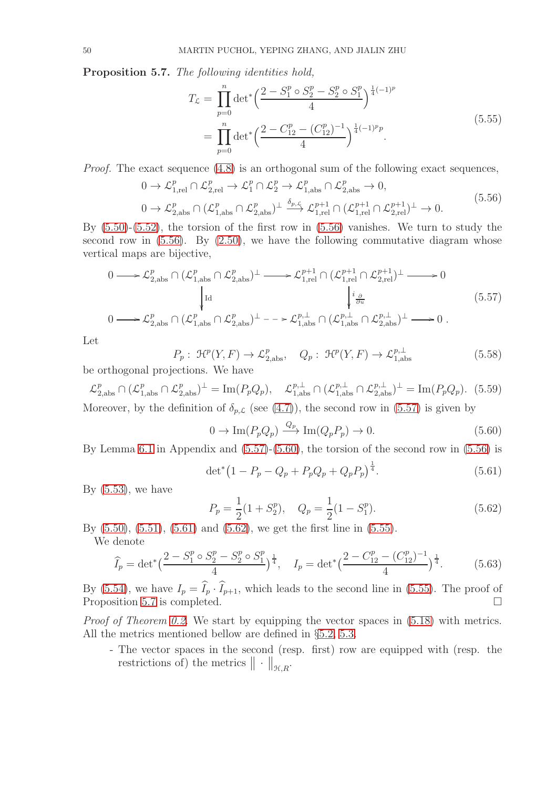<span id="page-49-6"></span>Proposition 5.7. *The following identities hold,*

<span id="page-49-5"></span><span id="page-49-0"></span>
$$
T_{\mathcal{L}} = \prod_{p=0}^{n} \det^* \left( \frac{2 - S_1^p \circ S_2^p - S_2^p \circ S_1^p}{4} \right)^{\frac{1}{4}(-1)^p}
$$
  
= 
$$
\prod_{p=0}^{n} \det^* \left( \frac{2 - C_{12}^p - (C_{12}^p)^{-1}}{4} \right)^{\frac{1}{4}(-1)^p p}.
$$
 (5.55)

*Proof.* The exact sequence [\(4.8\)](#page-36-5) is an orthogonal sum of the following exact sequences,

$$
0 \to \mathcal{L}_{1,rel}^p \cap \mathcal{L}_{2,rel}^p \to \mathcal{L}_1^p \cap \mathcal{L}_2^p \to \mathcal{L}_{1,\text{abs}}^p \cap \mathcal{L}_{2,\text{abs}}^p \to 0,
$$
  
\n
$$
0 \to \mathcal{L}_{2,\text{abs}}^p \cap (\mathcal{L}_{1,\text{abs}}^p \cap \mathcal{L}_{2,\text{abs}}^p)^{\perp} \xrightarrow{\delta_{p,\mathcal{L}}} \mathcal{L}_{1,rel}^{p+1} \cap (\mathcal{L}_{1,rel}^{p+1} \cap \mathcal{L}_{2,rel}^{p+1})^{\perp} \to 0.
$$
\n
$$
(5.56)
$$

By [\(5.50\)](#page-48-3)-[\(5.52\)](#page-48-4), the torsion of the first row in [\(5.56\)](#page-49-0) vanishes. We turn to study the second row in  $(5.56)$ . By  $(2.50)$ , we have the following commutative diagram whose vertical maps are bijective,

$$
0 \longrightarrow \mathcal{L}_{2,\text{abs}}^{p} \cap (\mathcal{L}_{1,\text{abs}}^{p} \cap \mathcal{L}_{2,\text{abs}}^{p})^{\perp} \longrightarrow \mathcal{L}_{1,\text{rel}}^{p+1} \cap (\mathcal{L}_{1,\text{rel}}^{p+1} \cap \mathcal{L}_{2,\text{rel}}^{p+1})^{\perp} \longrightarrow 0
$$
  
\n
$$
\downarrow^{\text{Id}} \qquad \qquad \downarrow^{\text{2}}_{\text{2}} \qquad (5.57)
$$
\n
$$
0 \longrightarrow \mathcal{L}_{2,\text{abs}}^{p} \cap (\mathcal{L}_{1,\text{abs}}^{p} \cap \mathcal{L}_{2,\text{abs}}^{p})^{\perp} \longrightarrow \mathcal{L}_{1,\text{abs}}^{p,\perp} \cap (\mathcal{L}_{1,\text{abs}}^{p,\perp} \cap \mathcal{L}_{2,\text{abs}}^{p,\perp})^{\perp} \longrightarrow 0.
$$

Let

$$
P_p: \mathcal{H}^p(Y, F) \to \mathcal{L}_{2,\text{abs}}^p, \quad Q_p: \mathcal{H}^p(Y, F) \to \mathcal{L}_{1,\text{abs}}^{p,\perp}
$$
(5.58)

be orthogonal projections. We have

 $\mathcal{L}_{2,\text{abs}}^p \cap (\mathcal{L}_{1,\text{abs}}^p \cap \mathcal{L}_{2,\text{abs}}^p)^{\perp} = \text{Im}(P_p Q_p), \quad \mathcal{L}_{1,\text{abs}}^{p,\perp} \cap (\mathcal{L}_{1,\text{abs}}^{p,\perp} \cap \mathcal{L}_{2,\text{abs}}^{p,\perp})^{\perp} = \text{Im}(P_p Q_p).$  (5.59) Moreover, by the definition of  $\delta_{p,\mathcal{L}}$  (see [\(4.7\)](#page-36-4)), the second row in [\(5.57\)](#page-49-1) is given by

<span id="page-49-2"></span><span id="page-49-1"></span>
$$
0 \to \operatorname{Im}(P_p Q_p) \xrightarrow{Q_p} \operatorname{Im}(Q_p P_p) \to 0. \tag{5.60}
$$

By Lemma [6.1](#page-52-1) in Appendix and [\(5.57\)](#page-49-1)-[\(5.60\)](#page-49-2), the torsion of the second row in [\(5.56\)](#page-49-0) is

<span id="page-49-3"></span>
$$
\det^* (1 - P_p - Q_p + P_p Q_p + Q_p P_p)^{\frac{1}{4}}.
$$
\n(5.61)

By  $(5.53)$ , we have

<span id="page-49-4"></span>
$$
P_p = \frac{1}{2}(1 + S_2^p), \quad Q_p = \frac{1}{2}(1 - S_1^p). \tag{5.62}
$$

By [\(5.50\)](#page-48-3), [\(5.51\)](#page-48-6), [\(5.61\)](#page-49-3) and [\(5.62\)](#page-49-4), we get the first line in [\(5.55\)](#page-49-5).

We denote

$$
\widehat{I}_p = \det^* \left( \frac{2 - S_1^p \circ S_2^p - S_2^p \circ S_1^p}{4} \right)^{\frac{1}{4}}, \quad I_p = \det^* \left( \frac{2 - C_{12}^p - (C_{12}^p)^{-1}}{4} \right)^{\frac{1}{4}}.
$$
 (5.63)

By [\(5.54\)](#page-48-7), we have  $I_p = \hat{I}_p \cdot \hat{I}_{p+1}$ , which leads to the second line in [\(5.55\)](#page-49-5). The proof of Proposition 5.7 is completed. Proposition [5.7](#page-49-6) is completed.

*Proof of Theorem [0.2.](#page-5-0)* We start by equipping the vector spaces in [\(5.18\)](#page-44-4) with metrics. All the metrics mentioned bellow are defined in §[5.2,](#page-45-0) [5.3.](#page-46-0)

- The vector spaces in the second (resp. first) row are equipped with (resp. the restrictions of) the metrics  $\|\cdot\|_{\mathcal{H},R}$ .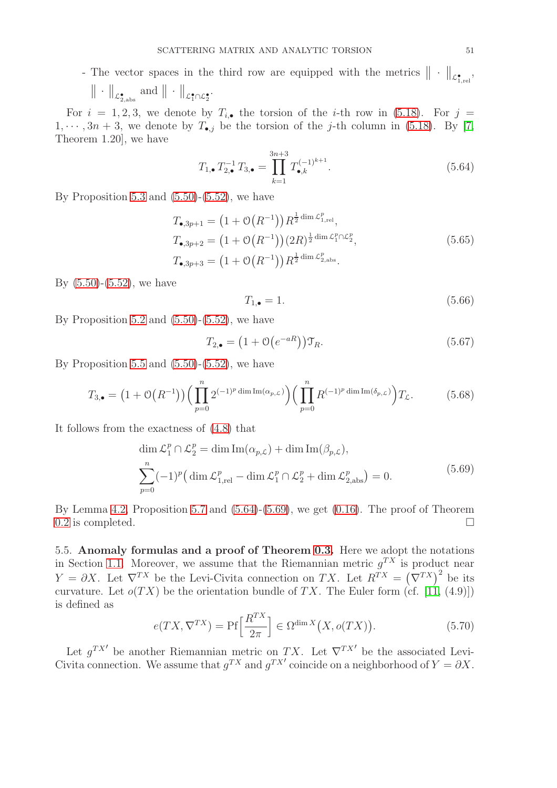- The vector spaces in the third row are equipped with the metrics  $\|\cdot\|_{\mathcal{L}^{\bullet}_{1,\text{rel}}},$ 

$$
\|\cdot\|_{\mathcal{L}^{\bullet}_{2,\mathrm{abs}}}\;\mathrm{and}\;\|\cdot\|_{\mathcal{L}^{\bullet}_{1}\cap\mathcal{L}^{\bullet}_{2}}.
$$

For  $i = 1, 2, 3$ , we denote by  $T_{i,\bullet}$  the torsion of the *i*-th row in [\(5.18\)](#page-44-4). For  $j =$  $1, \dots, 3n+3$ , we denote by  $T_{\bullet, j}$  be the torsion of the j-th column in [\(5.18\)](#page-44-4). By [\[7,](#page-54-22) Theorem 1.20], we have

<span id="page-50-1"></span>
$$
T_{1,\bullet} T_{2,\bullet}^{-1} T_{3,\bullet} = \prod_{k=1}^{3n+3} T_{\bullet,k}^{(-1)^{k+1}}.
$$
 (5.64)

By Proposition [5.3](#page-45-4) and  $(5.50)-(5.52)$  $(5.50)-(5.52)$ , we have

$$
T_{\bullet,3p+1} = (1 + \mathcal{O}(R^{-1})) R^{\frac{1}{2} \dim \mathcal{L}_{1,\text{rel}}^p},
$$
  
\n
$$
T_{\bullet,3p+2} = (1 + \mathcal{O}(R^{-1}))(2R)^{\frac{1}{2} \dim \mathcal{L}_{1}^p \cap \mathcal{L}_{2}^p},
$$
  
\n
$$
T_{\bullet,3p+3} = (1 + \mathcal{O}(R^{-1})) R^{\frac{1}{2} \dim \mathcal{L}_{2,\text{abs}}^p}.
$$
\n(5.65)

By [\(5.50\)](#page-48-3)-[\(5.52\)](#page-48-4), we have

<span id="page-50-2"></span>
$$
T_{1,\bullet} = 1.\tag{5.66}
$$

By Proposition [5.2](#page-45-5) and  $(5.50)$ - $(5.52)$ , we have

$$
T_{2,\bullet} = \left(1 + \mathcal{O}\left(e^{-aR}\right)\right)\mathcal{T}_R. \tag{5.67}
$$

By Proposition [5.5](#page-47-7) and  $(5.50)$ - $(5.52)$ , we have

$$
T_{3,\bullet} = (1 + \mathcal{O}(R^{-1})) \Big( \prod_{p=0}^{n} 2^{(-1)^p \dim \text{Im}(\alpha_{p,\mathcal{L}})} \Big) \Big( \prod_{p=0}^{n} R^{(-1)^p \dim \text{Im}(\delta_{p,\mathcal{L}})} \Big) T_{\mathcal{L}}.
$$
 (5.68)

It follows from the exactness of [\(4.8\)](#page-36-5) that

$$
\dim \mathcal{L}_1^p \cap \mathcal{L}_2^p = \dim \text{Im}(\alpha_{p,\mathcal{L}}) + \dim \text{Im}(\beta_{p,\mathcal{L}}),
$$
  

$$
\sum_{p=0}^n (-1)^p \left( \dim \mathcal{L}_{1,\text{rel}}^p - \dim \mathcal{L}_1^p \cap \mathcal{L}_2^p + \dim \mathcal{L}_{2,\text{abs}}^p \right) = 0.
$$
 (5.69)

By Lemma [4.2,](#page-37-10) Proposition [5.7](#page-49-6) and [\(5.64\)](#page-50-1)-[\(5.69\)](#page-50-2), we get [\(0.16\)](#page-5-5). The proof of Theorem [0.2](#page-5-0) is completed.  $\Box$ 

<span id="page-50-0"></span>5.5. Anomaly formulas and a proof of Theorem [0.3.](#page-5-1) Here we adopt the notations in Section [1.1.](#page-6-1) Moreover, we assume that the Riemannian metric  $g^{TX}$  is product near  $Y = \partial X$ . Let  $\nabla^{TX}$  be the Levi-Civita connection on TX. Let  $R^{TX} = (\nabla^{TX})^2$  be its curvature. Let  $o(TX)$  be the orientation bundle of TX. The Euler form (cf. [\[11,](#page-54-1) (4.9)]) is defined as

$$
e(TX, \nabla^{TX}) = \text{Pf}\left[\frac{R^{TX}}{2\pi}\right] \in \Omega^{\dim X}\big(X, o(TX)\big).
$$
 (5.70)

Let  $g^{TX'}$  be another Riemannian metric on TX. Let  $\nabla^{TX'}$  be the associated Levi-Civita connection. We assume that  $g^{TX}$  and  $g^{TX'}$  coincide on a neighborhood of  $Y = \partial X$ .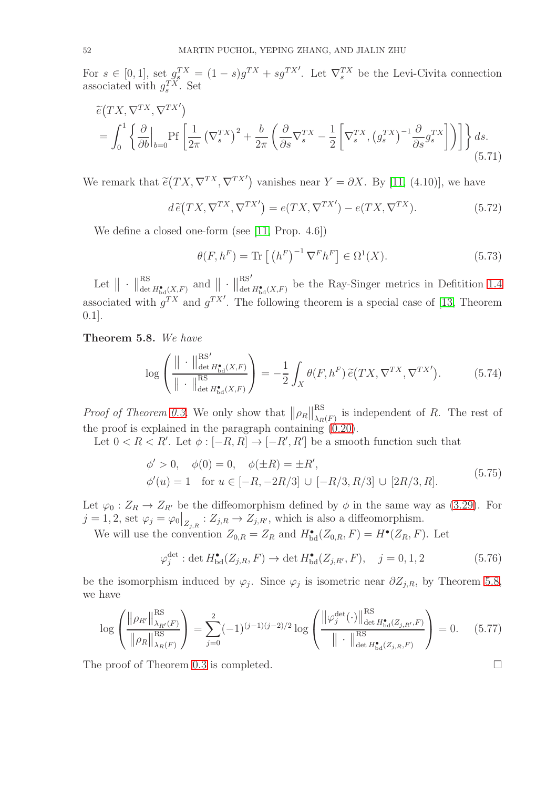For  $s \in [0,1]$ , set  $g_s^{TX} = (1-s)g^{TX} + sg^{TX'}$ . Let  $\nabla_s^{TX}$  be the Levi-Civita connection associated with  $g_s^{TX}$ . Set

$$
\tilde{e}(TX, \nabla^{TX}, \nabla^{TX'})
$$
\n
$$
= \int_0^1 \left\{ \frac{\partial}{\partial b} \Big|_{b=0} \text{Pf}\left[\frac{1}{2\pi} \left(\nabla_s^{TX}\right)^2 + \frac{b}{2\pi} \left(\frac{\partial}{\partial s} \nabla_s^{TX} - \frac{1}{2} \left[\nabla_s^{TX}, \left(g_s^{TX}\right)^{-1} \frac{\partial}{\partial s} g_s^{TX}\right]\right) \right] \right\} ds.
$$
\n(5.71)

We remark that  $\tilde{e}(TX, \nabla^{TX}, \nabla^{TX'})$  vanishes near  $Y = \partial X$ . By [\[11,](#page-54-1) (4.10)], we have

$$
d\tilde{e}(TX, \nabla^{TX}, \nabla^{TX'}) = e(TX, \nabla^{TX'}) - e(TX, \nabla^{TX}).
$$
\n(5.72)

We define a closed one-form (see [\[11,](#page-54-1) Prop. 4.6])

$$
\theta(F, h^F) = \text{Tr}\left[\left(h^F\right)^{-1} \nabla^F h^F\right] \in \Omega^1(X). \tag{5.73}
$$

Let  $\|\cdot\|_{\det}^{RS}$  $\frac{\text{RS}}{\det H_{\text{bd}}^{\bullet}(X,F)}$  and  $\|\cdot\|_{\text{det}}^{\text{RS}'}$  $\lim_{\det H_{\text{bd}}^{\bullet}(X,F)}$  be the Ray-Singer metrics in Defitition [1.4](#page-8-5) associated with  $g^{TX}$  and  $g^{TX'}$ . The following theorem is a special case of [\[13,](#page-54-23) Theorem 0.1].

<span id="page-51-0"></span>Theorem 5.8. *We have*

$$
\log\left(\frac{\|\cdot\|_{\det H_{\text{bd}}^{*}(X,F)}^{\text{RS}}}{\|\cdot\|_{\det H_{\text{bd}}^{*}(X,F)}^{\text{RS}}}\right) = -\frac{1}{2} \int_{X} \theta(F, h^{F}) \widetilde{e}(TX, \nabla^{TX}, \nabla^{TX'}) . \tag{5.74}
$$

*Proof of Theorem [0.3.](#page-5-1)* We only show that  $||\rho_R||_{\lambda_R}^{\text{RS}}$  $\sum_{\lambda_R(F)}^{\infty}$  is independent of R. The rest of the proof is explained in the paragraph containing [\(0.20\)](#page-5-3).

Let  $0 < R < R'$ . Let  $\phi : [-R, R] \to [-R', R']$  be a smooth function such that

$$
\begin{aligned}\n\phi' > 0, \quad \phi(0) = 0, \quad \phi(\pm R) = \pm R', \\
\phi'(u) &= 1 \quad \text{for } u \in [-R, -2R/3] \cup [-R/3, R/3] \cup [2R/3, R].\n\end{aligned}\n\tag{5.75}
$$

Let  $\varphi_0: Z_R \to Z_{R'}$  be the diffeomorphism defined by  $\phi$  in the same way as [\(3.29\)](#page-18-0). For  $j = 1, 2$ , set  $\varphi_j = \varphi_0|_{Z_{j,R}} : Z_{j,R} \to Z_{j,R'}$ , which is also a diffeomorphism.

We will use the convention  $Z_{0,R} = Z_R$  and  $H^{\bullet}_{\text{bd}}(Z_{0,R}, F) = H^{\bullet}(Z_R, F)$ . Let

$$
\varphi_j^{\text{det}} : \det H_{\text{bd}}^{\bullet}(Z_{j,R}, F) \to \det H_{\text{bd}}^{\bullet}(Z_{j,R'}, F), \quad j = 0, 1, 2 \tag{5.76}
$$

be the isomorphism induced by  $\varphi_j$ . Since  $\varphi_j$  is isometric near  $\partial Z_{j,R}$ , by Theorem [5.8,](#page-51-0) we have

$$
\log \left( \frac{\left\| \rho_{R'} \right\|_{\lambda_{R'}(F)}^{\text{RS}}}{\left\| \rho_R \right\|_{\lambda_R(F)}^{\text{RS}}} \right) = \sum_{j=0}^2 (-1)^{(j-1)(j-2)/2} \log \left( \frac{\left\| \varphi_j^{\text{det}}(\cdot) \right\|_{\det H_{\text{bd}}^{\bullet}(Z_{j,R'},F)}^{\text{RS}}}{\left\| \cdot \right\|_{\det H_{\text{bd}}^{\text{RS}}(Z_{j,R},F)}^{\text{RS}}} \right) = 0. \quad (5.77)
$$

The proof of Theorem [0.3](#page-5-1) is completed.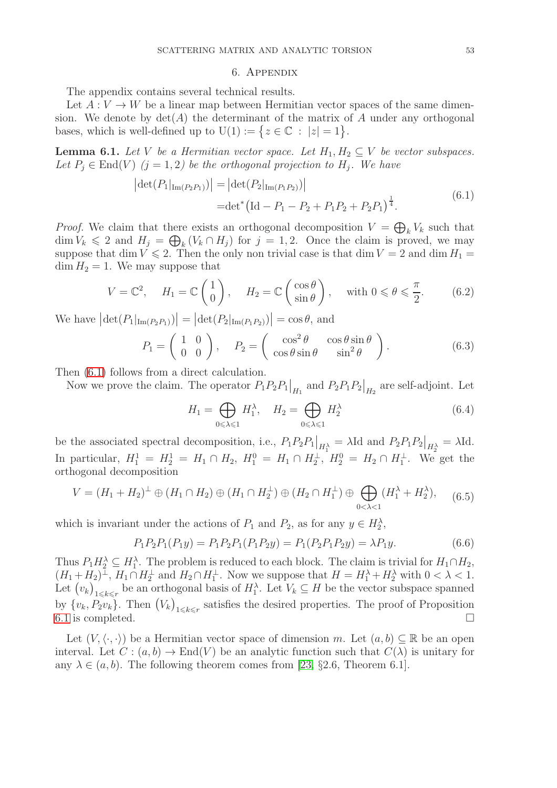### <span id="page-52-2"></span>6. Appendix

<span id="page-52-0"></span>The appendix contains several technical results.

Let  $A: V \to W$  be a linear map between Hermitian vector spaces of the same dimension. We denote by  $\det(A)$  the determinant of the matrix of A under any orthogonal bases, which is well-defined up to  $U(1) := \{ z \in \mathbb{C} : |z| = 1 \}.$ 

<span id="page-52-1"></span>**Lemma 6.1.** *Let* V *be a Hermitian vector space. Let*  $H_1, H_2 \subseteq V$  *be vector subspaces.* Let  $P_j \in \text{End}(V)$   $(j = 1, 2)$  be the orthogonal projection to  $H_j$ . We have

$$
|\det(P_1|_{\text{Im}(P_2P_1)})| = |\det(P_2|_{\text{Im}(P_1P_2)})|
$$
  
= det<sup>\*</sup> (Id – P<sub>1</sub> – P<sub>2</sub> + P<sub>1</sub>P<sub>2</sub> + P<sub>2</sub>P<sub>1</sub>) <sup>$\frac{1}{4}$</sup> . (6.1)

*Proof.* We claim that there exists an orthogonal decomposition  $V = \bigoplus_k V_k$  such that  $\dim V_k \leq 2$  and  $H_j = \bigoplus_k (V_k \cap H_j)$  for  $j = 1, 2$ . Once the claim is proved, we may suppose that dim  $V \le 2$ . Then the only non trivial case is that dim  $V = 2$  and dim  $H_1 =$  $\dim H_2 = 1$ . We may suppose that

$$
V = \mathbb{C}^2, \quad H_1 = \mathbb{C} \begin{pmatrix} 1 \\ 0 \end{pmatrix}, \quad H_2 = \mathbb{C} \begin{pmatrix} \cos \theta \\ \sin \theta \end{pmatrix}, \quad \text{with } 0 \le \theta \le \frac{\pi}{2}.
$$
 (6.2)

We have  $|\det(P_1|_{\text{Im}(P_2P_1)})| = |\det(P_2|_{\text{Im}(P_1P_2)})| = \cos \theta$ , and

$$
P_1 = \begin{pmatrix} 1 & 0 \\ 0 & 0 \end{pmatrix}, \quad P_2 = \begin{pmatrix} \cos^2 \theta & \cos \theta \sin \theta \\ \cos \theta \sin \theta & \sin^2 \theta \end{pmatrix}.
$$
 (6.3)

Then [\(6.1\)](#page-52-2) follows from a direct calculation.

Now we prove the claim. The operator  $P_1P_2P_1\big|_{H_1}$  and  $P_2P_1P_2\big|_{H_2}$  are self-adjoint. Let

$$
H_1 = \bigoplus_{0 \le \lambda \le 1} H_1^{\lambda}, \quad H_2 = \bigoplus_{0 \le \lambda \le 1} H_2^{\lambda}
$$
(6.4)

be the associated spectral decomposition, i.e.,  $P_1 P_2 P_1|_{H_1^{\lambda}} = \lambda \text{Id}$  and  $P_2 P_1 P_2|_{H_2^{\lambda}} = \lambda \text{Id}$ . In particular,  $H_1^1 = H_2^1 = H_1 \cap H_2$ ,  $H_1^0 = H_1 \cap H_2^{\perp}$ ,  $H_2^0 = H_2 \cap H_1^{\perp}$ . We get the orthogonal decomposition

$$
V = (H_1 + H_2)^{\perp} \oplus (H_1 \cap H_2) \oplus (H_1 \cap H_2^{\perp}) \oplus (H_2 \cap H_1^{\perp}) \oplus \bigoplus_{0 < \lambda < 1} (H_1^{\lambda} + H_2^{\lambda}), \quad (6.5)
$$

which is invariant under the actions of  $P_1$  and  $P_2$ , as for any  $y \in H_2^{\lambda}$ ,

$$
P_1 P_2 P_1 (P_1 y) = P_1 P_2 P_1 (P_1 P_2 y) = P_1 (P_2 P_1 P_2 y) = \lambda P_1 y.
$$
\n
$$
(6.6)
$$

Thus  $P_1 H_2^{\lambda} \subseteq H_1^{\lambda}$ . The problem is reduced to each block. The claim is trivial for  $H_1 \cap H_2$ ,  $(H_1 + H_2)^{\perp}$ ,  $H_1 \cap H_2^{\perp}$  and  $H_2 \cap H_1^{\perp}$ . Now we suppose that  $H = H_1^{\lambda} + H_2^{\lambda}$  with  $0 < \lambda < 1$ . Let  $(v_k)_{1\leq k\leq r}$  be an orthogonal basis of  $H_1^{\lambda}$ . Let  $V_k \subseteq H$  be the vector subspace spanned by  $\{v_k, P_2v_k\}$ . Then  $(V_k)_{1\leq k\leq r}$  satisfies the desired properties. The proof of Proposition [6.1](#page-52-1) is completed.  $\Box$ 

Let  $(V, \langle \cdot, \cdot \rangle)$  be a Hermitian vector space of dimension m. Let  $(a, b) \subseteq \mathbb{R}$  be an open interval. Let  $C : (a, b) \to \text{End}(V)$  be an analytic function such that  $C(\lambda)$  is unitary for any  $\lambda \in (a, b)$ . The following theorem comes from [\[23,](#page-54-26) §2.6, Theorem 6.1].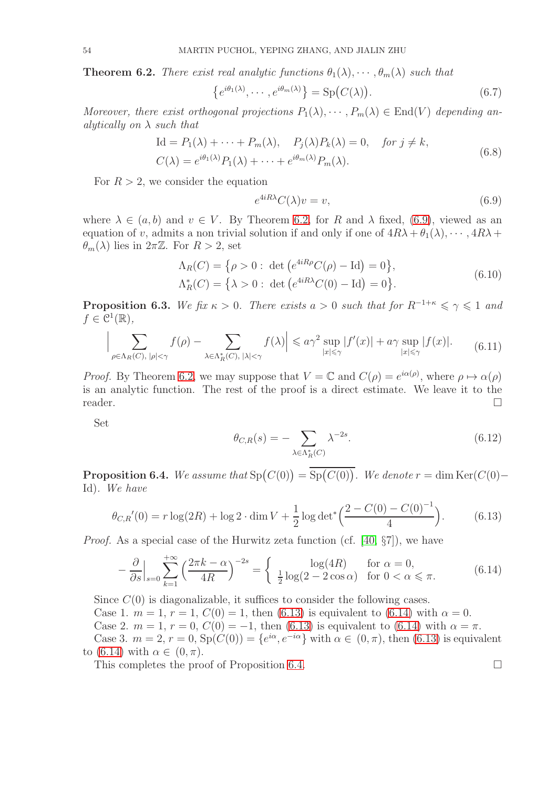<span id="page-53-0"></span>**Theorem 6.2.** *There exist real analytic functions*  $\theta_1(\lambda), \cdots, \theta_m(\lambda)$  *such that* 

$$
\{e^{i\theta_1(\lambda)}, \cdots, e^{i\theta_m(\lambda)}\} = \text{Sp}\big(C(\lambda)\big). \tag{6.7}
$$

*Moreover, there exist orthogonal projections*  $P_1(\lambda), \cdots, P_m(\lambda) \in End(V)$  *depending analytically on* λ *such that*

$$
\begin{aligned} \text{Id} &= P_1(\lambda) + \dots + P_m(\lambda), \quad P_j(\lambda) P_k(\lambda) = 0, \quad \text{for } j \neq k, \\ C(\lambda) &= e^{i\theta_1(\lambda)} P_1(\lambda) + \dots + e^{i\theta_m(\lambda)} P_m(\lambda). \end{aligned} \tag{6.8}
$$

For  $R > 2$ , we consider the equation

<span id="page-53-2"></span><span id="page-53-1"></span>
$$
e^{4iR\lambda}C(\lambda)v = v,\t\t(6.9)
$$

where  $\lambda \in (a, b)$  and  $v \in V$ . By Theorem [6.2,](#page-53-0) for R and  $\lambda$  fixed, [\(6.9\)](#page-53-2), viewed as an equation of v, admits a non trivial solution if and only if one of  $4R\lambda + \theta_1(\lambda), \cdots, 4R\lambda +$  $\theta_m(\lambda)$  lies in  $2\pi\mathbb{Z}$ . For  $R > 2$ , set

$$
\Lambda_R(C) = \{ \rho > 0 : \det(e^{4iR\rho}C(\rho) - \text{Id}) = 0 \},
$$
  
\n
$$
\Lambda_R^*(C) = \{ \lambda > 0 : \det(e^{4iR\lambda}C(0) - \text{Id}) = 0 \}.
$$
\n(6.10)

<span id="page-53-5"></span>**Proposition 6.3.** *We fix*  $\kappa > 0$ *. There exists*  $a > 0$  *such that for*  $R^{-1+\kappa} \le \gamma \le 1$  *and*  $f \in \mathcal{C}^1(\mathbb{R}),$ 

$$
\Big|\sum_{\rho \in \Lambda_R(C), \ |\rho| < \gamma} f(\rho) - \sum_{\lambda \in \Lambda_R^*(C), \ |\lambda| < \gamma} f(\lambda)\Big| \leqslant a\gamma^2 \sup_{|x| \leqslant \gamma} |f'(x)| + a\gamma \sup_{|x| \leqslant \gamma} |f(x)|. \tag{6.11}
$$

*Proof.* By Theorem [6.2,](#page-53-0) we may suppose that  $V = \mathbb{C}$  and  $C(\rho) = e^{i\alpha(\rho)}$ , where  $\rho \mapsto \alpha(\rho)$ is an analytic function. The rest of the proof is a direct estimate. We leave it to the reader.  $\Box$ 

Set

$$
\theta_{C,R}(s) = -\sum_{\lambda \in \Lambda_R^*(C)} \lambda^{-2s}.\tag{6.12}
$$

<span id="page-53-3"></span>**Proposition 6.4.** *We assume that*  $Sp(C(0)) = Sp(C(0))$ *. We denote*  $r = \dim Ker(C(0) -$ Id)*. We have*

<span id="page-53-4"></span>
$$
\theta_{C,R}'(0) = r \log(2R) + \log 2 \cdot \dim V + \frac{1}{2} \log \det^* \left( \frac{2 - C(0) - C(0)^{-1}}{4} \right).
$$
 (6.13)

*Proof.* As a special case of the Hurwitz zeta function (cf. [\[40,](#page-55-13) §7]), we have

<span id="page-53-6"></span>
$$
-\frac{\partial}{\partial s}\Big|_{s=0} \sum_{k=1}^{+\infty} \left(\frac{2\pi k - \alpha}{4R}\right)^{-2s} = \begin{cases} \log(4R) & \text{for } \alpha = 0, \\ \frac{1}{2}\log(2 - 2\cos\alpha) & \text{for } 0 < \alpha \le \pi. \end{cases} (6.14)
$$

Since  $C(0)$  is diagonalizable, it suffices to consider the following cases.

Case 1.  $m = 1$ ,  $r = 1$ ,  $C(0) = 1$ , then [\(6.13\)](#page-53-4) is equivalent to [\(6.14\)](#page-53-6) with  $\alpha = 0$ .

Case 2.  $m = 1$ ,  $r = 0$ ,  $C(0) = -1$ , then [\(6.13\)](#page-53-4) is equivalent to [\(6.14\)](#page-53-6) with  $\alpha = \pi$ .

Case 3.  $m = 2$ ,  $r = 0$ ,  $Sp(C(0)) = \{e^{i\alpha}, e^{-i\alpha}\}\$  with  $\alpha \in (0, \pi)$ , then [\(6.13\)](#page-53-4) is equivalent to [\(6.14\)](#page-53-6) with  $\alpha \in (0, \pi)$ .

This completes the proof of Proposition [6.4.](#page-53-3)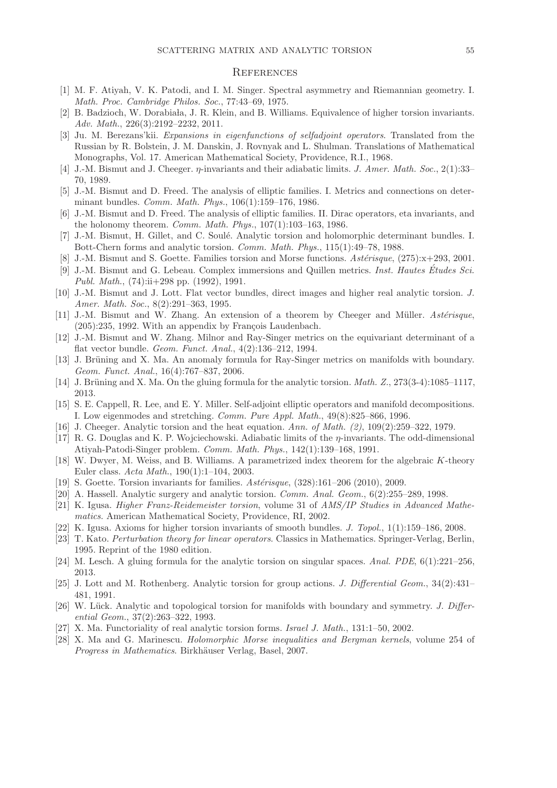### <span id="page-54-0"></span>**REFERENCES**

- <span id="page-54-25"></span><span id="page-54-12"></span>[1] M. F. Atiyah, V. K. Patodi, and I. M. Singer. Spectral asymmetry and Riemannian geometry. I. Math. Proc. Cambridge Philos. Soc., 77:43–69, 1975.
- <span id="page-54-24"></span>[2] B. Badzioch, W. Dorabiała, J. R. Klein, and B. Williams. Equivalence of higher torsion invariants. Adv. Math., 226(3):2192–2232, 2011.
- [3] Ju. M. Berezans'kii. Expansions in eigenfunctions of selfadjoint operators. Translated from the Russian by R. Bolstein, J. M. Danskin, J. Rovnyak and L. Shulman. Translations of Mathematical Monographs, Vol. 17. American Mathematical Society, Providence, R.I., 1968.
- <span id="page-54-19"></span><span id="page-54-17"></span>[4] J.-M. Bismut and J. Cheeger.  $\eta$ -invariants and their adiabatic limits. J. Amer. Math. Soc., 2(1):33– 70, 1989.
- <span id="page-54-18"></span>[5] J.-M. Bismut and D. Freed. The analysis of elliptic families. I. Metrics and connections on determinant bundles. Comm. Math. Phys., 106(1):159–176, 1986.
- [6] J.-M. Bismut and D. Freed. The analysis of elliptic families. II. Dirac operators, eta invariants, and the holonomy theorem. Comm. Math. Phys., 107(1):103–163, 1986.
- <span id="page-54-22"></span><span id="page-54-13"></span>[7] J.-M. Bismut, H. Gillet, and C. Soulé. Analytic torsion and holomorphic determinant bundles. I. Bott-Chern forms and analytic torsion. Comm. Math. Phys., 115(1):49–78, 1988.
- <span id="page-54-27"></span>[8] J.-M. Bismut and S. Goette. Families torsion and Morse functions.  $Ast\acute{e}risque$ , (275): $x+293$ , 2001.
- [9] J.-M. Bismut and G. Lebeau. Complex immersions and Quillen metrics. Inst. Hautes Etudes Sci. ´ Publ. Math., (74):ii+298 pp. (1992), 1991.
- <span id="page-54-9"></span>[10] J.-M. Bismut and J. Lott. Flat vector bundles, direct images and higher real analytic torsion. J. Amer. Math. Soc., 8(2):291–363, 1995.
- <span id="page-54-1"></span>[11] J.-M. Bismut and W. Zhang. An extension of a theorem by Cheeger and Müller. Astérisque,  $(205):235, 1992.$  With an appendix by François Laudenbach.
- <span id="page-54-5"></span>[12] J.-M. Bismut and W. Zhang. Milnor and Ray-Singer metrics on the equivariant determinant of a flat vector bundle. Geom. Funct. Anal., 4(2):136–212, 1994.
- <span id="page-54-23"></span>[13] J. Brüning and X. Ma. An anomaly formula for Ray-Singer metrics on manifolds with boundary. Geom. Funct. Anal., 16(4):767–837, 2006.
- <span id="page-54-21"></span><span id="page-54-6"></span>[14] J. Brüning and X. Ma. On the gluing formula for the analytic torsion. *Math. Z.*,  $273(3-4):1085-1117$ , 2013.
- [15] S. E. Cappell, R. Lee, and E. Y. Miller. Self-adjoint elliptic operators and manifold decompositions. I. Low eigenmodes and stretching. Comm. Pure Appl. Math., 49(8):825–866, 1996.
- <span id="page-54-20"></span><span id="page-54-2"></span>[16] J. Cheeger. Analytic torsion and the heat equation. Ann. of Math. (2), 109(2):259–322, 1979.
- [17] R. G. Douglas and K. P. Wojciechowski. Adiabatic limits of the η-invariants. The odd-dimensional Atiyah-Patodi-Singer problem. Comm. Math. Phys., 142(1):139–168, 1991.
- <span id="page-54-11"></span>[18] W. Dwyer, M. Weiss, and B. Williams. A parametrized index theorem for the algebraic K-theory Euler class. Acta Math., 190(1):1–104, 2003.
- <span id="page-54-16"></span><span id="page-54-7"></span>[19] S. Goette. Torsion invariants for families.  $Ast\acute{e}risque$ ,  $(328):161-206$  (2010), 2009.
- <span id="page-54-10"></span>[20] A. Hassell. Analytic surgery and analytic torsion. Comm. Anal. Geom., 6(2):255–289, 1998.
- [21] K. Igusa. Higher Franz-Reidemeister torsion, volume 31 of AMS/IP Studies in Advanced Mathematics. American Mathematical Society, Providence, RI, 2002.
- <span id="page-54-26"></span><span id="page-54-14"></span>[22] K. Igusa. Axioms for higher torsion invariants of smooth bundles. J. Topol., 1(1):159–186, 2008.
- [23] T. Kato. Perturbation theory for linear operators. Classics in Mathematics. Springer-Verlag, Berlin, 1995. Reprint of the 1980 edition.
- <span id="page-54-8"></span><span id="page-54-3"></span>[24] M. Lesch. A gluing formula for the analytic torsion on singular spaces. Anal. PDE, 6(1):221–256, 2013.
- [25] J. Lott and M. Rothenberg. Analytic torsion for group actions. J. Differential Geom., 34(2):431– 481, 1991.
- <span id="page-54-4"></span>[26] W. Lück. Analytic and topological torsion for manifolds with boundary and symmetry. J. Differential Geom., 37(2):263–322, 1993.
- <span id="page-54-28"></span><span id="page-54-15"></span>[27] X. Ma. Functoriality of real analytic torsion forms. Israel J. Math., 131:1–50, 2002.
- [28] X. Ma and G. Marinescu. Holomorphic Morse inequalities and Bergman kernels, volume 254 of Progress in Mathematics. Birkhäuser Verlag, Basel, 2007.